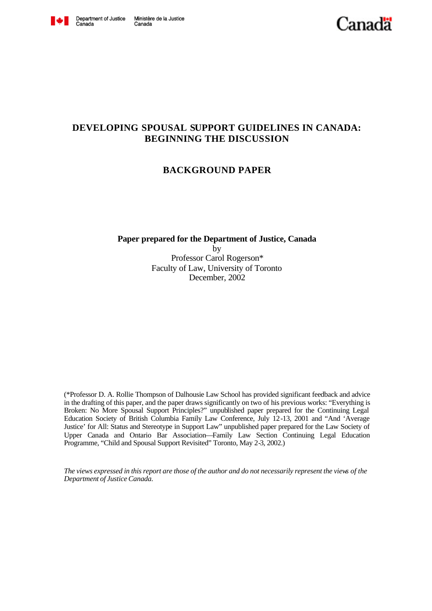

Canada



# **DEVELOPING SPOUSAL SUPPORT GUIDELINES IN CANADA: BEGINNING THE DISCUSSION**

# **BACKGROUND PAPER**

# **Paper prepared for the Department of Justice, Canada** by Professor Carol Rogerson\* Faculty of Law, University of Toronto

December, 2002

(\*Professor D. A. Rollie Thompson of Dalhousie Law School has provided significant feedback and advice in the drafting of this paper, and the paper draws significantly on two of his previous works: "Everything is Broken: No More Spousal Support Principles?" unpublished paper prepared for the Continuing Legal Education Society of British Columbia Family Law Conference, July 12-13, 2001 and "And 'Average Justice' for All: Status and Stereotype in Support Law" unpublished paper prepared for the Law Society of Upper Canada and Ontario Bar Association—Family Law Section Continuing Legal Education Programme, "Child and Spousal Support Revisited" Toronto, May 2-3, 2002.)

*The views expressed in this report are those of the author and do not necessarily represent the views of the Department of Justice Canada.*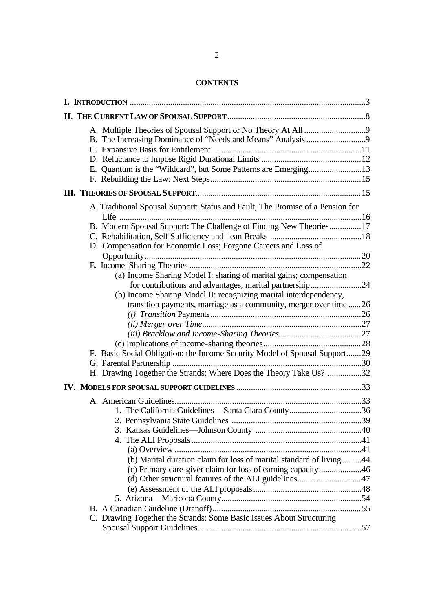# **CONTENTS**

| E. Quantum is the "Wildcard", but Some Patterns are Emerging13                 |  |
|--------------------------------------------------------------------------------|--|
|                                                                                |  |
|                                                                                |  |
| A. Traditional Spousal Support: Status and Fault; The Promise of a Pension for |  |
|                                                                                |  |
| B. Modern Spousal Support: The Challenge of Finding New Theories17             |  |
|                                                                                |  |
| D. Compensation for Economic Loss; Forgone Careers and Loss of                 |  |
|                                                                                |  |
|                                                                                |  |
| (a) Income Sharing Model I: sharing of marital gains; compensation             |  |
| for contributions and advantages; marital partnership24                        |  |
| (b) Income Sharing Model II: recognizing marital interdependency,              |  |
| transition payments, marriage as a community, merger over time 26              |  |
|                                                                                |  |
|                                                                                |  |
|                                                                                |  |
|                                                                                |  |
| F. Basic Social Obligation: the Income Security Model of Spousal Support29     |  |
|                                                                                |  |
| H. Drawing Together the Strands: Where Does the Theory Take Us? 32             |  |
|                                                                                |  |
|                                                                                |  |
| 1. The California Guidelines—Santa Clara County36                              |  |
|                                                                                |  |
|                                                                                |  |
|                                                                                |  |
|                                                                                |  |
| (b) Marital duration claim for loss of marital standard of living44            |  |
| (c) Primary care-giver claim for loss of earning capacity46                    |  |
|                                                                                |  |
|                                                                                |  |
|                                                                                |  |
|                                                                                |  |
| C. Drawing Together the Strands: Some Basic Issues About Structuring           |  |
|                                                                                |  |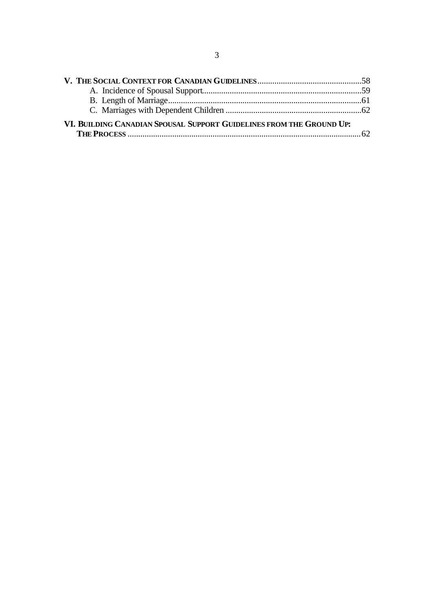| VI. BUILDING CANADIAN SPOUSAL SUPPORT GUIDELINES FROM THE GROUND UP: |  |
|----------------------------------------------------------------------|--|
|                                                                      |  |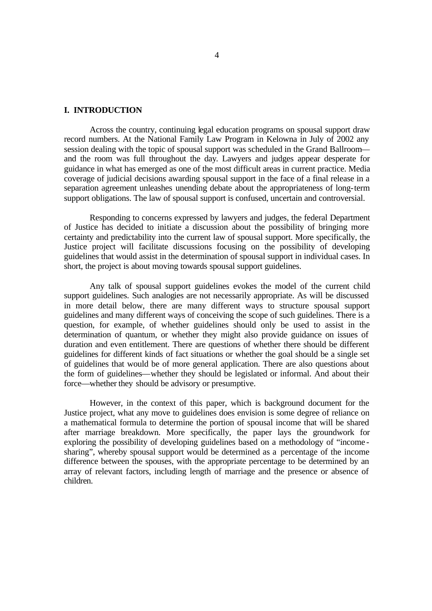### **I. INTRODUCTION**

Across the country, continuing legal education programs on spousal support draw record numbers. At the National Family Law Program in Kelowna in July of 2002 any session dealing with the topic of spousal support was scheduled in the Grand Ballroom and the room was full throughout the day. Lawyers and judges appear desperate for guidance in what has emerged as one of the most difficult areas in current practice. Media coverage of judicial decisions awarding spousal support in the face of a final release in a separation agreement unleashes unending debate about the appropriateness of long-term support obligations. The law of spousal support is confused, uncertain and controversial.

Responding to concerns expressed by lawyers and judges, the federal Department of Justice has decided to initiate a discussion about the possibility of bringing more certainty and predictability into the current law of spousal support. More specifically, the Justice project will facilitate discussions focusing on the possibility of developing guidelines that would assist in the determination of spousal support in individual cases. In short, the project is about moving towards spousal support guidelines.

Any talk of spousal support guidelines evokes the model of the current child support guidelines. Such analogies are not necessarily appropriate. As will be discussed in more detail below, there are many different ways to structure spousal support guidelines and many different ways of conceiving the scope of such guidelines. There is a question, for example, of whether guidelines should only be used to assist in the determination of quantum, or whether they might also provide guidance on issues of duration and even entitlement. There are questions of whether there should be different guidelines for different kinds of fact situations or whether the goal should be a single set of guidelines that would be of more general application. There are also questions about the form of guidelines—whether they should be legislated or informal. And about their force—whether they should be advisory or presumptive.

However, in the context of this paper, which is background document for the Justice project, what any move to guidelines does envision is some degree of reliance on a mathematical formula to determine the portion of spousal income that will be shared after marriage breakdown. More specifically, the paper lays the groundwork for exploring the possibility of developing guidelines based on a methodology of "income sharing", whereby spousal support would be determined as a percentage of the income difference between the spouses, with the appropriate percentage to be determined by an array of relevant factors, including length of marriage and the presence or absence of children.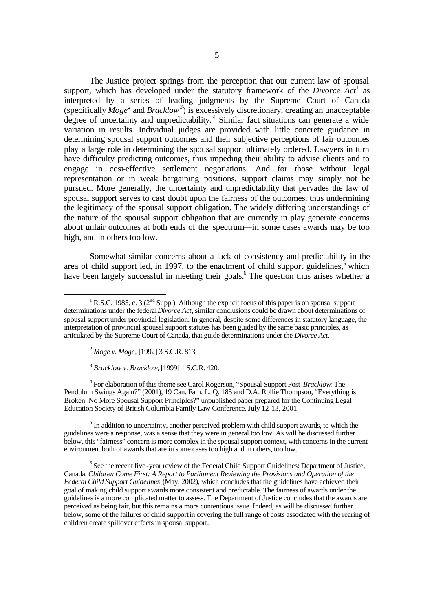The Justice project springs from the perception that our current law of spousal support, which has developed under the statutory framework of the *Divorce Act*<sup>1</sup> as interpreted by a series of leading judgments by the Supreme Court of Canada (specifically *Moge<sup>2</sup>* and *Bracklow<sup>3</sup>* ) is excessively discretionary, creating an unacceptable degree of uncertainty and unpredictability.<sup>4</sup> Similar fact situations can generate a wide variation in results. Individual judges are provided with little concrete guidance in determining spousal support outcomes and their subjective perceptions of fair outcomes play a large role in determining the spousal support ultimately ordered. Lawyers in turn have difficulty predicting outcomes, thus impeding their ability to advise clients and to engage in cost-effective settlement negotiations. And for those without legal representation or in weak bargaining positions, support claims may simply not be pursued. More generally, the uncertainty and unpredictability that pervades the law of spousal support serves to cast doubt upon the fairness of the outcomes, thus undermining the legitimacy of the spousal support obligation. The widely differing understandings of the nature of the spousal support obligation that are currently in play generate concerns about unfair outcomes at both ends of the spectrum—in some cases awards may be too high, and in others too low.

Somewhat similar concerns about a lack of consistency and predictability in the area of child support led, in 1997, to the enactment of child support guidelines, $\frac{5}{9}$  which have been largely successful in meeting their goals.<sup>6</sup> The question thus arises whether a

<sup>2</sup> *Moge v. Moge*, [1992] 3 S.C.R. 813.

 $\overline{a}$ 

3 *Bracklow v. Bracklow*, [1999] 1 S.C.R. 420.

4 For elaboration of this theme see Carol Rogerson, "Spousal Support Post-*Bracklow*: The Pendulum Swings Again?" (2001), 19 Can. Fam. L. Q. 185 and D.A. Rollie Thompson, "Everything is Broken: No More Spousal Support Principles?" unpublished paper prepared for the Continuing Legal Education Society of British Columbia Family Law Conference, July 12-13, 2001.

 $<sup>5</sup>$  In addition to uncertainty, another perceived problem with child support awards, to which the</sup> guidelines were a response, was a sense that they were in general too low. As will be discussed further below, this "fairness" concern is more complex in the spousal support context, with concerns in the current environment both of awards that are in some cases too high and in others, too low.

<sup>6</sup> See the recent five-year review of the Federal Child Support Guidelines: Department of Justice, Canada, *Children Come First: A Report to Parliament Reviewing the Provisions and Operation of the Federal Child Support Guidelines* (May, 2002), which concludes that the guidelines have achieved their goal of making child support awards more consistent and predictable. The fairness of awards under the guidelines is a more complicated matter to assess. The Department of Justice concludes that the awards are perceived as being fair, but this remains a more contentious issue. Indeed, as will be discussed further below, some of the failures of child support in covering the full range of costs associated with the rearing of children create spillover effects in spousal support.

<sup>&</sup>lt;sup>1</sup> R.S.C. 1985, c. 3 ( $2<sup>nd</sup>$  Supp.). Although the explicit focus of this paper is on spousal support determinations under the federal *Divorce Act*, similar conclusions could be drawn about determinations of spousal support under provincial legislation. In general, despite some differences in statutory language, the interpretation of provincial spousal support statutes has been guided by the same basic principles, as articulated by the Supreme Court of Canada, that guide determinations under the *Divorce Act*.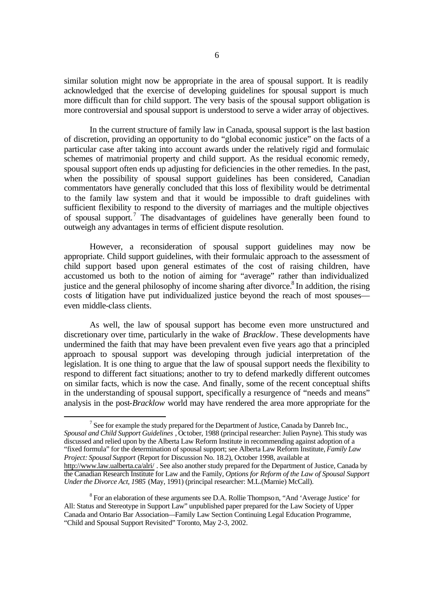similar solution might now be appropriate in the area of spousal support. It is readily acknowledged that the exercise of developing guidelines for spousal support is much more difficult than for child support. The very basis of the spousal support obligation is more controversial and spousal support is understood to serve a wider array of objectives.

In the current structure of family law in Canada, spousal support is the last bastion of discretion, providing an opportunity to do "global economic justice" on the facts of a particular case after taking into account awards under the relatively rigid and formulaic schemes of matrimonial property and child support. As the residual economic remedy, spousal support often ends up adjusting for deficiencies in the other remedies. In the past, when the possibility of spousal support guidelines has been considered, Canadian commentators have generally concluded that this loss of flexibility would be detrimental to the family law system and that it would be impossible to draft guidelines with sufficient flexibility to respond to the diversity of marriages and the multiple objectives of spousal support.<sup>7</sup> The disadvantages of guidelines have generally been found to outweigh any advantages in terms of efficient dispute resolution.

However, a reconsideration of spousal support guidelines may now be appropriate. Child support guidelines, with their formulaic approach to the assessment of child support based upon general estimates of the cost of raising children, have accustomed us both to the notion of aiming for "average" rather than individualized justice and the general philosophy of income sharing after divorce.<sup>8</sup> In addition, the rising costs of litigation have put individualized justice beyond the reach of most spouses even middle-class clients.

As well, the law of spousal support has become even more unstructured and discretionary over time, particularly in the wake of *Bracklow*. These developments have undermined the faith that may have been prevalent even five years ago that a principled approach to spousal support was developing through judicial interpretation of the legislation. It is one thing to argue that the law of spousal support needs the flexibility to respond to different fact situations; another to try to defend markedly different outcomes on similar facts, which is now the case. And finally, some of the recent conceptual shifts in the understanding of spousal support, specifically a resurgence of "needs and means" analysis in the post-*Bracklow* world may have rendered the area more appropriate for the

j

<sup>&</sup>lt;sup>7</sup> See for example the study prepared for the Department of Justice, Canada by Danreb Inc., *Spousal and Child Support Guidelines* , October, 1988 (principal researcher: Julien Payne). This study was discussed and relied upon by the Alberta Law Reform Institute in recommending against adoption of a "fixed formula" for the determination of spousal support; see Alberta Law Reform Institute, *Family Law Project: Spousal Support* (Report for Discussion No. 18.2), October 1998, available at http://www.law.ualberta.ca/alri/ . See also another study prepared for the Department of Justice, Canada by the Canadian Research Institute for Law and the Family, *Options for Reform of the Law of Spousal Support Under the Divorce Act, 1985* (May, 1991) (principal researcher: M.L.(Marnie) McCall).

<sup>&</sup>lt;sup>8</sup> For an elaboration of these arguments see D.A. Rollie Thompson, "And 'Average Justice' for All: Status and Stereotype in Support Law" unpublished paper prepared for the Law Society of Upper Canada and Ontario Bar Association—Family Law Section Continuing Legal Education Programme, "Child and Spousal Support Revisited" Toronto, May 2-3, 2002.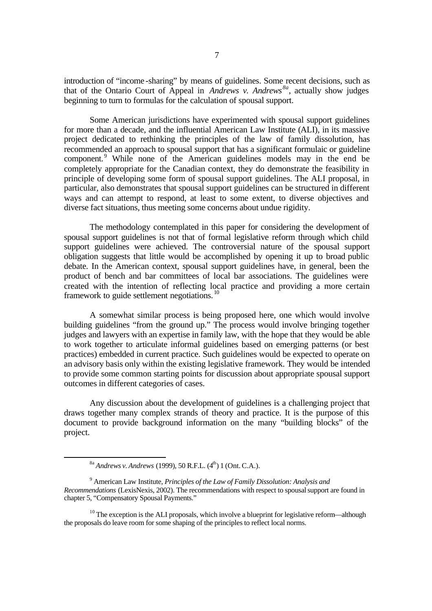introduction of "income -sharing" by means of guidelines. Some recent decisions, such as that of the Ontario Court of Appeal in *Andrews v. Andrews8a*, actually show judges beginning to turn to formulas for the calculation of spousal support.

Some American jurisdictions have experimented with spousal support guidelines for more than a decade, and the influential American Law Institute (ALI), in its massive project dedicated to rethinking the principles of the law of family dissolution, has recommended an approach to spousal support that has a significant formulaic or guideline component.<sup>9</sup> While none of the American guidelines models may in the end be completely appropriate for the Canadian context, they do demonstrate the feasibility in principle of developing some form of spousal support guidelines. The ALI proposal, in particular, also demonstrates that spousal support guidelines can be structured in different ways and can attempt to respond, at least to some extent, to diverse objectives and diverse fact situations, thus meeting some concerns about undue rigidity.

The methodology contemplated in this paper for considering the development of spousal support guidelines is not that of formal legislative reform through which child support guidelines were achieved. The controversial nature of the spousal support obligation suggests that little would be accomplished by opening it up to broad public debate. In the American context, spousal support guidelines have, in general, been the product of bench and bar committees of local bar associations. The guidelines were created with the intention of reflecting local practice and providing a more certain framework to guide settlement negotiations.<sup>10</sup>

A somewhat similar process is being proposed here, one which would involve building guidelines "from the ground up." The process would involve bringing together judges and lawyers with an expertise in family law, with the hope that they would be able to work together to articulate informal guidelines based on emerging patterns (or best practices) embedded in current practice. Such guidelines would be expected to operate on an advisory basis only within the existing legislative framework. They would be intended to provide some common starting points for discussion about appropriate spousal support outcomes in different categories of cases.

Any discussion about the development of guidelines is a challenging project that draws together many complex strands of theory and practice. It is the purpose of this document to provide background information on the many "building blocks" of the project.

1

<sup>&</sup>lt;sup>8a</sup> *Andrews v. Andrews* (1999), 50 R.F.L. (4<sup>th</sup>) 1 (Ont. C.A.).

<sup>9</sup> American Law Institute, *Principles of the Law of Family Dissolution: Analysis and Recommendations* (LexisNexis, 2002). The recommendations with respect to spousal support are found in chapter 5, "Compensatory Spousal Payments."

 $10$  The exception is the ALI proposals, which involve a blueprint for legislative reform—although the proposals do leave room for some shaping of the principles to reflect local norms.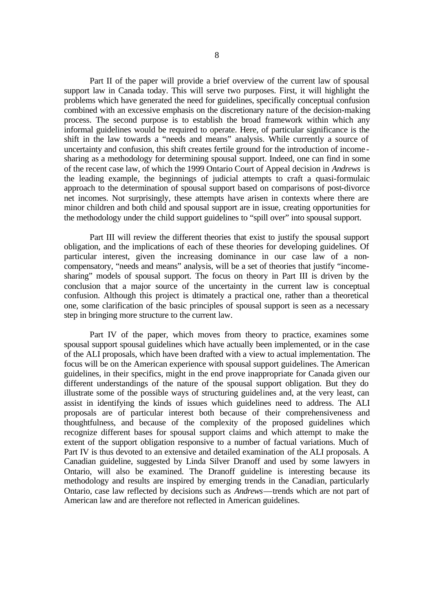Part II of the paper will provide a brief overview of the current law of spousal support law in Canada today. This will serve two purposes. First, it will highlight the problems which have generated the need for guidelines, specifically conceptual confusion combined with an excessive emphasis on the discretionary nature of the decision-making process. The second purpose is to establish the broad framework within which any informal guidelines would be required to operate. Here, of particular significance is the shift in the law towards a "needs and means" analysis. While currently a source of uncertainty and confusion, this shift creates fertile ground for the introduction of income sharing as a methodology for determining spousal support. Indeed, one can find in some of the recent case law, of which the 1999 Ontario Court of Appeal decision in *Andrews* is the leading example, the beginnings of judicial attempts to craft a quasi-formulaic approach to the determination of spousal support based on comparisons of post-divorce net incomes. Not surprisingly, these attempts have arisen in contexts where there are minor children and both child and spousal support are in issue, creating opportunities for the methodology under the child support guidelines to "spill over" into spousal support.

Part III will review the different theories that exist to justify the spousal support obligation, and the implications of each of these theories for developing guidelines. Of particular interest, given the increasing dominance in our case law of a noncompensatory, "needs and means" analysis, will be a set of theories that justify "incomesharing" models of spousal support. The focus on theory in Part III is driven by the conclusion that a major source of the uncertainty in the current law is conceptual confusion. Although this project is ultimately a practical one, rather than a theoretical one, some clarification of the basic principles of spousal support is seen as a necessary step in bringing more structure to the current law.

Part IV of the paper, which moves from theory to practice, examines some spousal support spousal guidelines which have actually been implemented, or in the case of the ALI proposals, which have been drafted with a view to actual implementation. The focus will be on the American experience with spousal support guidelines. The American guidelines, in their specifics, might in the end prove inappropriate for Canada given our different understandings of the nature of the spousal support obligation. But they do illustrate some of the possible ways of structuring guidelines and, at the very least, can assist in identifying the kinds of issues which guidelines need to address. The ALI proposals are of particular interest both because of their comprehensiveness and thoughtfulness, and because of the complexity of the proposed guidelines which recognize different bases for spousal support claims and which attempt to make the extent of the support obligation responsive to a number of factual variations. Much of Part IV is thus devoted to an extensive and detailed examination of the ALI proposals. A Canadian guideline, suggested by Linda Silver Dranoff and used by some lawyers in Ontario, will also be examined. The Dranoff guideline is interesting because its methodology and results are inspired by emerging trends in the Canadian, particularly Ontario, case law reflected by decisions such as *Andrews*—trends which are not part of American law and are therefore not reflected in American guidelines.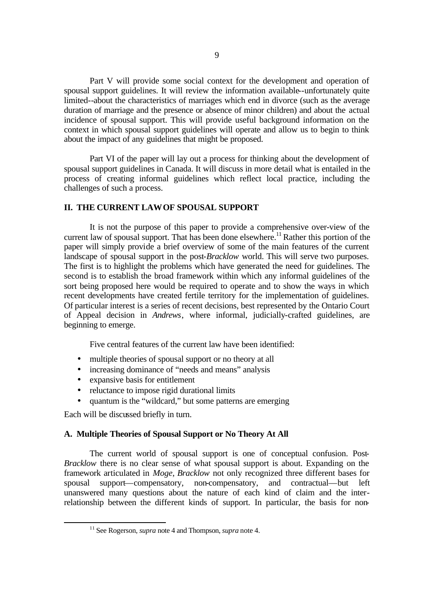Part V will provide some social context for the development and operation of spousal support guidelines. It will review the information available--unfortunately quite limited--about the characteristics of marriages which end in divorce (such as the average duration of marriage and the presence or absence of minor children) and about the actual incidence of spousal support. This will provide useful background information on the context in which spousal support guidelines will operate and allow us to begin to think about the impact of any guidelines that might be proposed.

Part VI of the paper will lay out a process for thinking about the development of spousal support guidelines in Canada. It will discuss in more detail what is entailed in the process of creating informal guidelines which reflect local practice, including the challenges of such a process.

# **II. THE CURRENT LAW OF SPOUSAL SUPPORT**

It is not the purpose of this paper to provide a comprehensive over-view of the current law of spousal support. That has been done elsewhere.<sup>11</sup> Rather this portion of the paper will simply provide a brief overview of some of the main features of the current landscape of spousal support in the post-*Bracklow* world. This will serve two purposes. The first is to highlight the problems which have generated the need for guidelines. The second is to establish the broad framework within which any informal guidelines of the sort being proposed here would be required to operate and to show the ways in which recent developments have created fertile territory for the implementation of guidelines. Of particular interest is a series of recent decisions, best represented by the Ontario Court of Appeal decision in *Andrews*, where informal, judicially-crafted guidelines, are beginning to emerge.

Five central features of the current law have been identified:

- multiple theories of spousal support or no theory at all
- increasing dominance of "needs and means" analysis
- expansive basis for entitlement
- reluctance to impose rigid durational limits
- quantum is the "wildcard," but some patterns are emerging

Each will be discussed briefly in turn.

j

#### **A. Multiple Theories of Spousal Support or No Theory At All**

The current world of spousal support is one of conceptual confusion. Post-*Bracklow* there is no clear sense of what spousal support is about. Expanding on the framework articulated in *Moge*, *Bracklow* not only recognized three different bases for spousal support—compensatory, non-compensatory, and contractual—but left unanswered many questions about the nature of each kind of claim and the interrelationship between the different kinds of support. In particular, the basis for non-

<sup>11</sup> See Rogerson, *supra* note 4 and Thompson, *supra* note 4.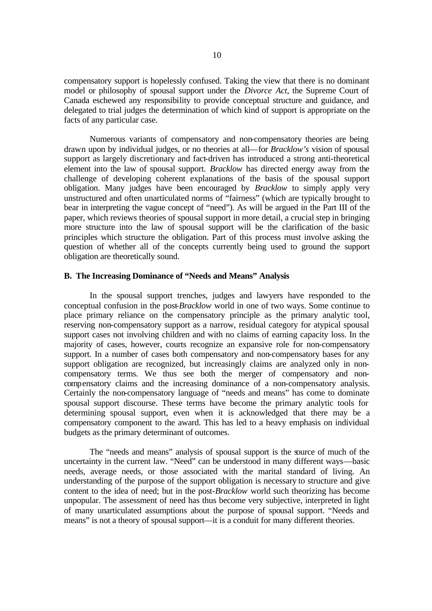compensatory support is hopelessly confused. Taking the view that there is no dominant model or philosophy of spousal support under the *Divorce Act*, the Supreme Court of Canada eschewed any responsibility to provide conceptual structure and guidance, and delegated to trial judges the determination of which kind of support is appropriate on the facts of any particular case.

Numerous variants of compensatory and non-compensatory theories are being drawn upon by individual judges, or no theories at all—for *Bracklow's* vision of spousal support as largely discretionary and fact-driven has introduced a strong anti-theoretical element into the law of spousal support. *Bracklow* has directed energy away from the challenge of developing coherent explanations of the basis of the spousal support obligation. Many judges have been encouraged by *Bracklow* to simply apply very unstructured and often unarticulated norms of "fairness" (which are typically brought to bear in interpreting the vague concept of "need"). As will be argued in the Part III of the paper, which reviews theories of spousal support in more detail, a crucial step in bringing more structure into the law of spousal support will be the clarification of the basic principles which structure the obligation. Part of this process must involve asking the question of whether all of the concepts currently being used to ground the support obligation are theoretically sound.

## **B. The Increasing Dominance of "Needs and Means" Analysis**

In the spousal support trenches, judges and lawyers have responded to the conceptual confusion in the post-*Bracklow* world in one of two ways. Some continue to place primary reliance on the compensatory principle as the primary analytic tool, reserving non-compensatory support as a narrow, residual category for atypical spousal support cases not involving children and with no claims of earning capacity loss. In the majority of cases, however, courts recognize an expansive role for non-compensatory support. In a number of cases both compensatory and non-compensatory bases for any support obligation are recognized, but increasingly claims are analyzed only in noncompensatory terms. We thus see both the merger of compensatory and noncompensatory claims and the increasing dominance of a non-compensatory analysis. Certainly the non-compensatory language of "needs and means" has come to dominate spousal support discourse. These terms have become the primary analytic tools for determining spousal support, even when it is acknowledged that there may be a compensatory component to the award. This has led to a heavy emphasis on individual budgets as the primary determinant of outcomes.

The "needs and means" analysis of spousal support is the source of much of the uncertainty in the current law. "Need" can be understood in many different ways—basic needs, average needs, or those associated with the marital standard of living. An understanding of the purpose of the support obligation is necessary to structure and give content to the idea of need; but in the post-*Bracklow* world such theorizing has become unpopular. The assessment of need has thus become very subjective, interpreted in light of many unarticulated assumptions about the purpose of spousal support. "Needs and means" is not a theory of spousal support—it is a conduit for many different theories.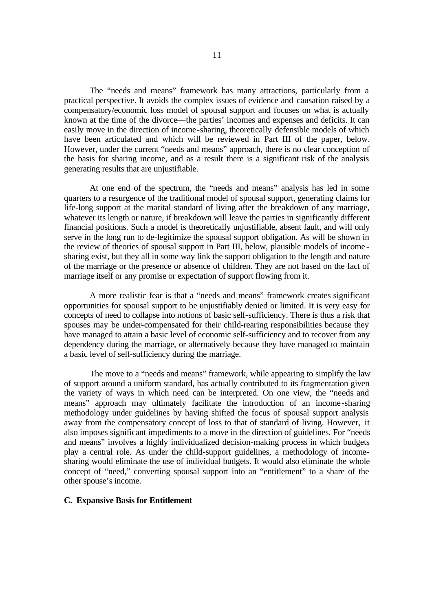The "needs and means" framework has many attractions, particularly from a practical perspective. It avoids the complex issues of evidence and causation raised by a compensatory/economic loss model of spousal support and focuses on what is actually known at the time of the divorce—the parties' incomes and expenses and deficits. It can easily move in the direction of income-sharing, theoretically defensible models of which have been articulated and which will be reviewed in Part III of the paper, below. However, under the current "needs and means" approach, there is no clear conception of the basis for sharing income, and as a result there is a significant risk of the analysis generating results that are unjustifiable.

At one end of the spectrum, the "needs and means" analysis has led in some quarters to a resurgence of the traditional model of spousal support, generating claims for life-long support at the marital standard of living after the breakdown of any marriage, whatever its length or nature, if breakdown will leave the parties in significantly different financial positions. Such a model is theoretically unjustifiable, absent fault, and will only serve in the long run to de-legitimize the spousal support obligation. As will be shown in the review of theories of spousal support in Part III, below, plausible models of income sharing exist, but they all in some way link the support obligation to the length and nature of the marriage or the presence or absence of children. They are not based on the fact of marriage itself or any promise or expectation of support flowing from it.

A more realistic fear is that a "needs and means" framework creates significant opportunities for spousal support to be unjustifiably denied or limited. It is very easy for concepts of need to collapse into notions of basic self-sufficiency. There is thus a risk that spouses may be under-compensated for their child-rearing responsibilities because they have managed to attain a basic level of economic self-sufficiency and to recover from any dependency during the marriage, or alternatively because they have managed to maintain a basic level of self-sufficiency during the marriage.

The move to a "needs and means" framework, while appearing to simplify the law of support around a uniform standard, has actually contributed to its fragmentation given the variety of ways in which need can be interpreted. On one view, the "needs and means" approach may ultimately facilitate the introduction of an income-sharing methodology under guidelines by having shifted the focus of spousal support analysis away from the compensatory concept of loss to that of standard of living. However, it also imposes significant impediments to a move in the direction of guidelines. For "needs and means" involves a highly individualized decision-making process in which budgets play a central role. As under the child-support guidelines, a methodology of incomesharing would eliminate the use of individual budgets. It would also eliminate the whole concept of "need," converting spousal support into an "entitlement" to a share of the other spouse's income.

## **C. Expansive Basis for Entitlement**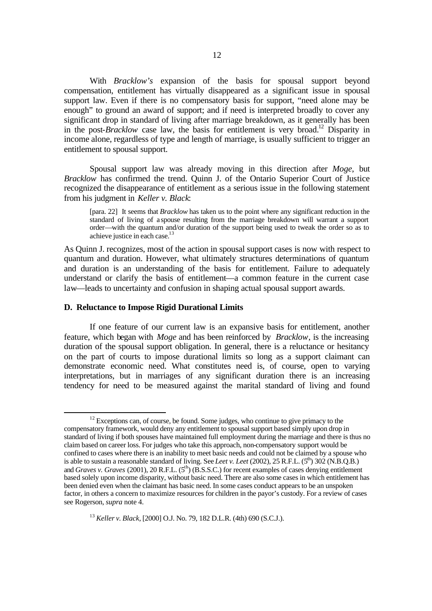With *Bracklow's* expansion of the basis for spousal support beyond compensation, entitlement has virtually disappeared as a significant issue in spousal support law. Even if there is no compensatory basis for support, "need alone may be enough" to ground an award of support; and if need is interpreted broadly to cover any significant drop in standard of living after marriage breakdown, as it generally has been in the post-*Bracklow* case law, the basis for entitlement is very broad.<sup>12</sup> Disparity in income alone, regardless of type and length of marriage, is usually sufficient to trigger an entitlement to spousal support.

Spousal support law was already moving in this direction after *Moge*, but *Bracklow* has confirmed the trend. Quinn J. of the Ontario Superior Court of Justice recognized the disappearance of entitlement as a serious issue in the following statement from his judgment in *Keller v. Black*:

[para. 22] It seems that *Bracklow* has taken us to the point where any significant reduction in the standard of living of a spouse resulting from the marriage breakdown will warrant a support order—with the quantum and/or duration of the support being used to tweak the order so as to achieve justice in each case.<sup>13</sup>

As Quinn J. recognizes, most of the action in spousal support cases is now with respect to quantum and duration. However, what ultimately structures determinations of quantum and duration is an understanding of the basis for entitlement. Failure to adequately understand or clarify the basis of entitlement—a common feature in the current case law—leads to uncertainty and confusion in shaping actual spousal support awards.

## **D. Reluctance to Impose Rigid Durational Limits**

j

If one feature of our current law is an expansive basis for entitlement, another feature, which began with *Moge* and has been reinforced by *Bracklow*, is the increasing duration of the spousal support obligation. In general, there is a reluctance or hesitancy on the part of courts to impose durational limits so long as a support claimant can demonstrate economic need. What constitutes need is, of course, open to varying interpretations, but in marriages of any significant duration there is an increasing tendency for need to be measured against the marital standard of living and found

<sup>13</sup> *Keller v. Black,* [2000] O.J. No. 79, 182 D.L.R. (4th) 690 (S.C.J.).

 $12$  Exceptions can, of course, be found. Some judges, who continue to give primacy to the compensatory framework, would deny any entitlement to spousal support based simply upon drop in standard of living if both spouses have maintained full employment during the marriage and there is thus no claim based on career loss. For judges who take this approach, non-compensatory support would be confined to cases where there is an inability to meet basic needs and could not be claimed by a spouse who is able to sustain a reasonable standard of living. See *Leet v. Leet* (2002), 25 R.F.L. (5<sup>th</sup>) 302 (N.B.Q.B.) and *Graves v. Graves* (2001), 20 R.F.L. (5<sup>th</sup>) (B.S.S.C.) for recent examples of cases denying entitlement based solely upon income disparity, without basic need. There are also some cases in which entitlement has been denied even when the claimant has basic need. In some cases conduct appears to be an unspoken factor, in others a concern to maximize resources for children in the payor's custody. For a review of cases see Rogerson, *supra* note 4.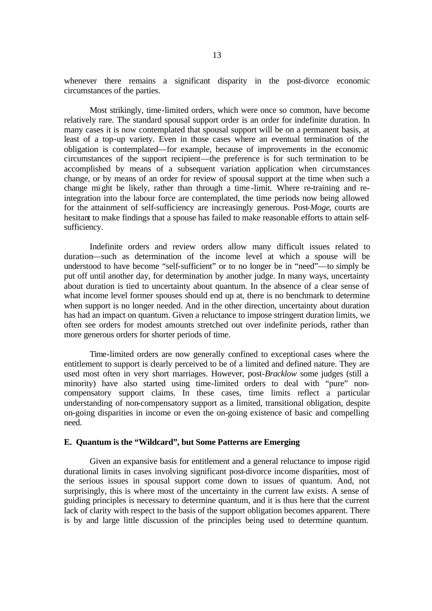whenever there remains a significant disparity in the post-divorce economic circumstances of the parties.

Most strikingly, time-limited orders, which were once so common, have become relatively rare. The standard spousal support order is an order for indefinite duration. In many cases it is now contemplated that spousal support will be on a permanent basis, at least of a top-up variety. Even in those cases where an eventual termination of the obligation is contemplated—for example, because of improvements in the economic circumstances of the support recipient—the preference is for such termination to be accomplished by means of a subsequent variation application when circumstances change, or by means of an order for review of spousal support at the time when such a change might be likely, rather than through a time -limit. Where re-training and reintegration into the labour force are contemplated, the time periods now being allowed for the attainment of self-sufficiency are increasingly generous. Post-*Moge*, courts are hesitant to make findings that a spouse has failed to make reasonable efforts to attain selfsufficiency.

Indefinite orders and review orders allow many difficult issues related to duration—such as determination of the income level at which a spouse will be understood to have become "self-sufficient" or to no longer be in "need"—to simply be put off until another day, for determination by another judge. In many ways, uncertainty about duration is tied to uncertainty about quantum. In the absence of a clear sense of what income level former spouses should end up at, there is no benchmark to determine when support is no longer needed. And in the other direction, uncertainty about duration has had an impact on quantum. Given a reluctance to impose stringent duration limits, we often see orders for modest amounts stretched out over indefinite periods, rather than more generous orders for shorter periods of time.

Time-limited orders are now generally confined to exceptional cases where the entitlement to support is clearly perceived to be of a limited and defined nature. They are used most often in very short marriages. However, post-*Bracklow* some judges (still a minority) have also started using time-limited orders to deal with "pure" noncompensatory support claims. In these cases, time limits reflect a particular understanding of non-compensatory support as a limited, transitional obligation, despite on-going disparities in income or even the on-going existence of basic and compelling need.

# **E. Quantum is the "Wildcard", but Some Patterns are Emerging**

Given an expansive basis for entitlement and a general reluctance to impose rigid durational limits in cases involving significant post-divorce income disparities, most of the serious issues in spousal support come down to issues of quantum. And, not surprisingly, this is where most of the uncertainty in the current law exists. A sense of guiding principles is necessary to determine quantum, and it is thus here that the current lack of clarity with respect to the basis of the support obligation becomes apparent. There is by and large little discussion of the principles being used to determine quantum.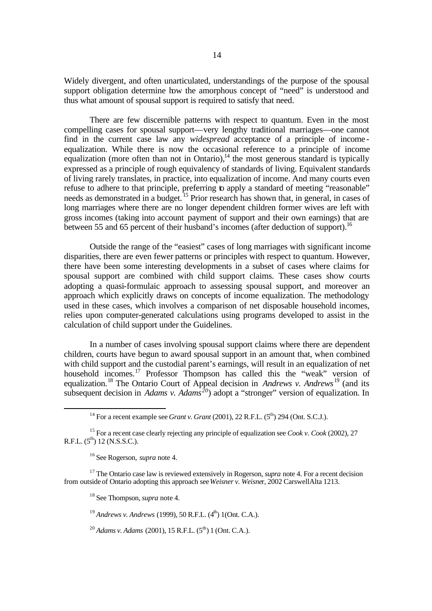Widely divergent, and often unarticulated, understandings of the purpose of the spousal support obligation determine how the amorphous concept of "need" is understood and thus what amount of spousal support is required to satisfy that need.

There are few discernible patterns with respect to quantum. Even in the most compelling cases for spousal support—very lengthy traditional marriages—one cannot find in the current case law any *widespread* acceptance of a principle of income equalization. While there is now the occasional reference to a principle of income equalization (more often than not in Ontario), $^{14}$  the most generous standard is typically expressed as a principle of rough equivalency of standards of living. Equivalent standards of living rarely translates, in practice, into equalization of income. And many courts even refuse to adhere to that principle, preferring to apply a standard of meeting "reasonable" needs as demonstrated in a budget. <sup>15</sup> Prior research has shown that, in general, in cases of long marriages where there are no longer dependent children former wives are left with gross incomes (taking into account payment of support and their own earnings) that are between 55 and 65 percent of their husband's incomes (after deduction of support).<sup>16</sup>

Outside the range of the "easiest" cases of long marriages with significant income disparities, there are even fewer patterns or principles with respect to quantum. However, there have been some interesting developments in a subset of cases where claims for spousal support are combined with child support claims. These cases show courts adopting a quasi-formulaic approach to assessing spousal support, and moreover an approach which explicitly draws on concepts of income equalization. The methodology used in these cases, which involves a comparison of net disposable household incomes, relies upon computer-generated calculations using programs developed to assist in the calculation of child support under the Guidelines.

In a number of cases involving spousal support claims where there are dependent children, courts have begun to award spousal support in an amount that, when combined with child support and the custodial parent's earnings, will result in an equalization of net household incomes.<sup>17</sup> Professor Thompson has called this the "weak" version of equalization.<sup>18</sup> The Ontario Court of Appeal decision in *Andrews v. Andrews*<sup>19</sup> (and its subsequent decision in *Adams v. Adams*<sup>20</sup>) adopt a "stronger" version of equalization. In

1

<sup>&</sup>lt;sup>14</sup> For a recent example see *Grant v. Grant* (2001), 22 R.F.L. ( $5<sup>th</sup>$ ) 294 (Ont. S.C.J.).

<sup>15</sup> For a recent case clearly rejecting any principle of equalization see *Cook v. Cook* (2002), 27 R.F.L.  $(5^{th})$  12 (N.S.S.C.).

<sup>16</sup> See Rogerson, *supra* note 4.

<sup>&</sup>lt;sup>17</sup> The Ontario case law is reviewed extensively in Rogerson, *supra* note 4. For a recent decision from outside of Ontario adopting this approach see *Weisner v. Weisne*r, 2002 CarswellAlta 1213.

<sup>18</sup> See Thompson, *supra* note 4.

<sup>&</sup>lt;sup>19</sup> *Andrews v. Andrews* (1999), 50 R.F.L. (4<sup>th</sup>) 1(Ont. C.A.).

<sup>&</sup>lt;sup>20</sup> *Adams v. Adams* (2001), 15 R.F.L. (5<sup>th</sup>) 1 (Ont. C.A.).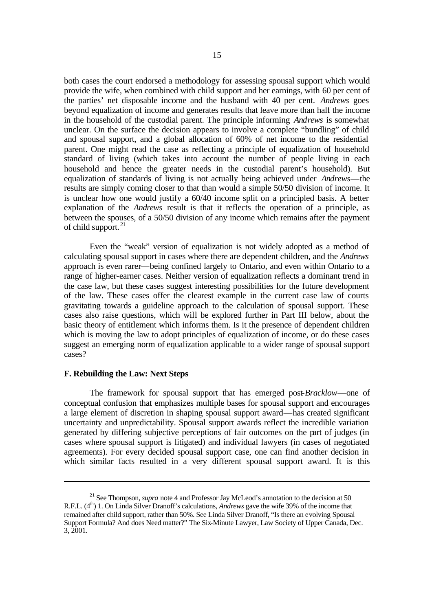both cases the court endorsed a methodology for assessing spousal support which would provide the wife, when combined with child support and her earnings, with 60 per cent of the parties' net disposable income and the husband with 40 per cent. *Andrews* goes beyond equalization of income and generates results that leave more than half the income in the household of the custodial parent. The principle informing *Andrews* is somewhat unclear. On the surface the decision appears to involve a complete "bundling" of child and spousal support, and a global allocation of 60% of net income to the residential parent. One might read the case as reflecting a principle of equalization of household standard of living (which takes into account the number of people living in each household and hence the greater needs in the custodial parent's household). But equalization of standards of living is not actually being achieved under *Andrews*—the results are simply coming closer to that than would a simple 50/50 division of income. It is unclear how one would justify a 60/40 income split on a principled basis. A better explanation of the *Andrews* result is that it reflects the operation of a principle, as between the spouses, of a 50/50 division of any income which remains after the payment of child support. <sup>21</sup>

Even the "weak" version of equalization is not widely adopted as a method of calculating spousal support in cases where there are dependent children, and the *Andrews* approach is even rarer—being confined largely to Ontario, and even within Ontario to a range of higher-earner cases. Neither version of equalization reflects a dominant trend in the case law, but these cases suggest interesting possibilities for the future development of the law. These cases offer the clearest example in the current case law of courts gravitating towards a guideline approach to the calculation of spousal support. These cases also raise questions, which will be explored further in Part III below, about the basic theory of entitlement which informs them. Is it the presence of dependent children which is moving the law to adopt principles of equalization of income, or do these cases suggest an emerging norm of equalization applicable to a wider range of spousal support cases?

### **F. Rebuilding the Law: Next Steps**

j

The framework for spousal support that has emerged post-*Bracklow*—one of conceptual confusion that emphasizes multiple bases for spousal support and encourages a large element of discretion in shaping spousal support award—has created significant uncertainty and unpredictability. Spousal support awards reflect the incredible variation generated by differing subjective perceptions of fair outcomes on the part of judges (in cases where spousal support is litigated) and individual lawyers (in cases of negotiated agreements). For every decided spousal support case, one can find another decision in which similar facts resulted in a very different spousal support award. It is this

<sup>&</sup>lt;sup>21</sup> See Thompson, *supra* note 4 and Professor Jay McLeod's annotation to the decision at 50 R.F.L. (4th) 1. On Linda Silver Dranoff's calculations, *Andrews* gave the wife 39% of the income that remained after child support, rather than 50%. See Linda Silver Dranoff, "Is there an evolving Spousal Support Formula? And does Need matter?" The Six-Minute Lawyer, Law Society of Upper Canada, Dec. 3, 2001.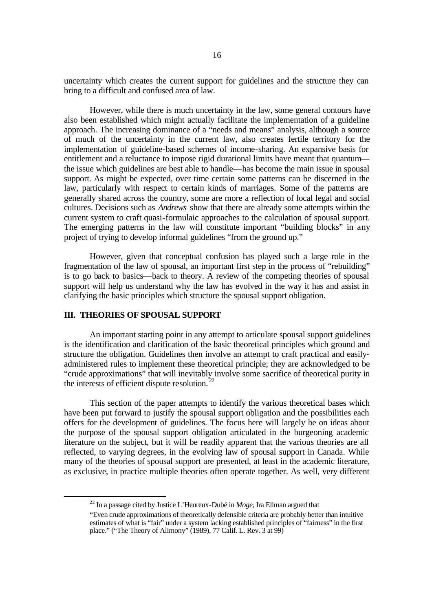uncertainty which creates the current support for guidelines and the structure they can bring to a difficult and confused area of law.

However, while there is much uncertainty in the law, some general contours have also been established which might actually facilitate the implementation of a guideline approach. The increasing dominance of a "needs and means" analysis, although a source of much of the uncertainty in the current law, also creates fertile territory for the implementation of guideline-based schemes of income-sharing. An expansive basis for entitlement and a reluctance to impose rigid durational limits have meant that quantum the issue which guidelines are best able to handle—has become the main issue in spousal support. As might be expected, over time certain some patterns can be discerned in the law, particularly with respect to certain kinds of marriages. Some of the patterns are generally shared across the country, some are more a reflection of local legal and social cultures. Decisions such as *Andrews* show that there are already some attempts within the current system to craft quasi-formulaic approaches to the calculation of spousal support. The emerging patterns in the law will constitute important "building blocks" in any project of trying to develop informal guidelines "from the ground up."

However, given that conceptual confusion has played such a large role in the fragmentation of the law of spousal, an important first step in the process of "rebuilding" is to go back to basics—back to theory. A review of the competing theories of spousal support will help us understand why the law has evolved in the way it has and assist in clarifying the basic principles which structure the spousal support obligation.

# **III. THEORIES OF SPOUSAL SUPPORT**

j

An important starting point in any attempt to articulate spousal support guidelines is the identification and clarification of the basic theoretical principles which ground and structure the obligation. Guidelines then involve an attempt to craft practical and easilyadministered rules to implement these theoretical principle; they are acknowledged to be "crude approximations" that will inevitably involve some sacrifice of theoretical purity in the interests of efficient dispute resolution.<sup>2</sup>

This section of the paper attempts to identify the various theoretical bases which have been put forward to justify the spousal support obligation and the possibilities each offers for the development of guidelines. The focus here will largely be on ideas about the purpose of the spousal support obligation articulated in the burgeoning academic literature on the subject, but it will be readily apparent that the various theories are all reflected, to varying degrees, in the evolving law of spousal support in Canada. While many of the theories of spousal support are presented, at least in the academic literature, as exclusive, in practice multiple theories often operate together. As well, very different

<sup>22</sup> In a passage cited by Justice L'Heureux-Dubé in *Moge*, Ira Ellman argued that

<sup>&</sup>quot;Even crude approximations of theoretically defensible criteria are probably better than intuitive estimates of what is "fair" under a system lacking established principles of "fairness" in the first place." ("The Theory of Alimony" (1989), 77 Calif. L. Rev. 3 at 99)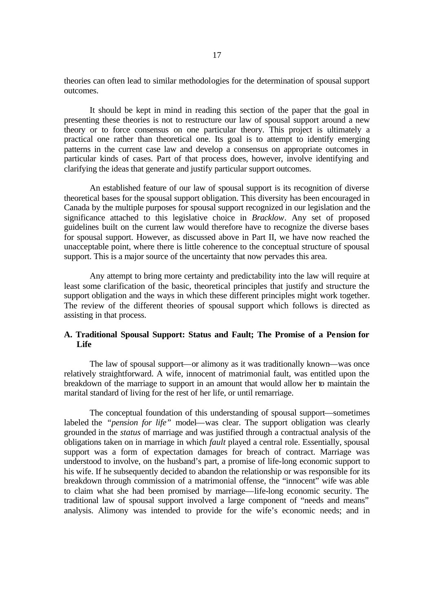theories can often lead to similar methodologies for the determination of spousal support outcomes.

It should be kept in mind in reading this section of the paper that the goal in presenting these theories is not to restructure our law of spousal support around a new theory or to force consensus on one particular theory. This project is ultimately a practical one rather than theoretical one. Its goal is to attempt to identify emerging patterns in the current case law and develop a consensus on appropriate outcomes in particular kinds of cases. Part of that process does, however, involve identifying and clarifying the ideas that generate and justify particular support outcomes.

An established feature of our law of spousal support is its recognition of diverse theoretical bases for the spousal support obligation. This diversity has been encouraged in Canada by the multiple purposes for spousal support recognized in our legislation and the significance attached to this legislative choice in *Bracklow*. Any set of proposed guidelines built on the current law would therefore have to recognize the diverse bases for spousal support. However, as discussed above in Part II, we have now reached the unacceptable point, where there is little coherence to the conceptual structure of spousal support. This is a major source of the uncertainty that now pervades this area.

Any attempt to bring more certainty and predictability into the law will require at least some clarification of the basic, theoretical principles that justify and structure the support obligation and the ways in which these different principles might work together. The review of the different theories of spousal support which follows is directed as assisting in that process.

# **A. Traditional Spousal Support: Status and Fault; The Promise of a Pension for Life**

The law of spousal support—or alimony as it was traditionally known—was once relatively straightforward. A wife, innocent of matrimonial fault, was entitled upon the breakdown of the marriage to support in an amount that would allow her to maintain the marital standard of living for the rest of her life, or until remarriage.

The conceptual foundation of this understanding of spousal support—sometimes labeled the *"pension for life"* model—was clear. The support obligation was clearly grounded in the *status* of marriage and was justified through a contractual analysis of the obligations taken on in marriage in which *fault* played a central role. Essentially, spousal support was a form of expectation damages for breach of contract. Marriage was understood to involve, on the husband's part, a promise of life-long economic support to his wife. If he subsequently decided to abandon the relationship or was responsible for its breakdown through commission of a matrimonial offense, the "innocent" wife was able to claim what she had been promised by marriage—life-long economic security. The traditional law of spousal support involved a large component of "needs and means" analysis. Alimony was intended to provide for the wife's economic needs; and in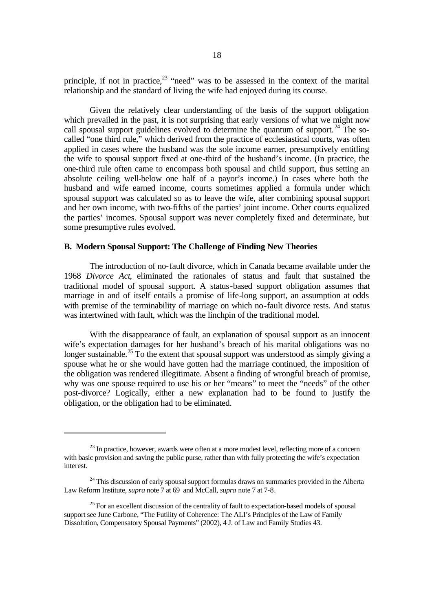principle, if not in practice, $2<sup>3</sup>$  "need" was to be assessed in the context of the marital relationship and the standard of living the wife had enjoyed during its course.

Given the relatively clear understanding of the basis of the support obligation which prevailed in the past, it is not surprising that early versions of what we might now call spousal support guidelines evolved to determine the quantum of support.  $^{24}$  The socalled "one third rule," which derived from the practice of ecclesiastical courts, was often applied in cases where the husband was the sole income earner, presumptively entitling the wife to spousal support fixed at one-third of the husband's income. (In practice, the one-third rule often came to encompass both spousal and child support, thus setting an absolute ceiling well-below one half of a payor's income.) In cases where both the husband and wife earned income, courts sometimes applied a formula under which spousal support was calculated so as to leave the wife, after combining spousal support and her own income, with two-fifths of the parties' joint income. Other courts equalized the parties' incomes. Spousal support was never completely fixed and determinate, but some presumptive rules evolved.

#### **B. Modern Spousal Support: The Challenge of Finding New Theories**

The introduction of no-fault divorce, which in Canada became available under the 1968 *Divorce Act*, eliminated the rationales of status and fault that sustained the traditional model of spousal support. A status-based support obligation assumes that marriage in and of itself entails a promise of life-long support, an assumption at odds with premise of the terminability of marriage on which no-fault divorce rests. And status was intertwined with fault, which was the linchpin of the traditional model.

With the disappearance of fault, an explanation of spousal support as an innocent wife's expectation damages for her husband's breach of his marital obligations was no longer sustainable.<sup>25</sup> To the extent that spousal support was understood as simply giving a spouse what he or she would have gotten had the marriage continued, the imposition of the obligation was rendered illegitimate. Absent a finding of wrongful breach of promise, why was one spouse required to use his or her "means" to meet the "needs" of the other post-divorce? Logically, either a new explanation had to be found to justify the obligation, or the obligation had to be eliminated.

 $\overline{a}$ 

 $^{23}$  In practice, however, awards were often at a more modest level, reflecting more of a concern with basic provision and saving the public purse, rather than with fully protecting the wife's expectation interest.

 $24$  This discussion of early spousal support formulas draws on summaries provided in the Alberta Law Reform Institute, *supra* note 7 at 69 and McCall, *supra* note 7 at 7-8.

 $25$  For an excellent discussion of the centrality of fault to expectation-based models of spousal support see June Carbone, "The Futility of Coherence: The ALI's Principles of the Law of Family Dissolution, Compensatory Spousal Payments" (2002), 4 J. of Law and Family Studies 43.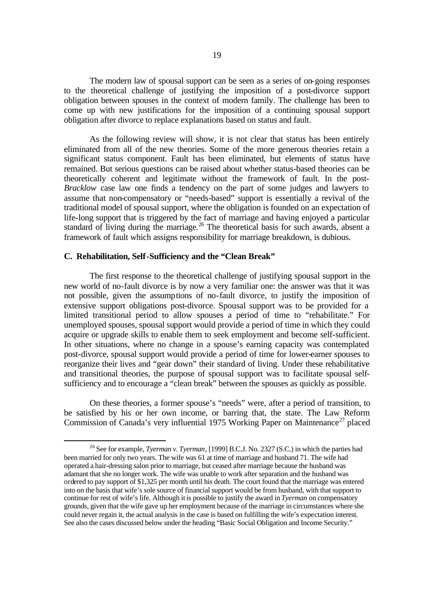The modern law of spousal support can be seen as a series of on-going responses to the theoretical challenge of justifying the imposition of a post-divorce support obligation between spouses in the context of modern family. The challenge has been to come up with new justifications for the imposition of a continuing spousal support obligation after divorce to replace explanations based on status and fault.

As the following review will show, it is not clear that status has been entirely eliminated from all of the new theories. Some of the more generous theories retain a significant status component. Fault has been eliminated, but elements of status have remained. But serious questions can be raised about whether status-based theories can be theoretically coherent and legitimate without the framework of fault. In the post-*Bracklow* case law one finds a tendency on the part of some judges and lawyers to assume that non-compensatory or "needs-based" support is essentially a revival of the traditional model of spousal support, where the obligation is founded on an expectation of life-long support that is triggered by the fact of marriage and having enjoyed a particular standard of living during the marriage.<sup>26</sup> The theoretical basis for such awards, absent a framework of fault which assigns responsibility for marriage breakdown, is dubious.

## **C. Rehabilitation, Self-Sufficiency and the "Clean Break"**

1

The first response to the theoretical challenge of justifying spousal support in the new world of no-fault divorce is by now a very familiar one: the answer was that it was not possible, given the assumptions of no-fault divorce, to justify the imposition of extensive support obligations post-divorce. Spousal support was to be provided for a limited transitional period to allow spouses a period of time to "rehabilitate." For unemployed spouses, spousal support would provide a period of time in which they could acquire or upgrade skills to enable them to seek employment and become self-sufficient. In other situations, where no change in a spouse's earning capacity was contemplated post-divorce, spousal support would provide a period of time for lower-earner spouses to reorganize their lives and "gear down" their standard of living. Under these rehabilitative and transitional theories, the purpose of spousal support was to facilitate spousal selfsufficiency and to encourage a "clean break" between the spouses as quickly as possible.

On these theories, a former spouse's "needs" were, after a period of transition, to be satisfied by his or her own income, or barring that, the state. The Law Reform Commission of Canada's very influential 1975 Working Paper on Maintenance<sup>27</sup> placed

<sup>26</sup> See for example, *Tyerman v. Tyerman*, [1999] B.C.J. No. 2327 (S.C.) in which the parties had been married for only two years. The wife was 61 at time of marriage and husband 71. The wife had operated a hair-dressing salon prior to marriage, but ceased after marriage because the husband was adamant that she no longer work. The wife was unable to work after separation and the husband was ordered to pay support of \$1,325 per month until his death. The court found that the marriage was entered into on the basis that wife's sole source of financial support would be from husband, with that support to continue for rest of wife's life. Although it is possible to justify the award in *Tyerman* on compensatory grounds, given that the wife gave up her employment because of the marriage in circumstances where she could never regain it, the actual analysis in the case is based on fulfilling the wife's expectation interest. See also the cases discussed below under the heading "Basic Social Obligation and Income Security."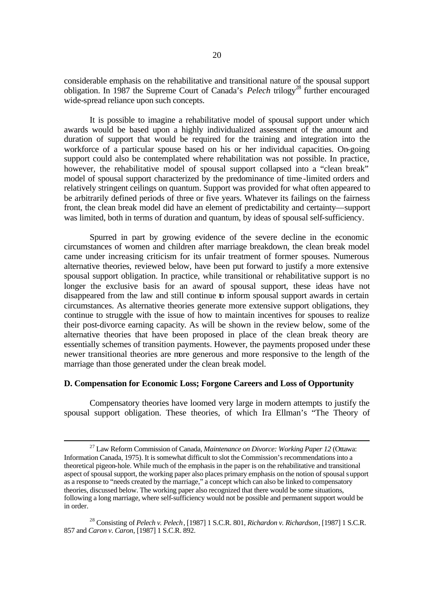considerable emphasis on the rehabilitative and transitional nature of the spousal support obligation. In 1987 the Supreme Court of Canada's *Pelech* trilogy<sup>28</sup> further encouraged wide-spread reliance upon such concepts.

It is possible to imagine a rehabilitative model of spousal support under which awards would be based upon a highly individualized assessment of the amount and duration of support that would be required for the training and integration into the workforce of a particular spouse based on his or her individual capacities. On-going support could also be contemplated where rehabilitation was not possible. In practice, however, the rehabilitative model of spousal support collapsed into a "clean break" model of spousal support characterized by the predominance of time -limited orders and relatively stringent ceilings on quantum. Support was provided for what often appeared to be arbitrarily defined periods of three or five years. Whatever its failings on the fairness front, the clean break model did have an element of predictability and certainty—support was limited, both in terms of duration and quantum, by ideas of spousal self-sufficiency.

Spurred in part by growing evidence of the severe decline in the economic circumstances of women and children after marriage breakdown, the clean break model came under increasing criticism for its unfair treatment of former spouses. Numerous alternative theories, reviewed below, have been put forward to justify a more extensive spousal support obligation. In practice, while transitional or rehabilitative support is no longer the exclusive basis for an award of spousal support, these ideas have not disappeared from the law and still continue to inform spousal support awards in certain circumstances. As alternative theories generate more extensive support obligations, they continue to struggle with the issue of how to maintain incentives for spouses to realize their post-divorce earning capacity. As will be shown in the review below, some of the alternative theories that have been proposed in place of the clean break theory are essentially schemes of transition payments. However, the payments proposed under these newer transitional theories are more generous and more responsive to the length of the marriage than those generated under the clean break model.

## **D. Compensation for Economic Loss; Forgone Careers and Loss of Opportunity**

1

Compensatory theories have loomed very large in modern attempts to justify the spousal support obligation. These theories, of which Ira Ellman's "The Theory of

<sup>27</sup> Law Reform Commission of Canada, *Maintenance on Divorce: Working Paper 12* (Ottawa: Information Canada, 1975). It is somewhat difficult to slot the Commission's recommendations into a theoretical pigeon-hole. While much of the emphasis in the paper is on the rehabilitative and transitional aspect of spousal support, the working paper also places primary emphasis on the notion of spousal support as a response to "needs created by the marriage," a concept which can also be linked to compensatory theories, discussed below. The working paper also recognized that there would be some situations, following a long marriage, where self-sufficiency would not be possible and permanent support would be in order.

<sup>28</sup> Consisting of *Pelech v. Pelech*, [1987] 1 S.C.R. 801, *Richardon v. Richardson*, [1987] 1 S.C.R. 857 and *Caron v. Caron*, [1987] 1 S.C.R. 892.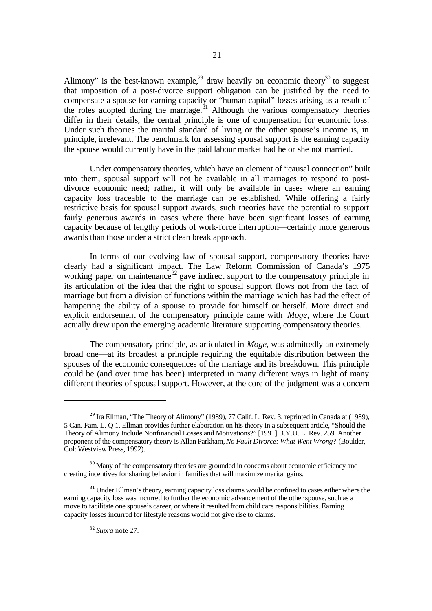Alimony" is the best-known example,<sup>29</sup> draw heavily on economic theory<sup>30</sup> to suggest that imposition of a post-divorce support obligation can be justified by the need to compensate a spouse for earning capacity or "human capital" losses arising as a result of the roles adopted during the marriage.<sup>31</sup> Although the various compensatory theories differ in their details, the central principle is one of compensation for economic loss. Under such theories the marital standard of living or the other spouse's income is, in principle, irrelevant. The benchmark for assessing spousal support is the earning capacity the spouse would currently have in the paid labour market had he or she not married.

Under compensatory theories, which have an element of "causal connection" built into them, spousal support will not be available in all marriages to respond to postdivorce economic need; rather, it will only be available in cases where an earning capacity loss traceable to the marriage can be established. While offering a fairly restrictive basis for spousal support awards, such theories have the potential to support fairly generous awards in cases where there have been significant losses of earning capacity because of lengthy periods of work-force interruption—certainly more generous awards than those under a strict clean break approach.

In terms of our evolving law of spousal support, compensatory theories have clearly had a significant impact. The Law Reform Commission of Canada's 1975 working paper on maintenance<sup>32</sup> gave indirect support to the compensatory principle in its articulation of the idea that the right to spousal support flows not from the fact of marriage but from a division of functions within the marriage which has had the effect of hampering the ability of a spouse to provide for himself or herself. More direct and explicit endorsement of the compensatory principle came with *Moge*, where the Court actually drew upon the emerging academic literature supporting compensatory theories.

The compensatory principle, as articulated in *Moge*, was admittedly an extremely broad one—at its broadest a principle requiring the equitable distribution between the spouses of the economic consequences of the marriage and its breakdown. This principle could be (and over time has been) interpreted in many different ways in light of many different theories of spousal support. However, at the core of the judgment was a concern

 $\overline{a}$ 

 $^{29}$  Ira Ellman, "The Theory of Alimony" (1989), 77 Calif. L. Rev. 3, reprinted in Canada at (1989), 5 Can. Fam. L. Q 1. Ellman provides further elaboration on his theory in a subsequent article, "Should the Theory of Alimony Include Nonfinancial Losses and Motivations?" [1991] B.Y.U. L. Rev. 259. Another proponent of the compensatory theory is Allan Parkham, *No Fault Divorce: What Went Wrong?* (Boulder, Col: Westview Press, 1992).

<sup>&</sup>lt;sup>30</sup> Many of the compensatory theories are grounded in concerns about economic efficiency and creating incentives for sharing behavior in families that will maximize marital gains.

 $31$  Under Ellman's theory, earning capacity loss claims would be confined to cases either where the earning capacity loss was incurred to further the economic advancement of the other spouse, such as a move to facilitate one spouse's career, or where it resulted from child care responsibilities. Earning capacity losses incurred for lifestyle reasons would not give rise to claims.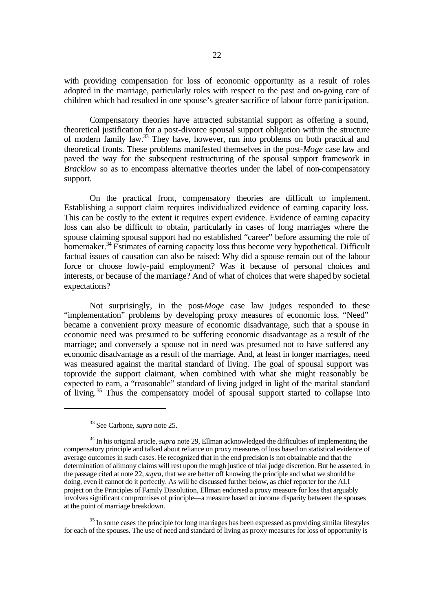with providing compensation for loss of economic opportunity as a result of roles adopted in the marriage, particularly roles with respect to the past and on-going care of children which had resulted in one spouse's greater sacrifice of labour force participation.

Compensatory theories have attracted substantial support as offering a sound, theoretical justification for a post-divorce spousal support obligation within the structure of modern family law.<sup>33</sup> They have, however, run into problems on both practical and theoretical fronts. These problems manifested themselves in the post-*Moge* case law and paved the way for the subsequent restructuring of the spousal support framework in *Bracklow* so as to encompass alternative theories under the label of non-compensatory support.

On the practical front, compensatory theories are difficult to implement. Establishing a support claim requires individualized evidence of earning capacity loss. This can be costly to the extent it requires expert evidence. Evidence of earning capacity loss can also be difficult to obtain, particularly in cases of long marriages where the spouse claiming spousal support had no established "career" before assuming the role of homemaker.<sup>34</sup> Estimates of earning capacity loss thus become very hypothetical. Difficult factual issues of causation can also be raised: Why did a spouse remain out of the labour force or choose lowly-paid employment? Was it because of personal choices and interests, or because of the marriage? And of what of choices that were shaped by societal expectations?

Not surprisingly, in the post-*Moge* case law judges responded to these "implementation" problems by developing proxy measures of economic loss. "Need" became a convenient proxy measure of economic disadvantage, such that a spouse in economic need was presumed to be suffering economic disadvantage as a result of the marriage; and conversely a spouse not in need was presumed not to have suffered any economic disadvantage as a result of the marriage. And, at least in longer marriages, need was measured against the marital standard of living. The goal of spousal support was toprovide the support claimant, when combined with what she might reasonably be expected to earn, a "reasonable" standard of living judged in light of the marital standard of living. <sup>35</sup> Thus the compensatory model of spousal support started to collapse into

1

 $35$  In some cases the principle for long marriages has been expressed as providing similar lifestyles for each of the spouses. The use of need and standard of living as proxy measures for loss of opportunity is

<sup>33</sup> See Carbone, *supra* note 25.

<sup>&</sup>lt;sup>34</sup> In his original article, *supra* note 29, Ellman acknowledged the difficulties of implementing the compensatory principle and talked about reliance on proxy measures of loss based on statistical evidence of average outcomes in such cases. He recognized that in the end precision is not obtainable and that the determination of alimony claims will rest upon the rough justice of trial judge discretion. But he asserted, in the passage cited at note 22, *supra*, that we are better off knowing the principle and what we should be doing, even if cannot do it perfectly. As will be discussed further below, as chief reporter for the ALI project on the Principles of Family Dissolution, Ellman endorsed a proxy measure for loss that arguably involves significant compromises of principle—a measure based on income disparity between the spouses at the point of marriage breakdown.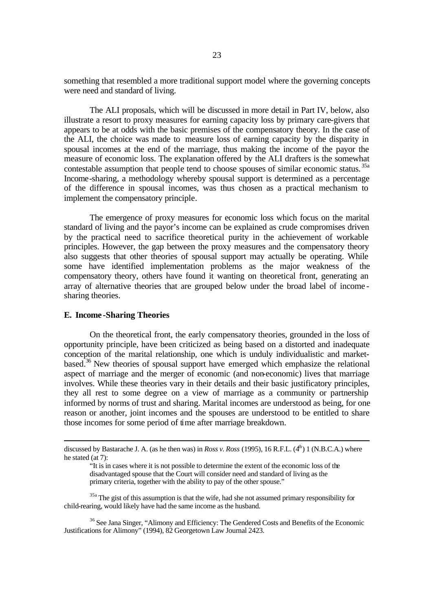something that resembled a more traditional support model where the governing concepts were need and standard of living.

The ALI proposals, which will be discussed in more detail in Part IV, below, also illustrate a resort to proxy measures for earning capacity loss by primary care-givers that appears to be at odds with the basic premises of the compensatory theory. In the case of the ALI, the choice was made to measure loss of earning capacity by the disparity in spousal incomes at the end of the marriage, thus making the income of the payor the measure of economic loss. The explanation offered by the ALI drafters is the somewhat contestable assumption that people tend to choose spouses of similar economic status. 35a Income-sharing, a methodology whereby spousal support is determined as a percentage of the difference in spousal incomes, was thus chosen as a practical mechanism to implement the compensatory principle.

The emergence of proxy measures for economic loss which focus on the marital standard of living and the payor's income can be explained as crude compromises driven by the practical need to sacrifice theoretical purity in the achievement of workable principles. However, the gap between the proxy measures and the compensatory theory also suggests that other theories of spousal support may actually be operating. While some have identified implementation problems as the major weakness of the compensatory theory, others have found it wanting on theoretical front, generating an array of alternative theories that are grouped below under the broad label of income sharing theories.

### **E. Income -Sharing Theories**

1

On the theoretical front, the early compensatory theories, grounded in the loss of opportunity principle, have been criticized as being based on a distorted and inadequate conception of the marital relationship, one which is unduly individualistic and marketbased.<sup>36</sup> New theories of spousal support have emerged which emphasize the relational aspect of marriage and the merger of economic (and non-economic) lives that marriage involves. While these theories vary in their details and their basic justificatory principles, they all rest to some degree on a view of marriage as a community or partnership informed by norms of trust and sharing. Marital incomes are understood as being, for one reason or another, joint incomes and the spouses are understood to be entitled to share those incomes for some period of time after marriage breakdown.

<sup>35a</sup> The gist of this assumption is that the wife, had she not assumed primary responsibility for child-rearing, would likely have had the same income as the husband.

<sup>36</sup> See Jana Singer, "Alimony and Efficiency: The Gendered Costs and Benefits of the Economic Justifications for Alimony" (1994), 82 Georgetown Law Journal 2423.

discussed by Bastarache J. A. (as he then was) in *Ross v. Ross* (1995), 16 R.F.L.  $(4^h)$  1 (N.B.C.A.) where he stated (at 7):

<sup>&</sup>quot;It is in cases where it is not possible to determine the extent of the economic loss of the disadvantaged spouse that the Court will consider need and standard of living as the primary criteria, together with the ability to pay of the other spouse."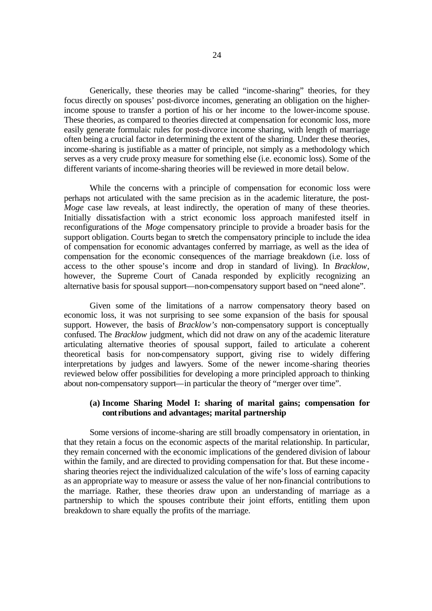Generically, these theories may be called "income-sharing" theories, for they focus directly on spouses' post-divorce incomes, generating an obligation on the higherincome spouse to transfer a portion of his or her income to the lower-income spouse. These theories, as compared to theories directed at compensation for economic loss, more easily generate formulaic rules for post-divorce income sharing, with length of marriage often being a crucial factor in determining the extent of the sharing. Under these theories, income-sharing is justifiable as a matter of principle, not simply as a methodology which serves as a very crude proxy measure for something else (i.e. economic loss). Some of the different variants of income-sharing theories will be reviewed in more detail below.

While the concerns with a principle of compensation for economic loss were perhaps not articulated with the same precision as in the academic literature, the post-*Moge* case law reveals, at least indirectly, the operation of many of these theories. Initially dissatisfaction with a strict economic loss approach manifested itself in reconfigurations of the *Moge* compensatory principle to provide a broader basis for the support obligation. Courts began to stretch the compensatory principle to include the idea of compensation for economic advantages conferred by marriage, as well as the idea of compensation for the economic consequences of the marriage breakdown (i.e. loss of access to the other spouse's income and drop in standard of living). In *Bracklow*, however, the Supreme Court of Canada responded by explicitly recognizing an alternative basis for spousal support—non-compensatory support based on "need alone".

Given some of the limitations of a narrow compensatory theory based on economic loss, it was not surprising to see some expansion of the basis for spousal support. However, the basis of *Bracklow's* non-compensatory support is conceptually confused. The *Bracklow* judgment, which did not draw on any of the academic literature articulating alternative theories of spousal support, failed to articulate a coherent theoretical basis for non-compensatory support, giving rise to widely differing interpretations by judges and lawyers. Some of the newer income-sharing theories reviewed below offer possibilities for developing a more principled approach to thinking about non-compensatory support—in particular the theory of "merger over time".

# **(a) Income Sharing Model I: sharing of marital gains; compensation for contributions and advantages; marital partnership**

Some versions of income-sharing are still broadly compensatory in orientation, in that they retain a focus on the economic aspects of the marital relationship. In particular, they remain concerned with the economic implications of the gendered division of labour within the family, and are directed to providing compensation for that. But these income sharing theories reject the individualized calculation of the wife's loss of earning capacity as an appropriate way to measure or assess the value of her non-financial contributions to the marriage. Rather, these theories draw upon an understanding of marriage as a partnership to which the spouses contribute their joint efforts, entitling them upon breakdown to share equally the profits of the marriage.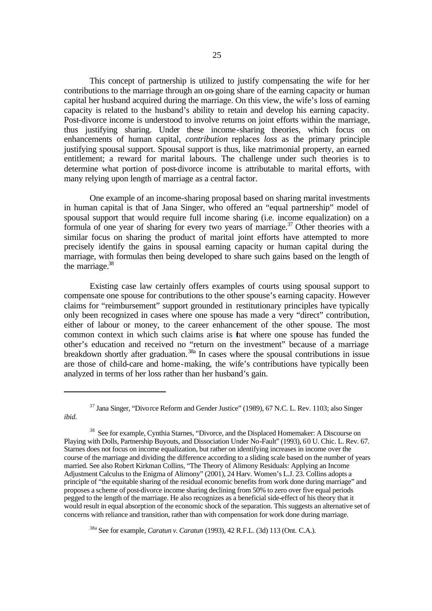This concept of partnership is utilized to justify compensating the wife for her contributions to the marriage through an on-going share of the earning capacity or human capital her husband acquired during the marriage. On this view, the wife's loss of earning capacity is related to the husband's ability to retain and develop his earning capacity. Post-divorce income is understood to involve returns on joint efforts within the marriage, thus justifying sharing. Under these income-sharing theories, which focus on enhancements of human capital, *contribution* replaces *loss* as the primary principle justifying spousal support. Spousal support is thus, like matrimonial property, an earned entitlement; a reward for marital labours. The challenge under such theories is to determine what portion of post-divorce income is attributable to marital efforts, with many relying upon length of marriage as a central factor.

One example of an income-sharing proposal based on sharing marital investments in human capital is that of Jana Singer, who offered an "equal partnership" model of spousal support that would require full income sharing (i.e. income equalization) on a formula of one year of sharing for every two years of marriage.<sup>37</sup> Other theories with a similar focus on sharing the product of marital joint efforts have attempted to more precisely identify the gains in spousal earning capacity or human capital during the marriage, with formulas then being developed to share such gains based on the length of the marriage. $38$ 

Existing case law certainly offers examples of courts using spousal support to compensate one spouse for contributions to the other spouse's earning capacity. However claims for "reimbursement" support grounded in restitutionary principles have typically only been recognized in cases where one spouse has made a very "direct" contribution, either of labour or money, to the career enhancement of the other spouse. The most common context in which such claims arise is that where one spouse has funded the other's education and received no "return on the investment" because of a marriage breakdown shortly after graduation.<sup>38a</sup> In cases where the spousal contributions in issue are those of child-care and home-making, the wife's contributions have typically been analyzed in terms of her loss rather than her husband's gain.

1

<sup>&</sup>lt;sup>37</sup> Jana Singer, "Divorce Reform and Gender Justice" (1989), 67 N.C. L. Rev. 1103; also Singer *ibid.*

<sup>&</sup>lt;sup>38</sup> See for example, Cynthia Starnes, "Divorce, and the Displaced Homemaker: A Discourse on Playing with Dolls, Partnership Buyouts, and Dissociation Under No-Fault" (1993), 60 U. Chic. L. Rev. 67. Starnes does not focus on income equalization, but rather on identifying increases in income over the course of the marriage and dividing the difference according to a sliding scale based on the number of years married. See also Robert Kirkman Collins, "The Theory of Alimony Residuals: Applying an Income Adjustment Calculus to the Enigma of Alimony" (2001), 24 Harv. Women's L.J. 23. Collins adopts a principle of "the equitable sharing of the residual economic benefits from work done during marriage" and proposes a scheme of post-divorce income sharing declining from 50% to zero over five equal periods pegged to the length of the marriage. He also recognizes as a beneficial side-effect of his theory that it would result in equal absorption of the economic shock of the separation. This suggests an alternative set of concerns with reliance and transition, rather than with compensation for work done during marriage.

<sup>38</sup>a See for example, *Caratun v. Caratun* (1993), 42 R.F.L. (3d) 113 (Ont. C.A.).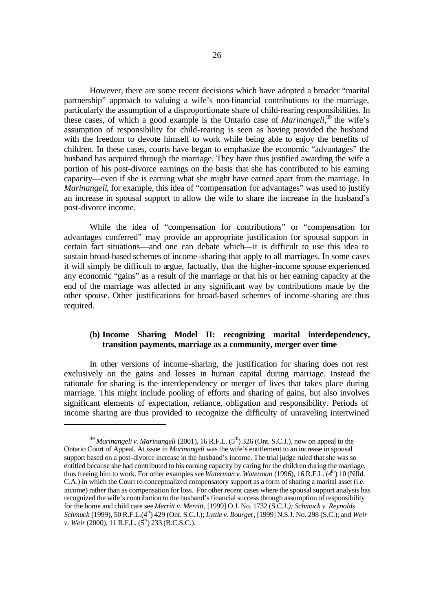However, there are some recent decisions which have adopted a broader "marital partnership" approach to valuing a wife's non-financial contributions to the marriage, particularly the assumption of a disproportionate share of child-rearing responsibilities. In these cases, of which a good example is the Ontario case of *Marinangeli*, <sup>39</sup> the wife's assumption of responsibility for child-rearing is seen as having provided the husband with the freedom to devote himself to work while being able to enjoy the benefits of children. In these cases, courts have began to emphasize the economic "advantages" the husband has acquired through the marriage. They have thus justified awarding the wife a portion of his post-divorce earnings on the basis that she has contributed to his earning capacity—even if she is earning what she might have earned apart from the marriage. In *Marinangeli*, for example, this idea of "compensation for advantages" was used to justify an increase in spousal support to allow the wife to share the increase in the husband's post-divorce income.

While the idea of "compensation for contributions" or "compensation for advantages conferred" may provide an appropriate justification for spousal support in certain fact situations—and one can debate which—it is difficult to use this idea to sustain broad-based schemes of income -sharing that apply to all marriages. In some cases it will simply be difficult to argue, factually, that the higher-income spouse experienced any economic "gains" as a result of the marriage or that his or her earning capacity at the end of the marriage was affected in any significant way by contributions made by the other spouse. Other justifications for broad-based schemes of income-sharing are thus required.

# **(b) Income Sharing Model II: recognizing marital interdependency, transition payments, marriage as a community, merger over time**

In other versions of income -sharing, the justification for sharing does not rest exclusively on the gains and losses in human capital during marriage. Instead the rationale for sharing is the interdependency or merger of lives that takes place during marriage. This might include pooling of efforts and sharing of gains, but also involves significant elements of expectation, reliance, obligation and responsibility. Periods of income sharing are thus provided to recognize the difficulty of unraveling intertwined

1

<sup>&</sup>lt;sup>39</sup> *Marinangeli v. Marinangeli* (2001), 16 R.F.L. (5<sup>th</sup>) 326 (Ont. S.C.J.), now on appeal to the Ontario Court of Appeal. At issue in *Marinangeli* was the wife's entitlement to an increase in spousal support based on a post-divorce increase in the husband's income. The trial judge ruled that she was so entitled because she had contributed to his earning capacity by caring for the children during the marriage, thus freeing him to work. For other examples see *Waterman v. Waterman* (1996), 16 R.F.L. (4<sup>th</sup>) 10 (Nfld. C.A.) in which the Court re-conceptualized compensatory support as a form of sharing a marital asset (i.e. income) rather than as compensation for loss. For other recent cases where the spousal support analysis has recognized the wife's contribution to the husband's financial success through assumption of responsibility for the home and child care see *Merritt v. Merritt*, [1999] O.J. No. 1732 (S.C.J*.); Schmuck v. Reynolds Schmuck* (1999), 50 R.F.L.(4<sup>th</sup>) 429 (Ont. S.C.J.); *Lyttle v. Bourget*, [1999] N.S.J. No. 298 (S.C.); and *Weir v. Weir* (2000), 11 R.F.L. (5<sup>th</sup>) 233 (B.C.S.C.).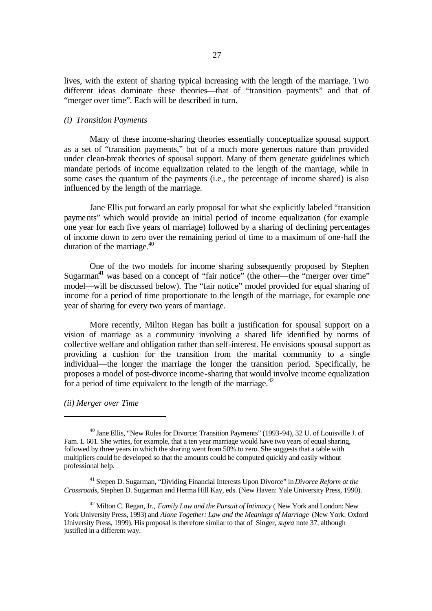lives, with the extent of sharing typical increasing with the length of the marriage. Two different ideas dominate these theories—that of "transition payments" and that of "merger over time". Each will be described in turn.

#### *(i) Transition Payments*

Many of these income-sharing theories essentially conceptualize spousal support as a set of "transition payments," but of a much more generous nature than provided under clean-break theories of spousal support. Many of them generate guidelines which mandate periods of income equalization related to the length of the marriage, while in some cases the quantum of the payments (i.e., the percentage of income shared) is also influenced by the length of the marriage.

Jane Ellis put forward an early proposal for what she explicitly labeled "transition payments" which would provide an initial period of income equalization (for example one year for each five years of marriage) followed by a sharing of declining percentages of income down to zero over the remaining period of time to a maximum of one-half the duration of the marriage.<sup>40</sup>

One of the two models for income sharing subsequently proposed by Stephen Sugarman<sup>41</sup> was based on a concept of "fair notice" (the other—the "merger over time" model—will be discussed below). The "fair notice" model provided for equal sharing of income for a period of time proportionate to the length of the marriage, for example one year of sharing for every two years of marriage.

More recently, Milton Regan has built a justification for spousal support on a vision of marriage as a community involving a shared life identified by norms of collective welfare and obligation rather than self-interest. He envisions spousal support as providing a cushion for the transition from the marital community to a single individual—the longer the marriage the longer the transition period. Specifically, he proposes a model of post-divorce income-sharing that would involve income equalization for a period of time equivalent to the length of the marriage.<sup>42</sup>

*(ii) Merger over Time*

j

<sup>41</sup> Stepen D. Sugarman, "Dividing Financial Interests Upon Divorce" in *Divorce Reform at the Crossroads*, Stephen D. Sugarman and Herma Hill Kay, eds. (New Haven: Yale University Press, 1990).

<sup>42</sup> Milton C. Regan, Jr., *Family Law and the Pursuit of Intimacy* ( New York and London: New York University Press, 1993) and *Alone Together: Law and the Meanings of Marriage* (New York: Oxford University Press, 1999). His proposal is therefore similar to that of Singer, *supra* note 37, although justified in a different way.

<sup>40</sup> Jane Ellis, "New Rules for Divorce: Transition Payments" (1993-94), 32 U. of Louisville J. of Fam. L 601. She writes, for example, that a ten year marriage would have two years of equal sharing, followed by three years in which the sharing went from 50% to zero. She suggests that a table with multipliers could be developed so that the amounts could be computed quickly and easily without professional help.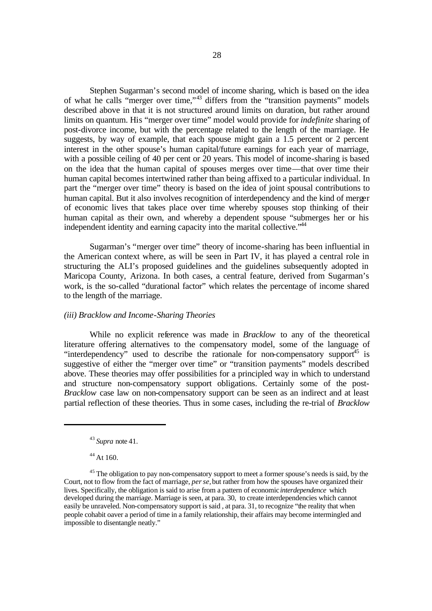Stephen Sugarman's second model of income sharing, which is based on the idea of what he calls "merger over time,"<sup>43</sup> differs from the "transition payments" models described above in that it is not structured around limits on duration, but rather around limits on quantum. His "merger over time" model would provide for *indefinite* sharing of post-divorce income, but with the percentage related to the length of the marriage. He suggests, by way of example, that each spouse might gain a 1.5 percent or 2 percent interest in the other spouse's human capital/future earnings for each year of marriage, with a possible ceiling of 40 per cent or 20 years. This model of income-sharing is based on the idea that the human capital of spouses merges over time—that over time their human capital becomes intertwined rather than being affixed to a particular individual. In part the "merger over time" theory is based on the idea of joint spousal contributions to human capital. But it also involves recognition of interdependency and the kind of merger of economic lives that takes place over time whereby spouses stop thinking of their human capital as their own, and whereby a dependent spouse "submerges her or his independent identity and earning capacity into the marital collective.<sup>"44</sup>

Sugarman's "merger over time" theory of income-sharing has been influential in the American context where, as will be seen in Part IV, it has played a central role in structuring the ALI's proposed guidelines and the guidelines subsequently adopted in Maricopa County, Arizona. In both cases, a central feature, derived from Sugarman's work, is the so-called "durational factor" which relates the percentage of income shared to the length of the marriage.

## *(iii) Bracklow and Income-Sharing Theories*

While no explicit reference was made in *Bracklow* to any of the theoretical literature offering alternatives to the compensatory model, some of the language of "interdependency" used to describe the rationale for non-compensatory support $45$  is suggestive of either the "merger over time" or "transition payments" models described above. These theories may offer possibilities for a principled way in which to understand and structure non-compensatory support obligations. Certainly some of the post-*Bracklow* case law on non-compensatory support can be seen as an indirect and at least partial reflection of these theories. Thus in some cases, including the re-trial of *Bracklow*

<sup>43</sup> *Supra* note 41.

<sup>44</sup> At 160.

1

<sup>&</sup>lt;sup>45</sup> The obligation to pay non-compensatory support to meet a former spouse's needs is said, by the Court, not to flow from the fact of marriage, *per se,* but rather from how the spouses have organized their lives. Specifically, the obligation is said to arise from a pattern of economic *interdependence* which developed during the marriage. Marriage is seen, at para. 30, to create interdependencies which cannot easily be unraveled. Non-compensatory support is said , at para. 31, to recognize "the reality that when people cohabit oaver a period of time in a family relationship, their affairs may become intermingled and impossible to disentangle neatly."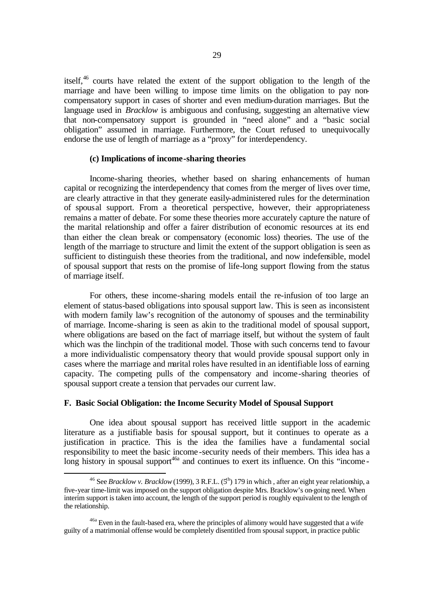itself,<sup>46</sup> courts have related the extent of the support obligation to the length of the marriage and have been willing to impose time limits on the obligation to pay noncompensatory support in cases of shorter and even medium-duration marriages. But the language used in *Bracklow* is ambiguous and confusing, suggesting an alternative view that non-compensatory support is grounded in "need alone" and a "basic social obligation" assumed in marriage. Furthermore, the Court refused to unequivocally endorse the use of length of marriage as a "proxy" for interdependency.

## **(c) Implications of income-sharing theories**

Income-sharing theories, whether based on sharing enhancements of human capital or recognizing the interdependency that comes from the merger of lives over time, are clearly attractive in that they generate easily-administered rules for the determination of spousal support. From a theoretical perspective, however, their appropriateness remains a matter of debate. For some these theories more accurately capture the nature of the marital relationship and offer a fairer distribution of economic resources at its end than either the clean break or compensatory (economic loss) theories. The use of the length of the marriage to structure and limit the extent of the support obligation is seen as sufficient to distinguish these theories from the traditional, and now indefensible, model of spousal support that rests on the promise of life-long support flowing from the status of marriage itself.

For others, these income-sharing models entail the re-infusion of too large an element of status-based obligations into spousal support law. This is seen as inconsistent with modern family law's recognition of the autonomy of spouses and the terminability of marriage. Income-sharing is seen as akin to the traditional model of spousal support, where obligations are based on the fact of marriage itself, but without the system of fault which was the linchpin of the traditional model. Those with such concerns tend to favour a more individualistic compensatory theory that would provide spousal support only in cases where the marriage and marital roles have resulted in an identifiable loss of earning capacity. The competing pulls of the compensatory and income-sharing theories of spousal support create a tension that pervades our current law.

## **F. Basic Social Obligation: the Income Security Model of Spousal Support**

1

One idea about spousal support has received little support in the academic literature as a justifiable basis for spousal support, but it continues to operate as a justification in practice. This is the idea the families have a fundamental social responsibility to meet the basic income -security needs of their members. This idea has a long history in spousal support<sup>46a</sup> and continues to exert its influence. On this "income-

<sup>&</sup>lt;sup>46</sup> See *Bracklow v. Bracklow* (1999), 3 R.F.L.  $(5<sup>th</sup>)$  179 in which, after an eight year relationship, a five-year time-limit was imposed on the support obligation despite Mrs. Bracklow's on-going need. When interim support is taken into account, the length of the support period is roughly equivalent to the length of the relationship.

<sup>&</sup>lt;sup>46a</sup> Even in the fault-based era, where the principles of alimony would have suggested that a wife guilty of a matrimonial offense would be completely disentitled from spousal support, in practice public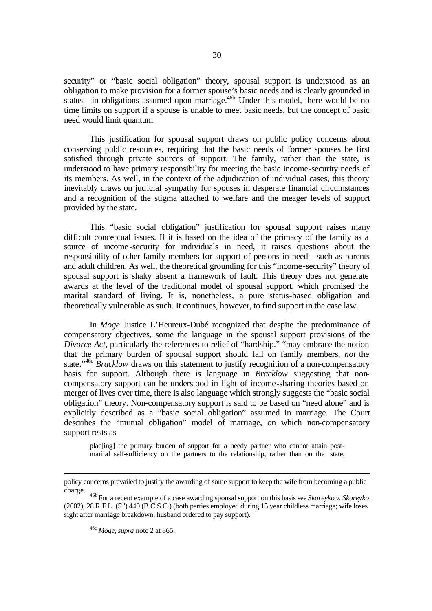security" or "basic social obligation" theory, spousal support is understood as an obligation to make provision for a former spouse's basic needs and is clearly grounded in status—in obligations assumed upon marriage.<sup>46b</sup> Under this model, there would be no time limits on support if a spouse is unable to meet basic needs, but the concept of basic need would limit quantum.

This justification for spousal support draws on public policy concerns about conserving public resources, requiring that the basic needs of former spouses be first satisfied through private sources of support. The family, rather than the state, is understood to have primary responsibility for meeting the basic income-security needs of its members. As well, in the context of the adjudication of individual cases, this theory inevitably draws on judicial sympathy for spouses in desperate financial circumstances and a recognition of the stigma attached to welfare and the meager levels of support provided by the state.

This "basic social obligation" justification for spousal support raises many difficult conceptual issues. If it is based on the idea of the primacy of the family as a source of income -security for individuals in need, it raises questions about the responsibility of other family members for support of persons in need—such as parents and adult children. As well, the theoretical grounding for this "income-security" theory of spousal support is shaky absent a framework of fault. This theory does not generate awards at the level of the traditional model of spousal support, which promised the marital standard of living. It is, nonetheless, a pure status-based obligation and theoretically vulnerable as such. It continues, however, to find support in the case law.

In *Moge* Justice L'Heureux-Dubé recognized that despite the predominance of compensatory objectives, some the language in the spousal support provisions of the *Divorce Act*, particularly the references to relief of "hardship." "may embrace the notion that the primary burden of spousal support should fall on family members, *not* the state."<sup>46c</sup> *Bracklow* draws on this statement to justify recognition of a non-compensatory basis for support. Although there is language in *Bracklow* suggesting that noncompensatory support can be understood in light of income-sharing theories based on merger of lives over time, there is also language which strongly suggests the "basic social obligation" theory. Non-compensatory support is said to be based on "need alone" and is explicitly described as a "basic social obligation" assumed in marriage. The Court describes the "mutual obligation" model of marriage, on which non-compensatory support rests as

plac[ing] the primary burden of support for a needy partner who cannot attain postmarital self-sufficiency on the partners to the relationship, rather than on the state,

46c *Moge*, *supra* note 2 at 865.

1

policy concerns prevailed to justify the awarding of some support to keep the wife from becoming a public charge.

<sup>46</sup>b For a recent example of a case awarding spousal support on this basis see *Skoreyko v. Skoreyko* (2002), 28 R.F.L.  $(5<sup>th</sup>)$  440 (B.C.S.C.) (both parties employed during 15 year childless marriage; wife loses sight after marriage breakdown; husband ordered to pay support).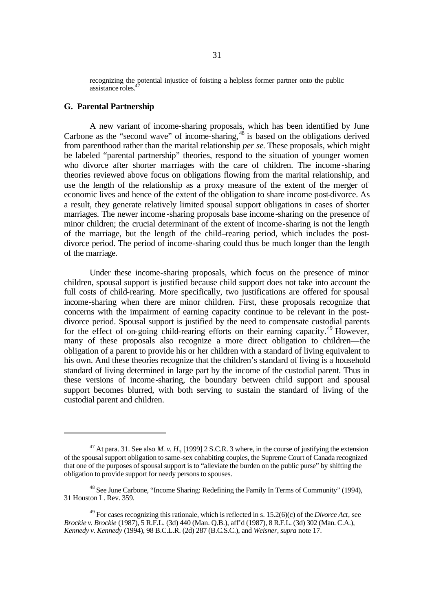recognizing the potential injustice of foisting a helpless former partner onto the public assistance roles.

## **G. Parental Partnership**

 $\overline{a}$ 

A new variant of income-sharing proposals, which has been identified by June Carbone as the "second wave" of income-sharing,  $48$  is based on the obligations derived from parenthood rather than the marital relationship *per se*. These proposals, which might be labeled "parental partnership" theories, respond to the situation of younger women who divorce after shorter marriages with the care of children. The income -sharing theories reviewed above focus on obligations flowing from the marital relationship, and use the length of the relationship as a proxy measure of the extent of the merger of economic lives and hence of the extent of the obligation to share income post-divorce. As a result, they generate relatively limited spousal support obligations in cases of shorter marriages. The newer income -sharing proposals base income-sharing on the presence of minor children; the crucial determinant of the extent of income-sharing is not the length of the marriage, but the length of the child–rearing period, which includes the postdivorce period. The period of income-sharing could thus be much longer than the length of the marriage.

Under these income-sharing proposals, which focus on the presence of minor children, spousal support is justified because child support does not take into account the full costs of child-rearing. More specifically, two justifications are offered for spousal income-sharing when there are minor children. First, these proposals recognize that concerns with the impairment of earning capacity continue to be relevant in the postdivorce period. Spousal support is justified by the need to compensate custodial parents for the effect of on-going child-rearing efforts on their earning capacity. <sup>49</sup> However, many of these proposals also recognize a more direct obligation to children—the obligation of a parent to provide his or her children with a standard of living equivalent to his own. And these theories recognize that the children's standard of living is a household standard of living determined in large part by the income of the custodial parent. Thus in these versions of income-sharing, the boundary between child support and spousal support becomes blurred, with both serving to sustain the standard of living of the custodial parent and children.

<sup>47</sup> At para. 31. See also *M. v. H.*, [1999] 2 S.C.R. 3 where, in the course of justifying the extension of the spousal support obligation to same-sex cohabiting couples, the Supreme Court of Canada recognized that one of the purposes of spousal support is to "alleviate the burden on the public purse" by shifting the obligation to provide support for needy persons to spouses.

<sup>48</sup> See June Carbone, "Income Sharing: Redefining the Family In Terms of Community" (1994), 31 Houston L. Rev. 359.

<sup>49</sup> For cases recognizing this rationale, which is reflected in s. 15.2(6)(c) of the *Divorce Act*, see *Brockie v. Brockie* (1987), 5 R.F.L. (3d) 440 (Man. Q.B.), aff'd (1987), 8 R.F.L. (3d) 302 (Man. C.A.), *Kennedy v. Kennedy* (1994), 98 B.C.L.R. (2d) 287 (B.C.S.C.), and *Weisner*, *supra* note 17.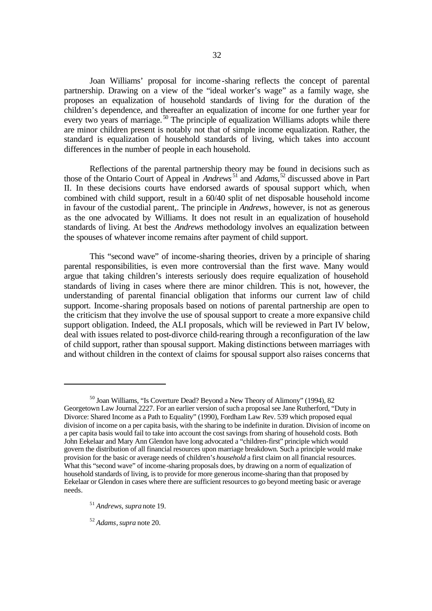Joan Williams' proposal for income -sharing reflects the concept of parental partnership. Drawing on a view of the "ideal worker's wage" as a family wage, she proposes an equalization of household standards of living for the duration of the children's dependence, and thereafter an equalization of income for one further year for every two years of marriage.<sup>50</sup> The principle of equalization Williams adopts while there are minor children present is notably not that of simple income equalization. Rather, the standard is equalization of household standards of living, which takes into account differences in the number of people in each household.

Reflections of the parental partnership theory may be found in decisions such as those of the Ontario Court of Appeal in *Andrews* <sup>51</sup> and *Adams*, <sup>52</sup> discussed above in Part II. In these decisions courts have endorsed awards of spousal support which, when combined with child support, result in a 60/40 split of net disposable household income in favour of the custodial parent,. The principle in *Andrews*, however, is not as generous as the one advocated by Williams. It does not result in an equalization of household standards of living. At best the *Andrews* methodology involves an equalization between the spouses of whatever income remains after payment of child support.

This "second wave" of income-sharing theories, driven by a principle of sharing parental responsibilities, is even more controversial than the first wave. Many would argue that taking children's interests seriously does require equalization of household standards of living in cases where there are minor children. This is not, however, the understanding of parental financial obligation that informs our current law of child support. Income-sharing proposals based on notions of parental partnership are open to the criticism that they involve the use of spousal support to create a more expansive child support obligation. Indeed, the ALI proposals, which will be reviewed in Part IV below, deal with issues related to post-divorce child-rearing through a reconfiguration of the law of child support, rather than spousal support. Making distinctions between marriages with and without children in the context of claims for spousal support also raises concerns that

j

<sup>50</sup> Joan Williams, "Is Coverture Dead? Beyond a New Theory of Alimony" (1994), 82 Georgetown Law Journal 2227. For an earlier version of such a proposal see Jane Rutherford, "Duty in Divorce: Shared Income as a Path to Equality" (1990), Fordham Law Rev. 539 which proposed equal division of income on a per capita basis, with the sharing to be indefinite in duration. Division of income on a per capita basis would fail to take into account the cost savings from sharing of household costs. Both John Eekelaar and Mary Ann Glendon have long advocated a "children-first" principle which would govern the distribution of all financial resources upon marriage breakdown. Such a principle would make provision for the basic or average needs of children's *household* a first claim on all financial resources. What this "second wave" of income-sharing proposals does, by drawing on a norm of equalization of household standards of living, is to provide for more generous income-sharing than that proposed by Eekelaar or Glendon in cases where there are sufficient resources to go beyond meeting basic or average needs.

<sup>51</sup> *Andrews, supra* note 19.

<sup>52</sup> *Adams*, *supra* note 20.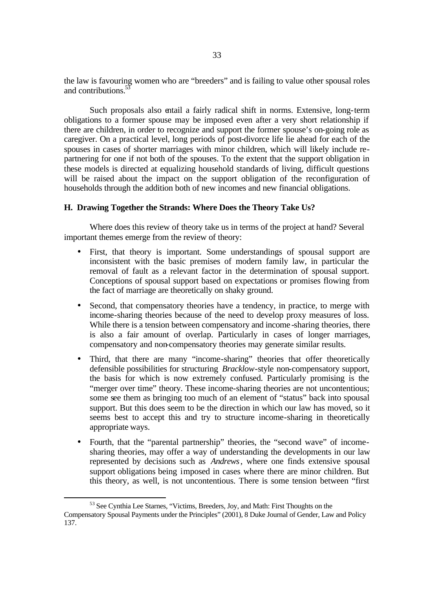the law is favouring women who are "breeders" and is failing to value other spousal roles and contributions.<sup>5</sup>

Such proposals also entail a fairly radical shift in norms. Extensive, long-term obligations to a former spouse may be imposed even after a very short relationship if there are children, in order to recognize and support the former spouse's on-going role as caregiver. On a practical level, long periods of post-divorce life lie ahead for each of the spouses in cases of shorter marriages with minor children, which will likely include repartnering for one if not both of the spouses. To the extent that the support obligation in these models is directed at equalizing household standards of living, difficult questions will be raised about the impact on the support obligation of the reconfiguration of households through the addition both of new incomes and new financial obligations.

## **H. Drawing Together the Strands: Where Does the Theory Take Us?**

Where does this review of theory take us in terms of the project at hand? Several important themes emerge from the review of theory:

- First, that theory is important. Some understandings of spousal support are inconsistent with the basic premises of modern family law, in particular the removal of fault as a relevant factor in the determination of spousal support. Conceptions of spousal support based on expectations or promises flowing from the fact of marriage are theoretically on shaky ground.
- Second, that compensatory theories have a tendency, in practice, to merge with income-sharing theories because of the need to develop proxy measures of loss. While there is a tension between compensatory and income-sharing theories, there is also a fair amount of overlap. Particularly in cases of longer marriages, compensatory and non-compensatory theories may generate similar results.
- Third, that there are many "income-sharing" theories that offer theoretically defensible possibilities for structuring *Bracklow*-style non-compensatory support, the basis for which is now extremely confused. Particularly promising is the "merger over time" theory. These income-sharing theories are not uncontentious; some see them as bringing too much of an element of "status" back into spousal support. But this does seem to be the direction in which our law has moved, so it seems best to accept this and try to structure income-sharing in theoretically appropriate ways.
- Fourth, that the "parental partnership" theories, the "second wave" of incomesharing theories, may offer a way of understanding the developments in our law represented by decisions such as *Andrews*, where one finds extensive spousal support obligations being imposed in cases where there are minor children. But this theory, as well, is not uncontentious. There is some tension between "first

j

<sup>53</sup> See Cynthia Lee Starnes, "Victims, Breeders, Joy, and Math: First Thoughts on the Compensatory Spousal Payments under the Principles" (2001), 8 Duke Journal of Gender, Law and Policy 137.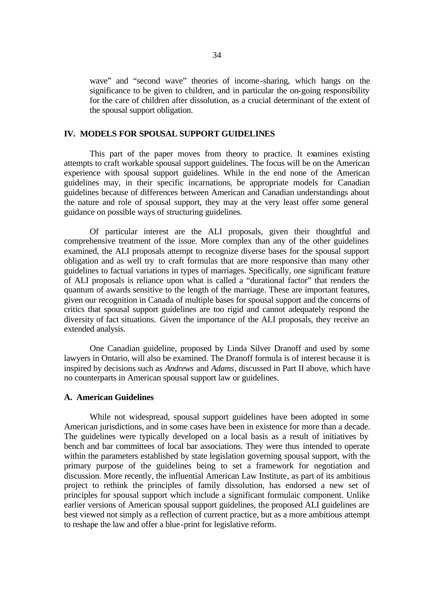wave" and "second wave" theories of income-sharing, which hangs on the significance to be given to children, and in particular the on-going responsibility for the care of children after dissolution, as a crucial determinant of the extent of the spousal support obligation.

## **IV. MODELS FOR SPOUSAL SUPPORT GUIDELINES**

This part of the paper moves from theory to practice. It examines existing attempts to craft workable spousal support guidelines. The focus will be on the American experience with spousal support guidelines. While in the end none of the American guidelines may, in their specific incarnations, be appropriate models for Canadian guidelines because of differences between American and Canadian understandings about the nature and role of spousal support, they may at the very least offer some general guidance on possible ways of structuring guidelines.

Of particular interest are the ALI proposals, given their thoughtful and comprehensive treatment of the issue. More complex than any of the other guidelines examined, the ALI proposals attempt to recognize diverse bases for the spousal support obligation and as well try to craft formulas that are more responsive than many other guidelines to factual variations in types of marriages. Specifically, one significant feature of ALI proposals is reliance upon what is called a "durational factor" that renders the quantum of awards sensitive to the length of the marriage. These are important features, given our recognition in Canada of multiple bases for spousal support and the concerns of critics that spousal support guidelines are too rigid and cannot adequately respond the diversity of fact situations. Given the importance of the ALI proposals, they receive an extended analysis.

One Canadian guideline, proposed by Linda Silver Dranoff and used by some lawyers in Ontario, will also be examined. The Dranoff formula is of interest because it is inspired by decisions such as *Andrews* and *Adams*, discussed in Part II above, which have no counterparts in American spousal support law or guidelines.

#### **A. American Guidelines**

While not widespread, spousal support guidelines have been adopted in some American jurisdictions, and in some cases have been in existence for more than a decade. The guidelines were typically developed on a local basis as a result of initiatives by bench and bar committees of local bar associations. They were thus intended to operate within the parameters established by state legislation governing spousal support, with the primary purpose of the guidelines being to set a framework for negotiation and discussion. More recently, the influential American Law Institute, as part of its ambitious project to rethink the principles of family dissolution, has endorsed a new set of principles for spousal support which include a significant formulaic component. Unlike earlier versions of American spousal support guidelines, the proposed ALI guidelines are best viewed not simply as a reflection of current practice, but as a more ambitious attempt to reshape the law and offer a blue-print for legislative reform.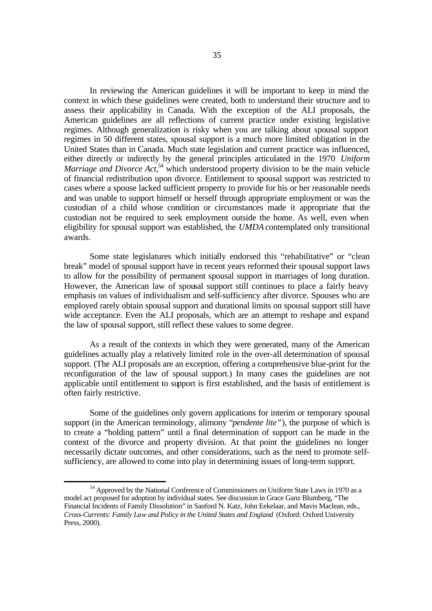In reviewing the American guidelines it will be important to keep in mind the context in which these guidelines were created, both to understand their structure and to assess their applicability in Canada. With the exception of the ALI proposals, the American guidelines are all reflections of current practice under existing legislative regimes. Although generalization is risky when you are talking about spousal support regimes in 50 different states, spousal support is a much more limited obligation in the United States than in Canada. Much state legislation and current practice was influenced, either directly or indirectly by the general principles articulated in the 1970 *Uniform*  Marriage and Divorce Act,<sup>54</sup> which understood property division to be the main vehicle of financial redistribution upon divorce. Entitlement to spousal support was restricted to cases where a spouse lacked sufficient property to provide for his or her reasonable needs and was unable to support himself or herself through appropriate employment or was the custodian of a child whose condition or circumstances made it appropriate that the custodian not be required to seek employment outside the home. As well, even when eligibility for spousal support was established, the *UMDA* contemplated only transitional awards.

Some state legislatures which initially endorsed this "rehabilitative" or "clean break" model of spousal support have in recent years reformed their spousal support laws to allow for the possibility of permanent spousal support in marriages of long duration. However, the American law of spousal support still continues to place a fairly heavy emphasis on values of individualism and self-sufficiency after divorce. Spouses who are employed rarely obtain spousal support and durational limits on spousal support still have wide acceptance. Even the ALI proposals, which are an attempt to reshape and expand the law of spousal support, still reflect these values to some degree.

As a result of the contexts in which they were generated, many of the American guidelines actually play a relatively limited role in the over-all determination of spousal support. (The ALI proposals are an exception, offering a comprehensive blue-print for the reconfiguration of the law of spousal support.) In many cases the guidelines are not applicable until entitlement to support is first established, and the basis of entitlement is often fairly restrictive.

Some of the guidelines only govern applications for interim or temporary spousal support (in the American terminology, alimony "*pendente lite"*), the purpose of which is to create a "holding pattern" until a final determination of support can be made in the context of the divorce and property division. At that point the guidelines no longer necessarily dictate outcomes, and other considerations, such as the need to promote selfsufficiency, are allowed to come into play in determining issues of long-term support.

j

<sup>&</sup>lt;sup>54</sup> Approved by the National Conference of Commissioners on Uniform State Laws in 1970 as a model act proposed for adoption by individual states. See discussion in Grace Ganz Blumberg, "The Financial Incidents of Family Dissolution" in Sanford N. Katz, John Eekelaar, and Mavis Maclean, eds., *Cross-Currents: Family Law and Policy in the United States and England* (Oxford: Oxford University Press, 2000).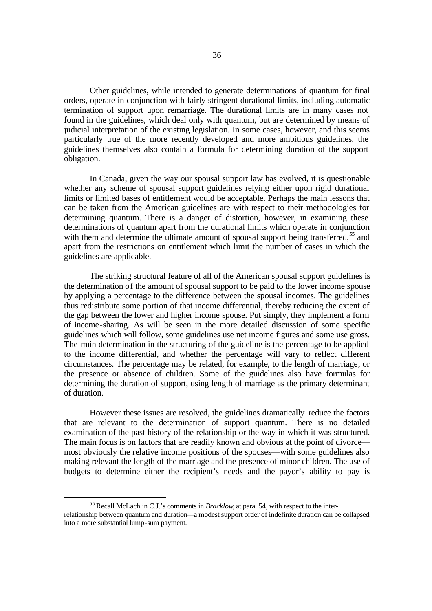Other guidelines, while intended to generate determinations of quantum for final orders, operate in conjunction with fairly stringent durational limits, including automatic termination of support upon remarriage. The durational limits are in many cases not found in the guidelines, which deal only with quantum, but are determined by means of judicial interpretation of the existing legislation. In some cases, however, and this seems particularly true of the more recently developed and more ambitious guidelines, the guidelines themselves also contain a formula for determining duration of the support obligation.

In Canada, given the way our spousal support law has evolved, it is questionable whether any scheme of spousal support guidelines relying either upon rigid durational limits or limited bases of entitlement would be acceptable. Perhaps the main lessons that can be taken from the American guidelines are with respect to their methodologies for determining quantum. There is a danger of distortion, however, in examining these determinations of quantum apart from the durational limits which operate in conjunction with them and determine the ultimate amount of spousal support being transferred,<sup>55</sup> and apart from the restrictions on entitlement which limit the number of cases in which the guidelines are applicable.

The striking structural feature of all of the American spousal support guidelines is the determination of the amount of spousal support to be paid to the lower income spouse by applying a percentage to the difference between the spousal incomes. The guidelines thus redistribute some portion of that income differential, thereby reducing the extent of the gap between the lower and higher income spouse. Put simply, they implement a form of income-sharing. As will be seen in the more detailed discussion of some specific guidelines which will follow, some guidelines use net income figures and some use gross. The main determination in the structuring of the guideline is the percentage to be applied to the income differential, and whether the percentage will vary to reflect different circumstances. The percentage may be related, for example, to the length of marriage, or the presence or absence of children. Some of the guidelines also have formulas for determining the duration of support, using length of marriage as the primary determinant of duration.

However these issues are resolved, the guidelines dramatically reduce the factors that are relevant to the determination of support quantum. There is no detailed examination of the past history of the relationship or the way in which it was structured. The main focus is on factors that are readily known and obvious at the point of divorce most obviously the relative income positions of the spouses—with some guidelines also making relevant the length of the marriage and the presence of minor children. The use of budgets to determine either the recipient's needs and the payor's ability to pay is

j

<sup>55</sup> Recall McLachlin C.J.'s comments in *Bracklow*, at para. 54, with respect to the interrelationship between quantum and duration—a modest support order of indefinite duration can be collapsed into a more substantial lump-sum payment.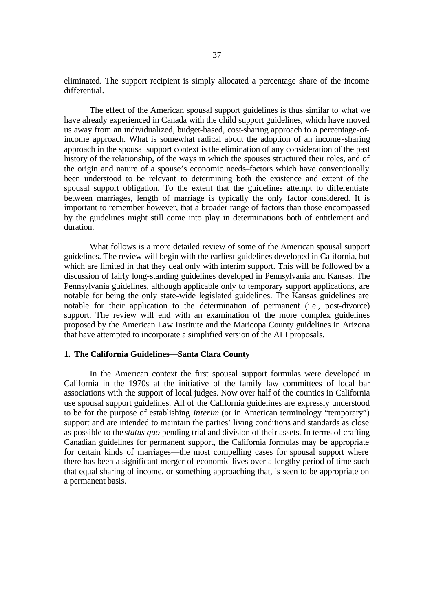eliminated. The support recipient is simply allocated a percentage share of the income differential.

The effect of the American spousal support guidelines is thus similar to what we have already experienced in Canada with the child support guidelines, which have moved us away from an individualized, budget-based, cost-sharing approach to a percentage-ofincome approach. What is somewhat radical about the adoption of an income-sharing approach in the spousal support context is the elimination of any consideration of the past history of the relationship, of the ways in which the spouses structured their roles, and of the origin and nature of a spouse's economic needs–factors which have conventionally been understood to be relevant to determining both the existence and extent of the spousal support obligation. To the extent that the guidelines attempt to differentiate between marriages, length of marriage is typically the only factor considered. It is important to remember however, that a broader range of factors than those encompassed by the guidelines might still come into play in determinations both of entitlement and duration.

What follows is a more detailed review of some of the American spousal support guidelines. The review will begin with the earliest guidelines developed in California, but which are limited in that they deal only with interim support. This will be followed by a discussion of fairly long-standing guidelines developed in Pennsylvania and Kansas. The Pennsylvania guidelines, although applicable only to temporary support applications, are notable for being the only state-wide legislated guidelines. The Kansas guidelines are notable for their application to the determination of permanent (i.e., post-divorce) support. The review will end with an examination of the more complex guidelines proposed by the American Law Institute and the Maricopa County guidelines in Arizona that have attempted to incorporate a simplified version of the ALI proposals.

# **1. The California Guidelines—Santa Clara County**

In the American context the first spousal support formulas were developed in California in the 1970s at the initiative of the family law committees of local bar associations with the support of local judges. Now over half of the counties in California use spousal support guidelines. All of the California guidelines are expressly understood to be for the purpose of establishing *interim* (or in American terminology "temporary") support and are intended to maintain the parties' living conditions and standards as close as possible to the *status quo* pending trial and division of their assets. In terms of crafting Canadian guidelines for permanent support, the California formulas may be appropriate for certain kinds of marriages—the most compelling cases for spousal support where there has been a significant merger of economic lives over a lengthy period of time such that equal sharing of income, or something approaching that, is seen to be appropriate on a permanent basis.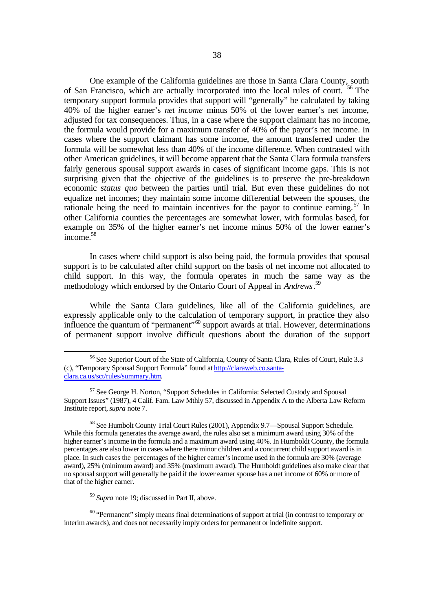One example of the California guidelines are those in Santa Clara County, south of San Francisco, which are actually incorporated into the local rules of court. <sup>56</sup> The temporary support formula provides that support will "generally" be calculated by taking 40% of the higher earner's *net income* minus 50% of the lower earner's net income, adjusted for tax consequences. Thus, in a case where the support claimant has no income, the formula would provide for a maximum transfer of 40% of the payor's net income. In cases where the support claimant has some income, the amount transferred under the formula will be somewhat less than 40% of the income difference. When contrasted with other American guidelines, it will become apparent that the Santa Clara formula transfers fairly generous spousal support awards in cases of significant income gaps. This is not surprising given that the objective of the guidelines is to preserve the pre-breakdown economic *status quo* between the parties until trial. But even these guidelines do not equalize net incomes; they maintain some income differential between the spouses, the rationale being the need to maintain incentives for the payor to continue earning.<sup>57</sup> In other California counties the percentages are somewhat lower, with formulas based, for example on 35% of the higher earner's net income minus 50% of the lower earner's income 58

In cases where child support is also being paid, the formula provides that spousal support is to be calculated after child support on the basis of net income not allocated to child support. In this way, the formula operates in much the same way as the methodology which endorsed by the Ontario Court of Appeal in *Andrews*. 59

While the Santa Clara guidelines, like all of the California guidelines, are expressly applicable only to the calculation of temporary support, in practice they also influence the quantum of "permanent"<sup>60</sup> support awards at trial. However, determinations of permanent support involve difficult questions about the duration of the support

j

<sup>56</sup> See Superior Court of the State of California, County of Santa Clara, Rules of Court, Rule 3.3 (c), "Temporary Spousal Support Formula" found at http://claraweb.co.santaclara.ca.us/sct/rules/summary.htm.

<sup>57</sup> See George H. Norton, "Support Schedules in California: Selected Custody and Spousal Support Issues" (1987), 4 Calif. Fam. Law Mthly 57, discussed in Appendix A to the Alberta Law Reform Institute report, *supra* note 7.

<sup>58</sup> See Humbolt County Trial Court Rules (2001), Appendix 9.7—Spousal Support Schedule. While this formula generates the average award, the rules also set a minimum award using 30% of the higher earner's income in the formula and a maximum award using 40%. In Humboldt County, the formula percentages are also lower in cases where there minor children and a concurrent child support award is in place. In such cases the percentages of the higher earner's income used in the formula are 30% (average award), 25% (minimum award) and 35% (maximum award). The Humboldt guidelines also make clear that no spousal support will generally be paid if the lower earner spouse has a net income of 60% or more of that of the higher earner.

<sup>59</sup> *Supra* note 19; discussed in Part II, above.

<sup>&</sup>lt;sup>60</sup> "Permanent" simply means final determinations of support at trial (in contrast to temporary or interim awards), and does not necessarily imply orders for permanent or indefinite support.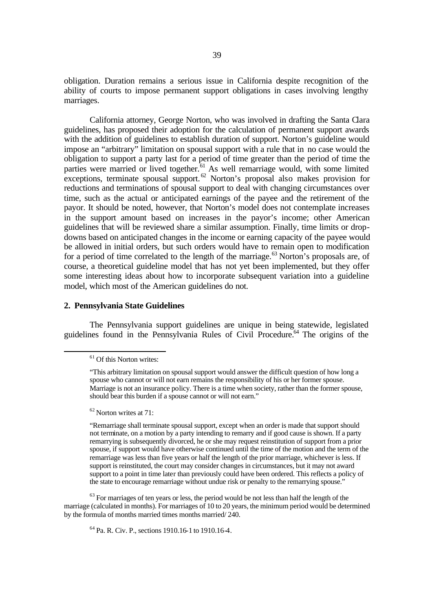obligation. Duration remains a serious issue in California despite recognition of the ability of courts to impose permanent support obligations in cases involving lengthy marriages.

California attorney, George Norton, who was involved in drafting the Santa Clara guidelines, has proposed their adoption for the calculation of permanent support awards with the addition of guidelines to establish duration of support. Norton's guideline would impose an "arbitrary" limitation on spousal support with a rule that in no case would the obligation to support a party last for a period of time greater than the period of time the parties were married or lived together.<sup>61</sup> As well remarriage would, with some limited exceptions, terminate spousal support.<sup>62</sup> Norton's proposal also makes provision for reductions and terminations of spousal support to deal with changing circumstances over time, such as the actual or anticipated earnings of the payee and the retirement of the payor. It should be noted, however, that Norton's model does not contemplate increases in the support amount based on increases in the payor's income; other American guidelines that will be reviewed share a similar assumption. Finally, time limits or dropdowns based on anticipated changes in the income or earning capacity of the payee would be allowed in initial orders, but such orders would have to remain open to modification for a period of time correlated to the length of the marriage.<sup>63</sup> Norton's proposals are, of course, a theoretical guideline model that has not yet been implemented, but they offer some interesting ideas about how to incorporate subsequent variation into a guideline model, which most of the American guidelines do not.

## **2. Pennsylvania State Guidelines**

The Pennsylvania support guidelines are unique in being statewide, legislated guidelines found in the Pennsylvania Rules of Civil Procedure.<sup>64</sup> The origins of the

j

"Remarriage shall terminate spousal support, except when an order is made that support should not terminate, on a motion by a party intending to remarry and if good cause is shown. If a party remarrying is subsequently divorced, he or she may request reinstitution of support from a prior spouse, if support would have otherwise continued until the time of the motion and the term of the remarriage was less than five years or half the length of the prior marriage, whichever is less. If support is reinstituted, the court may consider changes in circumstances, but it may not award support to a point in time later than previously could have been ordered. This reflects a policy of the state to encourage remarriage without undue risk or penalty to the remarrying spouse."

<sup>63</sup> For marriages of ten years or less, the period would be not less than half the length of the marriage (calculated in months). For marriages of 10 to 20 years, the minimum period would be determined by the formula of months married times months married/ 240.

<sup>64</sup> Pa. R. Civ. P., sections 1910.16-1 to 1910.16-4.

 $61$  Of this Norton writes:

<sup>&</sup>quot;This arbitrary limitation on spousal support would answer the difficult question of how long a spouse who cannot or will not earn remains the responsibility of his or her former spouse. Marriage is not an insurance policy. There is a time when society, rather than the former spouse, should bear this burden if a spouse cannot or will not earn."

 $62$  Norton writes at 71: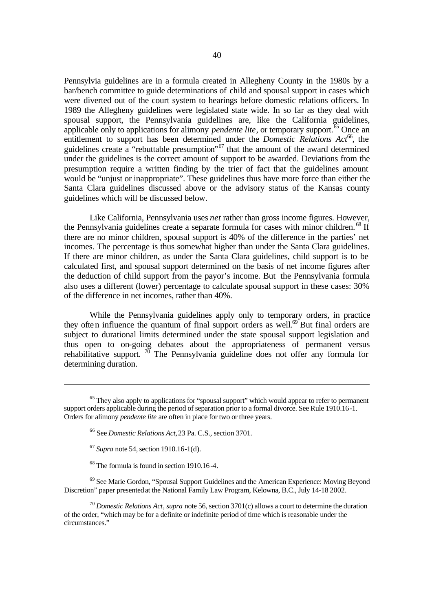Pennsylvia guidelines are in a formula created in Allegheny County in the 1980s by a bar/bench committee to guide determinations of child and spousal support in cases which were diverted out of the court system to hearings before domestic relations officers. In 1989 the Allegheny guidelines were legislated state wide. In so far as they deal with spousal support, the Pennsylvania guidelines are, like the California guidelines, applicable only to applications for alimony *pendente lite*, or temporary support.<sup>65</sup> Once an entitlement to support has been determined under the *Domestic Relations Act*<sup>66</sup>, the guidelines create a "rebuttable presumption"<sup>67</sup> that the amount of the award determined under the guidelines is the correct amount of support to be awarded. Deviations from the presumption require a written finding by the trier of fact that the guidelines amount would be "unjust or inappropriate". These guidelines thus have more force than either the Santa Clara guidelines discussed above or the advisory status of the Kansas county guidelines which will be discussed below.

Like California, Pennsylvania uses *net* rather than gross income figures. However, the Pennsylvania guidelines create a separate formula for cases with minor children.<sup>68</sup> If there are no minor children, spousal support is 40% of the difference in the parties' net incomes. The percentage is thus somewhat higher than under the Santa Clara guidelines. If there are minor children, as under the Santa Clara guidelines, child support is to be calculated first, and spousal support determined on the basis of net income figures after the deduction of child support from the payor's income. But the Pennsylvania formula also uses a different (lower) percentage to calculate spousal support in these cases: 30% of the difference in net incomes, rather than 40%.

While the Pennsylvania guidelines apply only to temporary orders, in practice they often influence the quantum of final support orders as well.<sup>69</sup> But final orders are subject to durational limits determined under the state spousal support legislation and thus open to on-going debates about the appropriateness of permanent versus rehabilitative support.  $\frac{70}{10}$  The Pennsylvania guideline does not offer any formula for determining duration.

j

<sup>&</sup>lt;sup>65</sup> They also apply to applications for "spousal support" which would appear to refer to permanent support orders applicable during the period of separation prior to a formal divorce. See Rule 1910.16-1. Orders for alimony *pendente lite* are often in place for two or three years.

<sup>66</sup> See *Domestic Relations Act,* 23 Pa. C.S., section 3701.

<sup>67</sup> *Supra* note 54, section 1910.16-1(d).

<sup>68</sup> The formula is found in section 1910.16-4.

<sup>&</sup>lt;sup>69</sup> See Marie Gordon, "Spousal Support Guidelines and the American Experience: Moving Beyond Discretion" paper presented at the National Family Law Program, Kelowna, B.C., July 14-18 2002.

<sup>70</sup> *Domestic Relations Act*, *supra* note 56, section 3701(c) allows a court to determine the duration of the order, "which may be for a definite or indefinite period of time which is reasonable under the circumstances."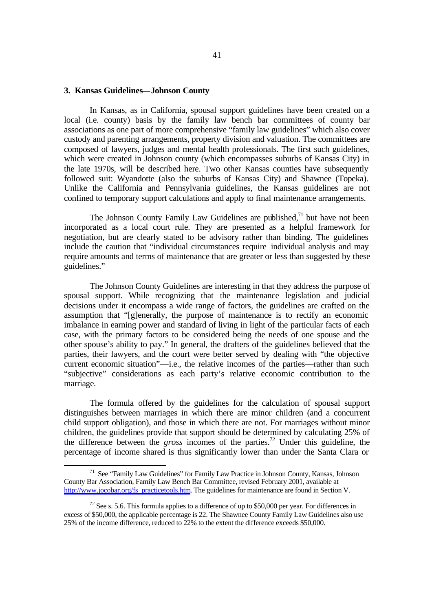#### **3. Kansas Guidelines—Johnson County**

 $\overline{a}$ 

In Kansas, as in California, spousal support guidelines have been created on a local (i.e. county) basis by the family law bench bar committees of county bar associations as one part of more comprehensive "family law guidelines" which also cover custody and parenting arrangements, property division and valuation. The committees are composed of lawyers, judges and mental health professionals. The first such guidelines, which were created in Johnson county (which encompasses suburbs of Kansas City) in the late 1970s, will be described here. Two other Kansas counties have subsequently followed suit: Wyandotte (also the suburbs of Kansas City) and Shawnee (Topeka). Unlike the California and Pennsylvania guidelines, the Kansas guidelines are not confined to temporary support calculations and apply to final maintenance arrangements.

The Johnson County Family Law Guidelines are published, $71$  but have not been incorporated as a local court rule. They are presented as a helpful framework for negotiation, but are clearly stated to be advisory rather than binding. The guidelines include the caution that "individual circumstances require individual analysis and may require amounts and terms of maintenance that are greater or less than suggested by these guidelines."

The Johnson County Guidelines are interesting in that they address the purpose of spousal support. While recognizing that the maintenance legislation and judicial decisions under it encompass a wide range of factors, the guidelines are crafted on the assumption that "[g]enerally, the purpose of maintenance is to rectify an economic imbalance in earning power and standard of living in light of the particular facts of each case, with the primary factors to be considered being the needs of one spouse and the other spouse's ability to pay." In general, the drafters of the guidelines believed that the parties, their lawyers, and the court were better served by dealing with "the objective current economic situation"—i.e., the relative incomes of the parties—rather than such "subjective" considerations as each party's relative economic contribution to the marriage.

The formula offered by the guidelines for the calculation of spousal support distinguishes between marriages in which there are minor children (and a concurrent child support obligation), and those in which there are not. For marriages without minor children, the guidelines provide that support should be determined by calculating 25% of the difference between the *gross* incomes of the parties.<sup>72</sup> Under this guideline, the percentage of income shared is thus significantly lower than under the Santa Clara or

<sup>71</sup> See "Family Law Guidelines" for Family Law Practice in Johnson County, Kansas, Johnson County Bar Association, Family Law Bench Bar Committee, revised February 2001, available at http://www.jocobar.org/fs\_practicetools.htm. The guidelines for maintenance are found in Section V.

 $<sup>72</sup>$  See s. 5.6. This formula applies to a difference of up to \$50,000 per year. For differences in</sup> excess of \$50,000, the applicable percentage is 22. The Shawnee County Family Law Guidelines also use 25% of the income difference, reduced to 22% to the extent the difference exceeds \$50,000.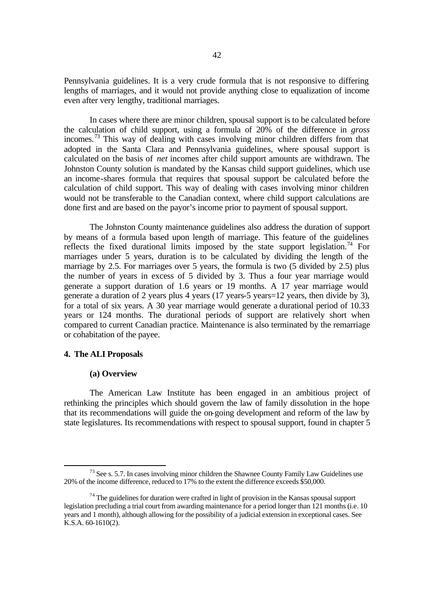Pennsylvania guidelines. It is a very crude formula that is not responsive to differing lengths of marriages, and it would not provide anything close to equalization of income even after very lengthy, traditional marriages.

In cases where there are minor children, spousal support is to be calculated before the calculation of child support, using a formula of 20% of the difference in *gross* incomes.<sup>73</sup> This way of dealing with cases involving minor children differs from that adopted in the Santa Clara and Pennsylvania guidelines, where spousal support is calculated on the basis of *net* incomes after child support amounts are withdrawn. The Johnston County solution is mandated by the Kansas child support guidelines, which use an income-shares formula that requires that spousal support be calculated before the calculation of child support. This way of dealing with cases involving minor children would not be transferable to the Canadian context, where child support calculations are done first and are based on the payor's income prior to payment of spousal support.

The Johnston County maintenance guidelines also address the duration of support by means of a formula based upon length of marriage. This feature of the guidelines reflects the fixed durational limits imposed by the state support legislation.<sup>74</sup> For marriages under 5 years, duration is to be calculated by dividing the length of the marriage by 2.5. For marriages over 5 years, the formula is two (5 divided by 2.5) plus the number of years in excess of 5 divided by 3. Thus a four year marriage would generate a support duration of 1.6 years or 19 months. A 17 year marriage would generate a duration of 2 years plus 4 years (17 years-5 years=12 years, then divide by 3), for a total of six years. A 30 year marriage would generate a durational period of 10.33 years or 124 months. The durational periods of support are relatively short when compared to current Canadian practice. Maintenance is also terminated by the remarriage or cohabitation of the payee.

## **4. The ALI Proposals**

 $\overline{a}$ 

### **(a) Overview**

The American Law Institute has been engaged in an ambitious project of rethinking the principles which should govern the law of family dissolution in the hope that its recommendations will guide the on-going development and reform of the law by state legislatures. Its recommendations with respect to spousal support, found in chapter 5

<sup>73</sup> See s. 5.7. In cases involving minor children the Shawnee County Family Law Guidelines use 20% of the income difference, reduced to 17% to the extent the difference exceeds \$50,000.

 $74$  The guidelines for duration were crafted in light of provision in the Kansas spousal support legislation precluding a trial court from awarding maintenance for a period longer than 121 months (i.e. 10 years and 1 month), although allowing for the possibility of a judicial extension in exceptional cases. See K.S.A. 60-1610(2).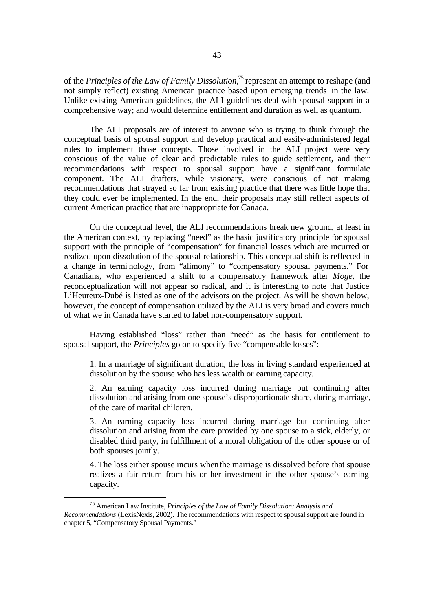of the *Principles of the Law of Family Dissolution,*<sup>75</sup> represent an attempt to reshape (and not simply reflect) existing American practice based upon emerging trends in the law. Unlike existing American guidelines, the ALI guidelines deal with spousal support in a comprehensive way; and would determine entitlement and duration as well as quantum.

The ALI proposals are of interest to anyone who is trying to think through the conceptual basis of spousal support and develop practical and easily-administered legal rules to implement those concepts. Those involved in the ALI project were very conscious of the value of clear and predictable rules to guide settlement, and their recommendations with respect to spousal support have a significant formulaic component. The ALI drafters, while visionary, were conscious of not making recommendations that strayed so far from existing practice that there was little hope that they could ever be implemented. In the end, their proposals may still reflect aspects of current American practice that are inappropriate for Canada.

On the conceptual level, the ALI recommendations break new ground, at least in the American context, by replacing "need" as the basic justificatory principle for spousal support with the principle of "compensation" for financial losses which are incurred or realized upon dissolution of the spousal relationship. This conceptual shift is reflected in a change in termi nology, from "alimony" to "compensatory spousal payments." For Canadians, who experienced a shift to a compensatory framework after *Moge*, the reconceptualization will not appear so radical, and it is interesting to note that Justice L'Heureux-Dubé is listed as one of the advisors on the project. As will be shown below, however, the concept of compensation utilized by the ALI is very broad and covers much of what we in Canada have started to label non-compensatory support.

Having established "loss" rather than "need" as the basis for entitlement to spousal support, the *Principles* go on to specify five "compensable losses":

1. In a marriage of significant duration, the loss in living standard experienced at dissolution by the spouse who has less wealth or earning capacity.

2. An earning capacity loss incurred during marriage but continuing after dissolution and arising from one spouse's disproportionate share, during marriage, of the care of marital children.

3. An earning capacity loss incurred during marriage but continuing after dissolution and arising from the care provided by one spouse to a sick, elderly, or disabled third party, in fulfillment of a moral obligation of the other spouse or of both spouses jointly.

4. The loss either spouse incurs when the marriage is dissolved before that spouse realizes a fair return from his or her investment in the other spouse's earning capacity.

j

<sup>75</sup> American Law Institute, *Principles of the Law of Family Dissolution: Analysis and Recommendations* (LexisNexis, 2002). The recommendations with respect to spousal support are found in chapter 5, "Compensatory Spousal Payments."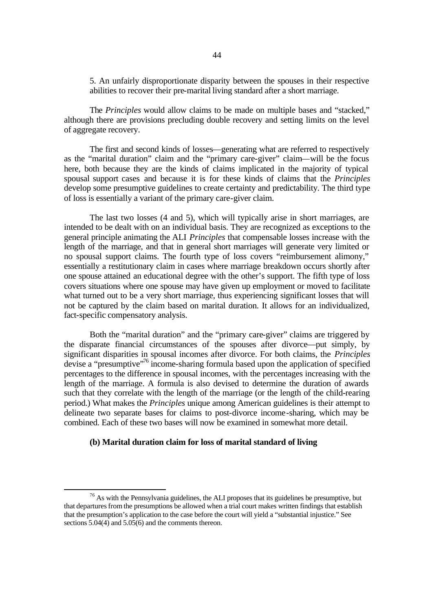5. An unfairly disproportionate disparity between the spouses in their respective abilities to recover their pre-marital living standard after a short marriage.

The *Principles* would allow claims to be made on multiple bases and "stacked," although there are provisions precluding double recovery and setting limits on the level of aggregate recovery.

The first and second kinds of losses—generating what are referred to respectively as the "marital duration" claim and the "primary care-giver" claim—will be the focus here, both because they are the kinds of claims implicated in the majority of typical spousal support cases and because it is for these kinds of claims that the *Principles* develop some presumptive guidelines to create certainty and predictability. The third type of loss is essentially a variant of the primary care-giver claim.

The last two losses (4 and 5), which will typically arise in short marriages, are intended to be dealt with on an individual basis. They are recognized as exceptions to the general principle animating the ALI *Principles* that compensable losses increase with the length of the marriage, and that in general short marriages will generate very limited or no spousal support claims. The fourth type of loss covers "reimbursement alimony," essentially a restitutionary claim in cases where marriage breakdown occurs shortly after one spouse attained an educational degree with the other's support. The fifth type of loss covers situations where one spouse may have given up employment or moved to facilitate what turned out to be a very short marriage, thus experiencing significant losses that will not be captured by the claim based on marital duration. It allows for an individualized, fact-specific compensatory analysis.

Both the "marital duration" and the "primary care-giver" claims are triggered by the disparate financial circumstances of the spouses after divorce—put simply, by significant disparities in spousal incomes after divorce. For both claims, the *Principles* devise a "presumptive"<sup>76</sup> income-sharing formula based upon the application of specified percentages to the difference in spousal incomes, with the percentages increasing with the length of the marriage. A formula is also devised to determine the duration of awards such that they correlate with the length of the marriage (or the length of the child-rearing period.) What makes the *Principles* unique among American guidelines is their attempt to delineate two separate bases for claims to post-divorce income-sharing, which may be combined. Each of these two bases will now be examined in somewhat more detail.

## **(b) Marital duration claim for loss of marital standard of living**

1

<sup>&</sup>lt;sup>76</sup> As with the Pennsylvania guidelines, the ALI proposes that its guidelines be presumptive, but that departures from the presumptions be allowed when a trial court makes written findings that establish that the presumption's application to the case before the court will yield a "substantial injustice." See sections  $5.04(4)$  and  $5.05(6)$  and the comments thereon.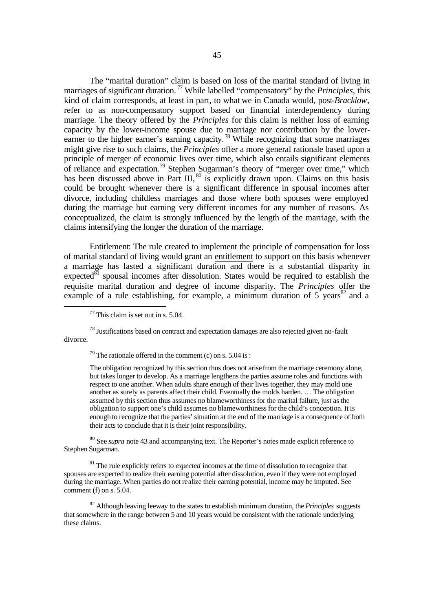The "marital duration" claim is based on loss of the marital standard of living in marriages of significant duration. <sup>77</sup> While labelled "compensatory" by the *Principles*, this kind of claim corresponds, at least in part, to what we in Canada would, post-*Bracklow*, refer to as non-compensatory support based on financial interdependency during marriage. The theory offered by the *Principles* for this claim is neither loss of earning capacity by the lower-income spouse due to marriage nor contribution by the lowerearner to the higher earner's earning capacity.<sup>78</sup> While recognizing that some marriages might give rise to such claims, the *Principles* offer a more general rationale based upon a principle of merger of economic lives over time, which also entails significant elements of reliance and expectation.<sup>79</sup> Stephen Sugarman's theory of "merger over time," which has been discussed above in Part III,  $80$  is explicitly drawn upon. Claims on this basis could be brought whenever there is a significant difference in spousal incomes after divorce, including childless marriages and those where both spouses were employed during the marriage but earning very different incomes for any number of reasons. As conceptualized, the claim is strongly influenced by the length of the marriage, with the claims intensifying the longer the duration of the marriage.

Entitlement: The rule created to implement the principle of compensation for loss of marital standard of living would grant an entitlement to support on this basis whenever a marriage has lasted a significant duration and there is a substantial disparity in expected $^{81}$  spousal incomes after dissolution. States would be required to establish the requisite marital duration and degree of income disparity. The *Principles* offer the example of a rule establishing, for example, a minimum duration of  $5$  years<sup>82</sup> and a

1

<sup>79</sup> The rationale offered in the comment (c) on s.  $5.04$  is :

The obligation recognized by this section thus does not arise from the marriage ceremony alone, but takes longer to develop. As a marriage lengthens the parties assume roles and functions with respect to one another. When adults share enough of their lives together, they may mold one another as surely as parents affect their child. Eventually the molds harden. … The obligation assumed by this section thus assumes no blameworthiness for the marital failure, just as the obligation to support one's child assumes no blameworthiness for the child's conception. It is enough to recognize that the parties' situation at the end of the marriage is a consequence of both their acts to conclude that it is their joint responsibility.

<sup>80</sup> See *supra* note 43 and accompanying text. The Reporter's notes made explicit reference to Stephen Sugarman.

<sup>81</sup> The rule explicitly refers to *expected* incomes at the time of dissolution to recognize that spouses are expected to realize their earning potential after dissolution, even if they were not employed during the marriage. When parties do not realize their earning potential, income may be imputed. See comment (f) on s. 5.04.

<sup>82</sup> Although leaving leeway to the states to establish minimum duration, the *Principles* suggests that somewhere in the range between 5 and 10 years would be consistent with the rationale underlying these claims.

<sup>77</sup> This claim is set out in s. 5.04.

<sup>&</sup>lt;sup>78</sup> Justifications based on contract and expectation damages are also rejected given no-fault divorce.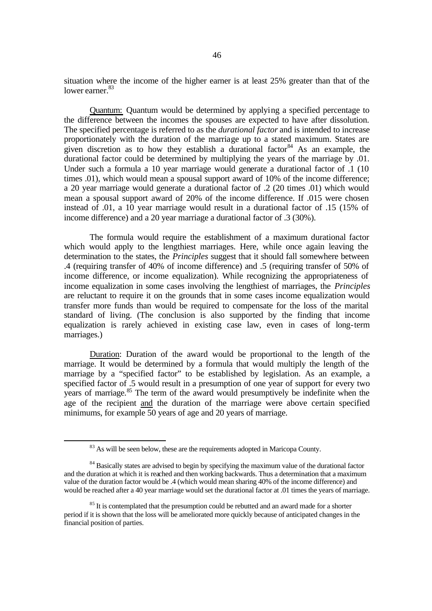situation where the income of the higher earner is at least 25% greater than that of the lower earner.<sup>83</sup>

Quantum: Quantum would be determined by applying a specified percentage to the difference between the incomes the spouses are expected to have after dissolution. The specified percentage is referred to as the *durational factor* and is intended to increase proportionately with the duration of the marriage up to a stated maximum. States are given discretion as to how they establish a durational factor  $84$  As an example, the durational factor could be determined by multiplying the years of the marriage by .01. Under such a formula a 10 year marriage would generate a durational factor of .1 (10 times .01), which would mean a spousal support award of 10% of the income difference; a 20 year marriage would generate a durational factor of .2 (20 times .01) which would mean a spousal support award of 20% of the income difference. If .015 were chosen instead of .01, a 10 year marriage would result in a durational factor of .15 (15% of income difference) and a 20 year marriage a durational factor of .3 (30%).

The formula would require the establishment of a maximum durational factor which would apply to the lengthiest marriages. Here, while once again leaving the determination to the states, the *Principles* suggest that it should fall somewhere between .4 (requiring transfer of 40% of income difference) and .5 (requiring transfer of 50% of income difference, or income equalization). While recognizing the appropriateness of income equalization in some cases involving the lengthiest of marriages, the *Principles* are reluctant to require it on the grounds that in some cases income equalization would transfer more funds than would be required to compensate for the loss of the marital standard of living. (The conclusion is also supported by the finding that income equalization is rarely achieved in existing case law, even in cases of long-term marriages.)

Duration: Duration of the award would be proportional to the length of the marriage. It would be determined by a formula that would multiply the length of the marriage by a "specified factor" to be established by legislation. As an example, a specified factor of .5 would result in a presumption of one year of support for every two years of marriage.<sup>85</sup> The term of the award would presumptively be indefinite when the age of the recipient and the duration of the marriage were above certain specified minimums, for example 50 years of age and 20 years of marriage.

1

<sup>&</sup>lt;sup>83</sup> As will be seen below, these are the requirements adopted in Maricopa County.

<sup>&</sup>lt;sup>84</sup> Basically states are advised to begin by specifying the maximum value of the durational factor and the duration at which it is reached and then working backwards. Thus a determination that a maximum value of the duration factor would be .4 (which would mean sharing 40% of the income difference) and would be reached after a 40 year marriage would set the durational factor at .01 times the years of marriage.

<sup>&</sup>lt;sup>85</sup> It is contemplated that the presumption could be rebutted and an award made for a shorter period if it is shown that the loss will be ameliorated more quickly because of anticipated changes in the financial position of parties.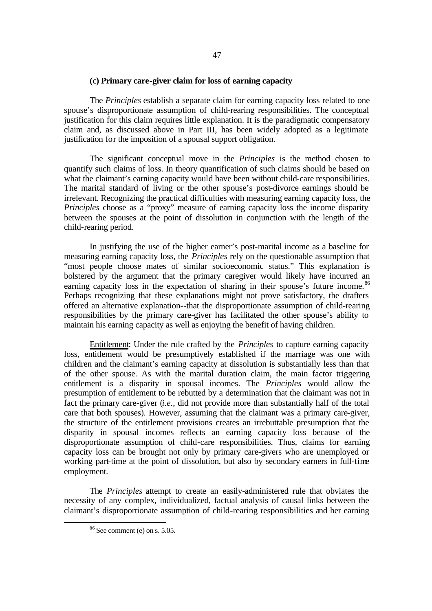#### **(c) Primary care-giver claim for loss of earning capacity**

The *Principles* establish a separate claim for earning capacity loss related to one spouse's disproportionate assumption of child-rearing responsibilities. The conceptual justification for this claim requires little explanation. It is the paradigmatic compensatory claim and, as discussed above in Part III, has been widely adopted as a legitimate justification for the imposition of a spousal support obligation.

The significant conceptual move in the *Principles* is the method chosen to quantify such claims of loss. In theory quantification of such claims should be based on what the claimant's earning capacity would have been without child-care responsibilities. The marital standard of living or the other spouse's post-divorce earnings should be irrelevant. Recognizing the practical difficulties with measuring earning capacity loss, the *Principles* choose as a "proxy" measure of earning capacity loss the income disparity between the spouses at the point of dissolution in conjunction with the length of the child-rearing period.

In justifying the use of the higher earner's post-marital income as a baseline for measuring earning capacity loss, the *Principles* rely on the questionable assumption that "most people choose mates of similar socioeconomic status." This explanation is bolstered by the argument that the primary caregiver would likely have incurred an earning capacity loss in the expectation of sharing in their spouse's future income.<sup>86</sup> Perhaps recognizing that these explanations might not prove satisfactory, the drafters offered an alternative explanation--that the disproportionate assumption of child-rearing responsibilities by the primary care-giver has facilitated the other spouse's ability to maintain his earning capacity as well as enjoying the benefit of having children.

Entitlement: Under the rule crafted by the *Principles* to capture earning capacity loss, entitlement would be presumptively established if the marriage was one with children and the claimant's earning capacity at dissolution is substantially less than that of the other spouse. As with the marital duration claim, the main factor triggering entitlement is a disparity in spousal incomes. The *Principles* would allow the presumption of entitlement to be rebutted by a determination that the claimant was not in fact the primary care-giver (*i.e.*, did not provide more than substantially half of the total care that both spouses). However, assuming that the claimant was a primary care-giver, the structure of the entitlement provisions creates an irrebuttable presumption that the disparity in spousal incomes reflects an earning capacity loss because of the disproportionate assumption of child-care responsibilities. Thus, claims for earning capacity loss can be brought not only by primary care-givers who are unemployed or working part-time at the point of dissolution, but also by secondary earners in full-time employment.

The *Principles* attempt to create an easily-administered rule that obviates the necessity of any complex, individualized, factual analysis of causal links between the claimant's disproportionate assumption of child-rearing responsibilities and her earning

j

 $86$  See comment (e) on s. 5.05.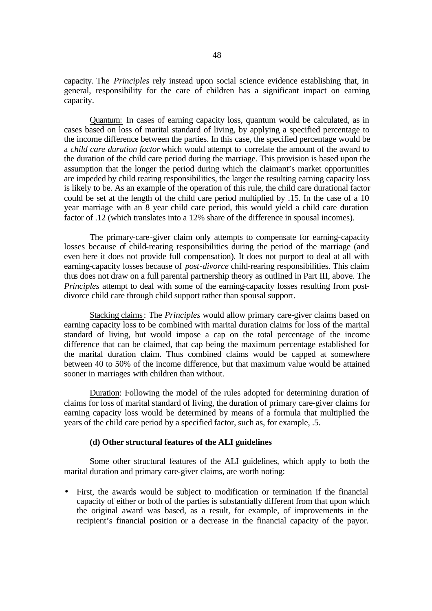capacity. The *Principles* rely instead upon social science evidence establishing that, in general, responsibility for the care of children has a significant impact on earning capacity.

Quantum: In cases of earning capacity loss, quantum would be calculated, as in cases based on loss of marital standard of living, by applying a specified percentage to the income difference between the parties. In this case, the specified percentage would be a *child care duration factor* which would attempt to correlate the amount of the award to the duration of the child care period during the marriage. This provision is based upon the assumption that the longer the period during which the claimant's market opportunities are impeded by child rearing responsibilities, the larger the resulting earning capacity loss is likely to be. As an example of the operation of this rule, the child care durational factor could be set at the length of the child care period multiplied by .15. In the case of a 10 year marriage with an 8 year child care period, this would yield a child care duration factor of .12 (which translates into a 12% share of the difference in spousal incomes).

The primary-care-giver claim only attempts to compensate for earning-capacity losses because of child-rearing responsibilities during the period of the marriage (and even here it does not provide full compensation). It does not purport to deal at all with earning-capacity losses because of *post-divorce* child-rearing responsibilities. This claim thus does not draw on a full parental partnership theory as outlined in Part III, above. The *Principles* attempt to deal with some of the earning-capacity losses resulting from postdivorce child care through child support rather than spousal support.

Stacking claims: The *Principles* would allow primary care-giver claims based on earning capacity loss to be combined with marital duration claims for loss of the marital standard of living, but would impose a cap on the total percentage of the income difference that can be claimed, that cap being the maximum percentage established for the marital duration claim. Thus combined claims would be capped at somewhere between 40 to 50% of the income difference, but that maximum value would be attained sooner in marriages with children than without.

Duration: Following the model of the rules adopted for determining duration of claims for loss of marital standard of living, the duration of primary care-giver claims for earning capacity loss would be determined by means of a formula that multiplied the years of the child care period by a specified factor, such as, for example, .5.

## **(d) Other structural features of the ALI guidelines**

Some other structural features of the ALI guidelines, which apply to both the marital duration and primary care-giver claims, are worth noting:

• First, the awards would be subject to modification or termination if the financial capacity of either or both of the parties is substantially different from that upon which the original award was based, as a result, for example, of improvements in the recipient's financial position or a decrease in the financial capacity of the payor.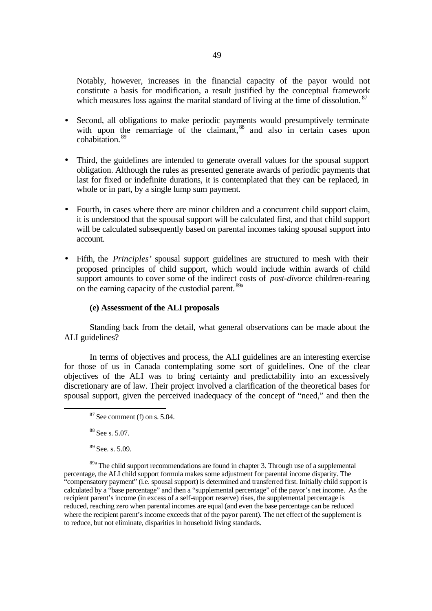Notably, however, increases in the financial capacity of the payor would not constitute a basis for modification, a result justified by the conceptual framework which measures loss against the marital standard of living at the time of dissolution.<sup>87</sup>

- Second, all obligations to make periodic payments would presumptively terminate with upon the remarriage of the claimant,<sup>88</sup> and also in certain cases upon cohabitation. <sup>89</sup>
- Third, the guidelines are intended to generate overall values for the spousal support obligation. Although the rules as presented generate awards of periodic payments that last for fixed or indefinite durations, it is contemplated that they can be replaced, in whole or in part, by a single lump sum payment.
- Fourth, in cases where there are minor children and a concurrent child support claim, it is understood that the spousal support will be calculated first, and that child support will be calculated subsequently based on parental incomes taking spousal support into account.
- Fifth, the *Principles'* spousal support guidelines are structured to mesh with their proposed principles of child support, which would include within awards of child support amounts to cover some of the indirect costs of *post-divorce* children-rearing on the earning capacity of the custodial parent. 89a

# **(e) Assessment of the ALI proposals**

Standing back from the detail, what general observations can be made about the ALI guidelines?

In terms of objectives and process, the ALI guidelines are an interesting exercise for those of us in Canada contemplating some sort of guidelines. One of the clear objectives of the ALI was to bring certainty and predictability into an excessively discretionary are of law. Their project involved a clarification of the theoretical bases for spousal support, given the perceived inadequacy of the concept of "need," and then the

<sup>88</sup> See s. 5.07.

1

 $89$  See. s. 5.09.

<sup>89a</sup> The child support recommendations are found in chapter 3. Through use of a supplemental percentage, the ALI child support formula makes some adjustment for parental income disparity. The "compensatory payment" (i.e. spousal support) is determined and transferred first. Initially child support is calculated by a "base percentage" and then a "supplemental percentage" of the payor's net income. As the recipient parent's income (in excess of a self-support reserve) rises, the supplemental percentage is reduced, reaching zero when parental incomes are equal (and even the base percentage can be reduced where the recipient parent's income exceeds that of the payor parent). The net effect of the supplement is to reduce, but not eliminate, disparities in household living standards.

 $87$  See comment (f) on s. 5.04.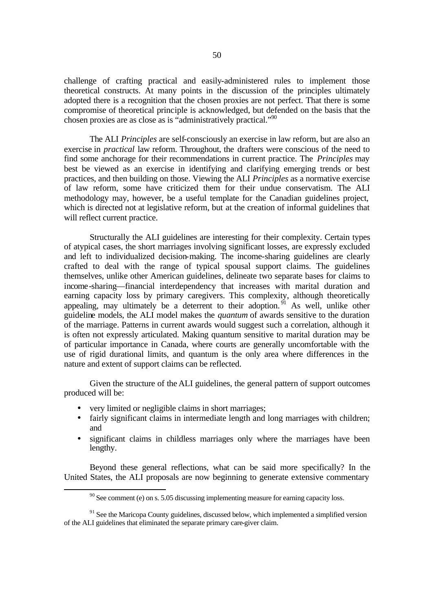challenge of crafting practical and easily-administered rules to implement those theoretical constructs. At many points in the discussion of the principles ultimately adopted there is a recognition that the chosen proxies are not perfect. That there is some compromise of theoretical principle is acknowledged, but defended on the basis that the chosen proxies are as close as is "administratively practical."<sup>90</sup>

The ALI *Principles* are self-consciously an exercise in law reform, but are also an exercise in *practical* law reform. Throughout, the drafters were conscious of the need to find some anchorage for their recommendations in current practice. The *Principles* may best be viewed as an exercise in identifying and clarifying emerging trends or best practices, and then building on those. Viewing the ALI *Principles* as a normative exercise of law reform, some have criticized them for their undue conservatism. The ALI methodology may, however, be a useful template for the Canadian guidelines project, which is directed not at legislative reform, but at the creation of informal guidelines that will reflect current practice.

Structurally the ALI guidelines are interesting for their complexity. Certain types of atypical cases, the short marriages involving significant losses, are expressly excluded and left to individualized decision-making. The income-sharing guidelines are clearly crafted to deal with the range of typical spousal support claims. The guidelines themselves, unlike other American guidelines, delineate two separate bases for claims to income-sharing—financial interdependency that increases with marital duration and earning capacity loss by primary caregivers. This complexity, although theoretically appealing, may ultimately be a deterrent to their adoption.  $\frac{91}{1}$  As well, unlike other guideline models, the ALI model makes the *quantum* of awards sensitive to the duration of the marriage. Patterns in current awards would suggest such a correlation, although it is often not expressly articulated. Making quantum sensitive to marital duration may be of particular importance in Canada, where courts are generally uncomfortable with the use of rigid durational limits, and quantum is the only area where differences in the nature and extent of support claims can be reflected.

Given the structure of the ALI guidelines, the general pattern of support outcomes produced will be:

• very limited or negligible claims in short marriages;

1

- fairly significant claims in intermediate length and long marriages with children; and
- significant claims in childless marriages only where the marriages have been lengthy.

Beyond these general reflections, what can be said more specifically? In the United States, the ALI proposals are now beginning to generate extensive commentary

 $90$  See comment (e) on s. 5.05 discussing implementing measure for earning capacity loss.

 $91$  See the Maricopa County guidelines, discussed below, which implemented a simplified version of the ALI guidelines that eliminated the separate primary care-giver claim.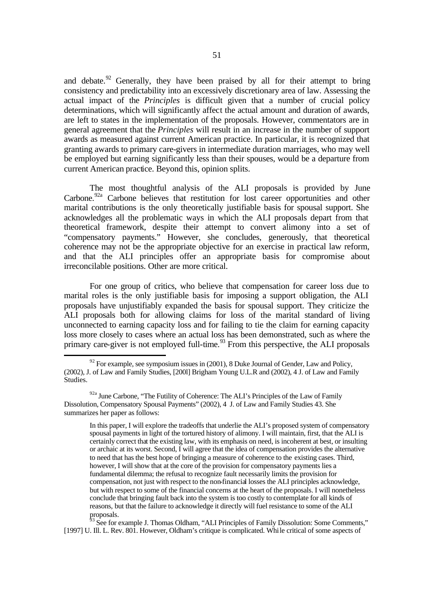and debate.<sup>92</sup> Generally, they have been praised by all for their attempt to bring consistency and predictability into an excessively discretionary area of law. Assessing the actual impact of the *Principles* is difficult given that a number of crucial policy determinations, which will significantly affect the actual amount and duration of awards, are left to states in the implementation of the proposals. However, commentators are in general agreement that the *Principles* will result in an increase in the number of support awards as measured against current American practice. In particular, it is recognized that granting awards to primary care-givers in intermediate duration marriages, who may well be employed but earning significantly less than their spouses, would be a departure from current American practice. Beyond this, opinion splits.

The most thoughtful analysis of the ALI proposals is provided by June Carbone.<sup>92a</sup> Carbone believes that restitution for lost career opportunities and other marital contributions is the only theoretically justifiable basis for spousal support. She acknowledges all the problematic ways in which the ALI proposals depart from that theoretical framework, despite their attempt to convert alimony into a set of "compensatory payments." However, she concludes, generously, that theoretical coherence may not be the appropriate objective for an exercise in practical law reform, and that the ALI principles offer an appropriate basis for compromise about irreconcilable positions. Other are more critical.

For one group of critics, who believe that compensation for career loss due to marital roles is the only justifiable basis for imposing a support obligation, the ALI proposals have unjustifiably expanded the basis for spousal support. They criticize the ALI proposals both for allowing claims for loss of the marital standard of living unconnected to earning capacity loss and for failing to tie the claim for earning capacity loss more closely to cases where an actual loss has been demonstrated, such as where the primary care-giver is not employed full-time. $93$  From this perspective, the ALI proposals

 $\frac{33}{3}$  See for example J. Thomas Oldham, "ALI Principles of Family Dissolution: Some Comments," [1997] U. Ill. L. Rev. 801. However, Oldham's critique is complicated. While critical of some aspects of

 $\overline{a}$  $92$  For example, see symposium issues in (2001), 8 Duke Journal of Gender, Law and Policy, (2002), J. of Law and Family Studies, [200l] Brigham Young U.L.R and (2002), 4 J. of Law and Family Studies.

 $92a$  June Carbone, "The Futility of Coherence: The ALI's Principles of the Law of Family Dissolution, Compensatory Spousal Payments" (2002), 4 J. of Law and Family Studies 43. She summarizes her paper as follows:

In this paper, I will explore the tradeoffs that underlie the ALI's proposed system of compensatory spousal payments in light of the tortured history of alimony. I will maintain, first, that the ALI is certainly correct that the existing law, with its emphasis on need, is incoherent at best, or insulting or archaic at its worst. Second, I will agree that the idea of compensation provides the alternative to need that has the best hope of bringing a measure of coherence to the existing cases. Third, however, I will show that at the core of the provision for compensatory payments lies a fundamental dilemma; the refusal to recognize fault necessarily limits the provision for compensation, not just with respect to the non-financial losses the ALI principles acknowledge, but with respect to some of the financial concerns at the heart of the proposals. I will nonetheless conclude that bringing fault back into the system is too costly to contemplate for all kinds of reasons, but that the failure to acknowledge it directly will fuel resistance to some of the ALI proposals.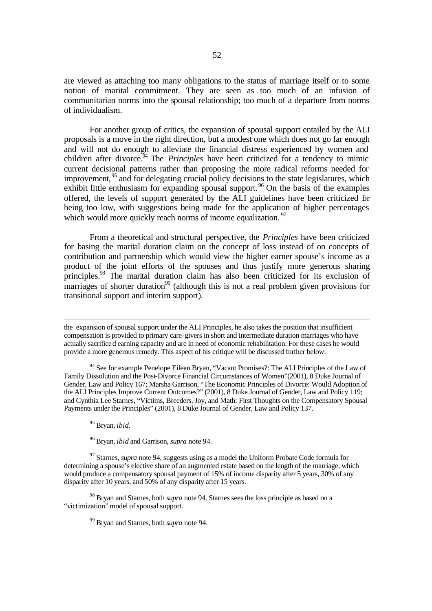are viewed as attaching too many obligations to the status of marriage itself or to some notion of marital commitment. They are seen as too much of an infusion of communitarian norms into the spousal relationship; too much of a departure from norms of individualism.

For another group of critics, the expansion of spousal support entailed by the ALI proposals is a move in the right direction, but a modest one which does not go far enough and will not do enough to alleviate the financial distress experienced by women and children after divorce.<sup>94</sup> The *Principles* have been criticized for a tendency to mimic current decisional patterns rather than proposing the more radical reforms needed for improvement,<sup>95</sup> and for delegating crucial policy decisions to the state legislatures, which exhibit little enthusiasm for expanding spousal support.<sup>96</sup> On the basis of the examples offered, the levels of support generated by the ALI guidelines have been criticized for being too low, with suggestions being made for the application of higher percentages which would more quickly reach norms of income equalization.<sup>97</sup>

From a theoretical and structural perspective, the *Principles* have been criticized for basing the marital duration claim on the concept of loss instead of on concepts of contribution and partnership which would view the higher earner spouse's income as a product of the joint efforts of the spouses and thus justify more generous sharing principles.<sup>98</sup> The marital duration claim has also been criticized for its exclusion of marriages of shorter duration<sup>99</sup> (although this is not a real problem given provisions for transitional support and interim support).

<sup>94</sup> See for example Penelope Eileen Bryan, "Vacant Promises?: The ALI Principles of the Law of Family Dissolution and the Post-Divorce Financial Circumstances of Women"(2001), 8 Duke Journal of Gender, Law and Policy 167; Marsha Garrison, "The Economic Principles of Divorce: Would Adoption of the ALI Principles Improve Current Outcomes?" (2001), 8 Duke Journal of Gender, Law and Policy 119; and Cynthia Lee Starnes, "Victims, Breeders, Joy, and Math: First Thoughts on the Compensatory Spousal Payments under the Principles" (2001), 8 Duke Journal of Gender, Law and Policy 137.

<sup>95</sup> Bryan, *ibid*.

 $\overline{a}$ 

<sup>96</sup> Bryan, *ibid* and Garrison, *supra* note 94.

<sup>97</sup> Starnes, *supra* note 94, suggests using as a model the Uniform Probate Code formula for determining a spouse's elective share of an augmented estate based on the length of the marriage, which would produce a compensatory spousal payment of 15% of income disparity after 5 years, 30% of any disparity after 10 years, and 50% of any disparity after 15 years.

<sup>98</sup> Bryan and Starnes, both *supra* note 94. Starnes sees the loss principle as based on a "victimization" model of spousal support.

<sup>99</sup> Bryan and Starnes, both *supra* note 94.

the expansion of spousal support under the ALI Principles, he also takes the position that insufficient compensation is provided to primary care-givers in short and intermediate duration marriages who have actually sacrificed earning capacity and are in need of economic rehabilitation. For these cases he would provide a more generous remedy. This aspect of his critique will be discussed further below.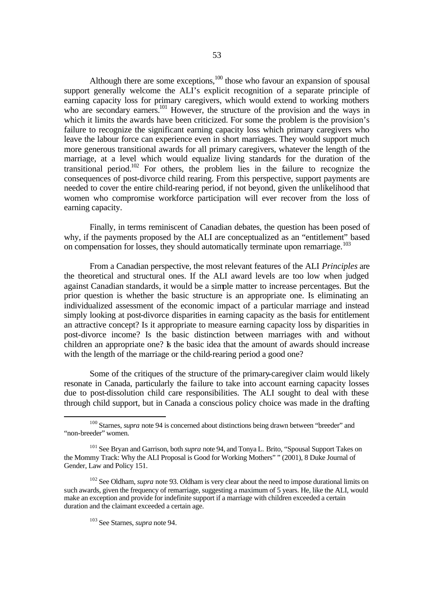Although there are some exceptions, $100$  those who favour an expansion of spousal support generally welcome the ALI's explicit recognition of a separate principle of earning capacity loss for primary caregivers, which would extend to working mothers who are secondary earners.<sup>101</sup> However, the structure of the provision and the ways in which it limits the awards have been criticized. For some the problem is the provision's failure to recognize the significant earning capacity loss which primary caregivers who leave the labour force can experience even in short marriages. They would support much more generous transitional awards for all primary caregivers, whatever the length of the marriage, at a level which would equalize living standards for the duration of the transitional period.<sup>102</sup> For others, the problem lies in the failure to recognize the consequences of post-divorce child rearing. From this perspective, support payments are needed to cover the entire child-rearing period, if not beyond, given the unlikelihood that women who compromise workforce participation will ever recover from the loss of earning capacity.

Finally, in terms reminiscent of Canadian debates, the question has been posed of why, if the payments proposed by the ALI are conceptualized as an "entitlement" based on compensation for losses, they should automatically terminate upon remarriage.<sup>103</sup>

From a Canadian perspective, the most relevant features of the ALI *Principles* are the theoretical and structural ones. If the ALI award levels are too low when judged against Canadian standards, it would be a simple matter to increase percentages. But the prior question is whether the basic structure is an appropriate one. Is eliminating an individualized assessment of the economic impact of a particular marriage and instead simply looking at post-divorce disparities in earning capacity as the basis for entitlement an attractive concept? Is it appropriate to measure earning capacity loss by disparities in post-divorce income? Is the basic distinction between marriages with and without children an appropriate one? Is the basic idea that the amount of awards should increase with the length of the marriage or the child-rearing period a good one?

Some of the critiques of the structure of the primary-caregiver claim would likely resonate in Canada, particularly the failure to take into account earning capacity losses due to post-dissolution child care responsibilities. The ALI sought to deal with these through child support, but in Canada a conscious policy choice was made in the drafting

j

<sup>&</sup>lt;sup>100</sup> Starnes, *supra* note 94 is concerned about distinctions being drawn between "breeder" and "non-breeder" women.

<sup>101</sup> See Bryan and Garrison, both *supra* note 94, and Tonya L. Brito, "Spousal Support Takes on the Mommy Track: Why the ALI Proposal is Good for Working Mothers" " (2001), 8 Duke Journal of Gender, Law and Policy 151.

<sup>&</sup>lt;sup>102</sup> See Oldham, *supra* note 93. Oldham is very clear about the need to impose durational limits on such awards, given the frequency of remarriage, suggesting a maximum of 5 years. He, like the ALI, would make an exception and provide for indefinite support if a marriage with children exceeded a certain duration and the claimant exceeded a certain age.

<sup>103</sup> See Starnes, *supra* note 94.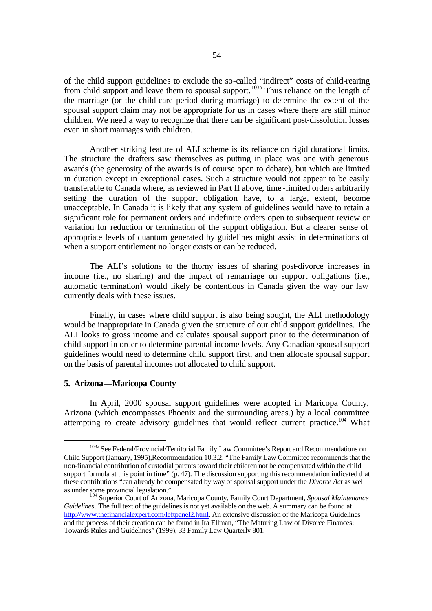of the child support guidelines to exclude the so-called "indirect" costs of child-rearing from child support and leave them to spousal support.<sup>103a</sup> Thus reliance on the length of the marriage (or the child-care period during marriage) to determine the extent of the spousal support claim may not be appropriate for us in cases where there are still minor children. We need a way to recognize that there can be significant post-dissolution losses even in short marriages with children.

Another striking feature of ALI scheme is its reliance on rigid durational limits. The structure the drafters saw themselves as putting in place was one with generous awards (the generosity of the awards is of course open to debate), but which are limited in duration except in exceptional cases. Such a structure would not appear to be easily transferable to Canada where, as reviewed in Part II above, time -limited orders arbitrarily setting the duration of the support obligation have, to a large, extent, become unacceptable. In Canada it is likely that any system of guidelines would have to retain a significant role for permanent orders and indefinite orders open to subsequent review or variation for reduction or termination of the support obligation. But a clearer sense of appropriate levels of quantum generated by guidelines might assist in determinations of when a support entitlement no longer exists or can be reduced.

The ALI's solutions to the thorny issues of sharing post-divorce increases in income (i.e., no sharing) and the impact of remarriage on support obligations (i.e., automatic termination) would likely be contentious in Canada given the way our law currently deals with these issues.

Finally, in cases where child support is also being sought, the ALI methodology would be inappropriate in Canada given the structure of our child support guidelines. The ALI looks to gross income and calculates spousal support prior to the determination of child support in order to determine parental income levels. Any Canadian spousal support guidelines would need to determine child support first, and then allocate spousal support on the basis of parental incomes not allocated to child support.

## **5. Arizona—Maricopa County**

1

In April, 2000 spousal support guidelines were adopted in Maricopa County, Arizona (which encompasses Phoenix and the surrounding areas.) by a local committee attempting to create advisory guidelines that would reflect current practice.<sup>104</sup> What

<sup>&</sup>lt;sup>103a</sup> See Federal/Provincial/Territorial Family Law Committee's Report and Recommendations on Child Support (January, 1995),Recommendation 10.3.2: "The Family Law Committee recommends that the non-financial contribution of custodial parents toward their children not be compensated within the child support formula at this point in time" (p. 47). The discussion supporting this recommendation indicated that these contributions "can already be compensated by way of spousal support under the *Divorce Act* as well as under some provincial legislation."

<sup>104</sup> Superior Court of Arizona, Maricopa County, Family Court Department, *Spousal Maintenance Guidelines*. The full text of the guidelines is not yet available on the web. A summary can be found at http://www.thefinancialexpert.com/leftpanel2.html. An extensive discussion of the Maricopa Guidelines and the process of their creation can be found in Ira Ellman, "The Maturing Law of Divorce Finances: Towards Rules and Guidelines" (1999), 33 Family Law Quarterly 801.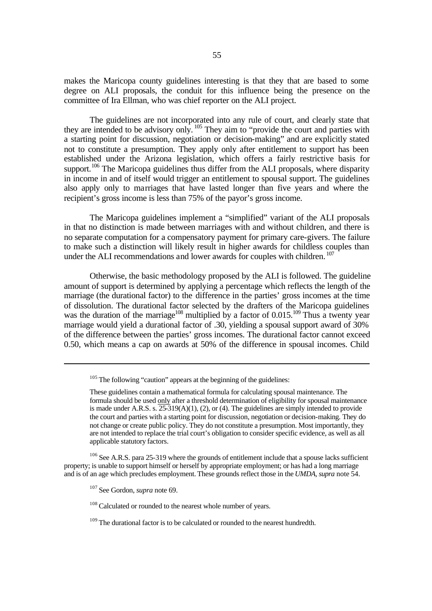makes the Maricopa county guidelines interesting is that they that are based to some degree on ALI proposals, the conduit for this influence being the presence on the committee of Ira Ellman, who was chief reporter on the ALI project.

The guidelines are not incorporated into any rule of court, and clearly state that they are intended to be advisory only.<sup>105</sup> They aim to "provide the court and parties with a starting point for discussion, negotiation or decision-making" and are explicitly stated not to constitute a presumption. They apply only after entitlement to support has been established under the Arizona legislation, which offers a fairly restrictive basis for support.<sup>106</sup> The Maricopa guidelines thus differ from the ALI proposals, where disparity in income in and of itself would trigger an entitlement to spousal support. The guidelines also apply only to marriages that have lasted longer than five years and where the recipient's gross income is less than 75% of the payor's gross income.

The Maricopa guidelines implement a "simplified" variant of the ALI proposals in that no distinction is made between marriages with and without children, and there is no separate computation for a compensatory payment for primary care-givers. The failure to make such a distinction will likely result in higher awards for childless couples than under the ALI recommendations and lower awards for couples with children.<sup>107</sup>

Otherwise, the basic methodology proposed by the ALI is followed. The guideline amount of support is determined by applying a percentage which reflects the length of the marriage (the durational factor) to the difference in the parties' gross incomes at the time of dissolution. The durational factor selected by the drafters of the Maricopa guidelines was the duration of the marriage<sup>108</sup> multiplied by a factor of  $0.015$ .<sup>109</sup> Thus a twenty year marriage would yield a durational factor of .30, yielding a spousal support award of 30% of the difference between the parties' gross incomes. The durational factor cannot exceed 0.50, which means a cap on awards at 50% of the difference in spousal incomes. Child

 $105$  The following "caution" appears at the beginning of the guidelines:

 $106$  See A.R.S. para 25-319 where the grounds of entitlement include that a spouse lacks sufficient property; is unable to support himself or herself by appropriate employment; or has had a long marriage and is of an age which precludes employment. These grounds reflect those in the *UMDA*, *supra* note 54.

j

<sup>108</sup> Calculated or rounded to the nearest whole number of years.

These guidelines contain a mathematical formula for calculating spousal maintenance. The formula should be used only after a threshold determination of eligibility for spousal maintenance is made under A.R.S. s.  $25-319(A)(1)$ , (2), or (4). The guidelines are simply intended to provide the court and parties with a starting point for discussion, negotiation or decision-making. They do not change or create public policy. They do not constitute a presumption. Most importantly, they are not intended to replace the trial court's obligation to consider specific evidence, as well as all applicable statutory factors.

<sup>107</sup> See Gordon, *supra* note 69.

 $109$  The durational factor is to be calculated or rounded to the nearest hundredth.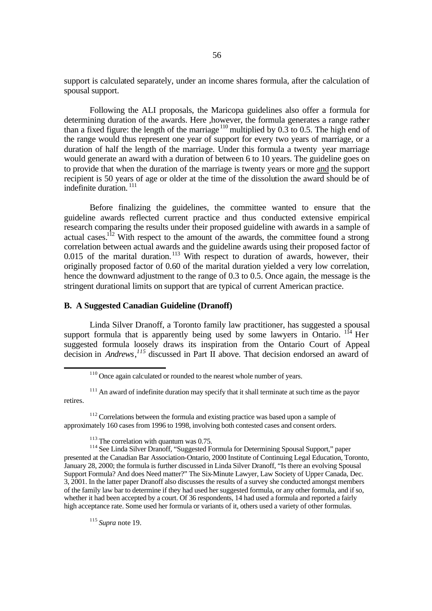support is calculated separately, under an income shares formula, after the calculation of spousal support.

Following the ALI proposals, the Maricopa guidelines also offer a formula for determining duration of the awards. Here ,however, the formula generates a range rather than a fixed figure: the length of the marriage  $110$  multiplied by 0.3 to 0.5. The high end of the range would thus represent one year of support for every two years of marriage, or a duration of half the length of the marriage. Under this formula a twenty year marriage would generate an award with a duration of between 6 to 10 years. The guideline goes on to provide that when the duration of the marriage is twenty years or more and the support recipient is 50 years of age or older at the time of the dissolution the award should be of indefinite duration. <sup>111</sup>

Before finalizing the guidelines, the committee wanted to ensure that the guideline awards reflected current practice and thus conducted extensive empirical research comparing the results under their proposed guideline with awards in a sample of actual cases.<sup>112</sup> With respect to the amount of the awards, the committee found a strong correlation between actual awards and the guideline awards using their proposed factor of  $0.015$  of the marital duration.<sup>113</sup> With respect to duration of awards, however, their originally proposed factor of 0.60 of the marital duration yielded a very low correlation, hence the downward adjustment to the range of 0.3 to 0.5. Once again, the message is the stringent durational limits on support that are typical of current American practice.

## **B. A Suggested Canadian Guideline (Dranoff)**

Linda Silver Dranoff, a Toronto family law practitioner, has suggested a spousal support formula that is apparently being used by some lawyers in Ontario.  $114$  Her suggested formula loosely draws its inspiration from the Ontario Court of Appeal decision in *Andrews*, *<sup>115</sup>* discussed in Part II above. That decision endorsed an award of

<sup>115</sup> *Supra* note 19.

j

<sup>&</sup>lt;sup>110</sup> Once again calculated or rounded to the nearest whole number of years.

<sup>&</sup>lt;sup>111</sup> An award of indefinite duration may specify that it shall terminate at such time as the payor retires.

<sup>&</sup>lt;sup>112</sup> Correlations between the formula and existing practice was based upon a sample of approximately 160 cases from 1996 to 1998, involving both contested cases and consent orders.

 $113$  The correlation with quantum was 0.75.

<sup>&</sup>lt;sup>114</sup> See Linda Silver Dranoff, "Suggested Formula for Determining Spousal Support," paper presented at the Canadian Bar Association-Ontario, 2000 Institute of Continuing Legal Education, Toronto, January 28, 2000; the formula is further discussed in Linda Silver Dranoff, "Is there an evolving Spousal Support Formula? And does Need matter?" The Six-Minute Lawyer, Law Society of Upper Canada, Dec. 3, 2001. In the latter paper Dranoff also discusses the results of a survey she conducted amongst members of the family law bar to determine if they had used her suggested formula, or any other formula, and if so, whether it had been accepted by a court. Of 36 respondents, 14 had used a formula and reported a fairly high acceptance rate. Some used her formula or variants of it, others used a variety of other formulas.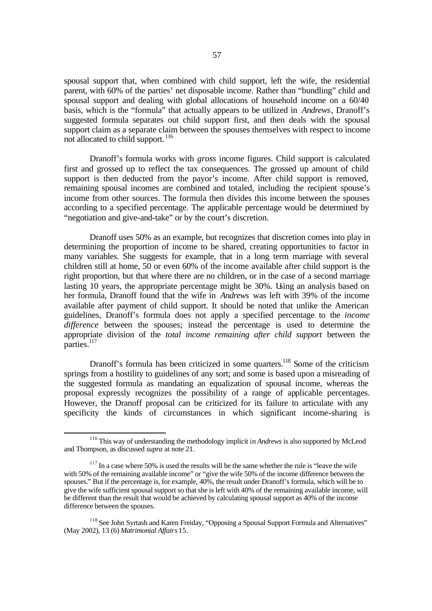spousal support that, when combined with child support, left the wife, the residential parent, with 60% of the parties' net disposable income. Rather than "bundling" child and spousal support and dealing with global allocations of household income on a 60/40 basis, which is the "formula" that actually appears to be utilized in *Andrews*, Dranoff's suggested formula separates out child support first, and then deals with the spousal support claim as a separate claim between the spouses themselves with respect to income not allocated to child support. <sup>116</sup>

Dranoff's formula works with *gross* income figures. Child support is calculated first and grossed up to reflect the tax consequences. The grossed up amount of child support is then deducted from the payor's income. After child support is removed, remaining spousal incomes are combined and totaled, including the recipient spouse's income from other sources. The formula then divides this income between the spouses according to a specified percentage. The applicable percentage would be determined by "negotiation and give-and-take" or by the court's discretion.

Dranoff uses 50% as an example, but recognizes that discretion comes into play in determining the proportion of income to be shared, creating opportunities to factor in many variables. She suggests for example, that in a long term marriage with several children still at home, 50 or even 60% of the income available after child support is the right proportion, but that where there are no children, or in the case of a second marriage lasting 10 years, the appropriate percentage might be 30%. Using an analysis based on her formula, Dranoff found that the wife in *Andrews* was left with 39% of the income available after payment of child support. It should be noted that unlike the American guidelines, Dranoff's formula does not apply a specified percentage to the *income difference* between the spouses; instead the percentage is used to determine the appropriate division of the *total income remaining after child support* between the parties.<sup>117</sup>

Dranoff's formula has been criticized in some quarters.<sup>118</sup> Some of the criticism springs from a hostility to guidelines of any sort; and some is based upon a misreading of the suggested formula as mandating an equalization of spousal income, whereas the proposal expressly recognizes the possibility of a range of applicable percentages. However, the Dranoff proposal can be criticized for its failure to articulate with any specificity the kinds of circumstances in which significant income-sharing is

 $\overline{a}$ 

<sup>116</sup> This way of understanding the methodology implicit in *Andrews* is also supported by McLeod and Thompson, as discussed *supra* at note 21.

 $117$  In a case where 50% is used the results will be the same whether the rule is "leave the wife with 50% of the remaining available income" or "give the wife 50% of the income difference between the spouses." But if the percentage is, for example, 40%, the result under Dranoff's formula, which will be to give the wife sufficient spousal support so that she is left with 40% of the remaining available income, will be different than the result that would be achieved by calculating spousal support as 40% of the income difference between the spouses.

<sup>&</sup>lt;sup>118</sup> See John Syrtash and Karen Freiday, "Opposing a Spousal Support Formula and Alternatives" (May 2002), 13 (6) *Matrimonial Affairs* 15.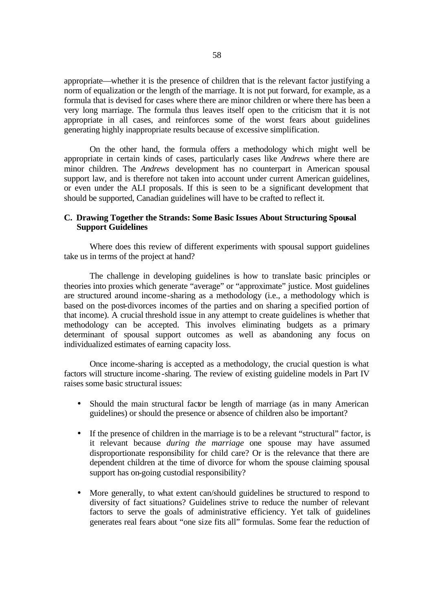appropriate—whether it is the presence of children that is the relevant factor justifying a norm of equalization or the length of the marriage. It is not put forward, for example, as a formula that is devised for cases where there are minor children or where there has been a very long marriage. The formula thus leaves itself open to the criticism that it is not appropriate in all cases, and reinforces some of the worst fears about guidelines generating highly inappropriate results because of excessive simplification.

On the other hand, the formula offers a methodology which might well be appropriate in certain kinds of cases, particularly cases like *Andrews* where there are minor children. The *Andrews* development has no counterpart in American spousal support law, and is therefore not taken into account under current American guidelines, or even under the ALI proposals. If this is seen to be a significant development that should be supported, Canadian guidelines will have to be crafted to reflect it.

# **C. Drawing Together the Strands: Some Basic Issues About Structuring Spousal Support Guidelines**

Where does this review of different experiments with spousal support guidelines take us in terms of the project at hand?

The challenge in developing guidelines is how to translate basic principles or theories into proxies which generate "average" or "approximate" justice. Most guidelines are structured around income-sharing as a methodology (i.e., a methodology which is based on the post-divorces incomes of the parties and on sharing a specified portion of that income). A crucial threshold issue in any attempt to create guidelines is whether that methodology can be accepted. This involves eliminating budgets as a primary determinant of spousal support outcomes as well as abandoning any focus on individualized estimates of earning capacity loss.

Once income-sharing is accepted as a methodology, the crucial question is what factors will structure income -sharing. The review of existing guideline models in Part IV raises some basic structural issues:

- Should the main structural factor be length of marriage (as in many American guidelines) or should the presence or absence of children also be important?
- If the presence of children in the marriage is to be a relevant "structural" factor, is it relevant because *during the marriage* one spouse may have assumed disproportionate responsibility for child care? Or is the relevance that there are dependent children at the time of divorce for whom the spouse claiming spousal support has on-going custodial responsibility?
- More generally, to what extent can/should guidelines be structured to respond to diversity of fact situations? Guidelines strive to reduce the number of relevant factors to serve the goals of administrative efficiency. Yet talk of guidelines generates real fears about "one size fits all" formulas. Some fear the reduction of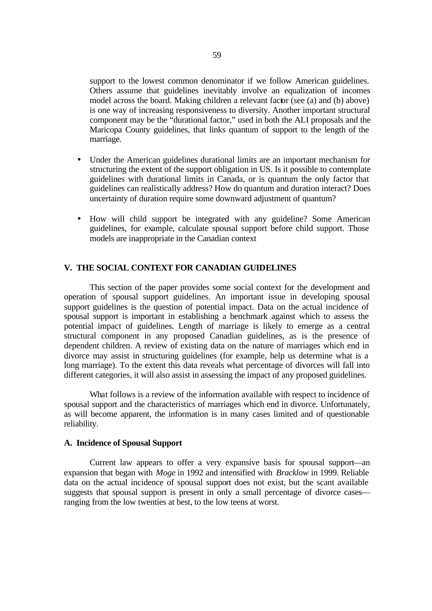support to the lowest common denominator if we follow American guidelines. Others assume that guidelines inevitably involve an equalization of incomes model across the board. Making children a relevant factor (see (a) and (b) above) is one way of increasing responsiveness to diversity. Another important structural component may be the "durational factor," used in both the ALI proposals and the Maricopa County guidelines, that links quantum of support to the length of the marriage.

- Under the American guidelines durational limits are an important mechanism for structuring the extent of the support obligation in US. Is it possible to contemplate guidelines with durational limits in Canada, or is quantum the only factor that guidelines can realistically address? How do quantum and duration interact? Does uncertainty of duration require some downward adjustment of quantum?
- How will child support be integrated with any guideline? Some American guidelines, for example, calculate spousal support before child support. Those models are inappropriate in the Canadian context

# **V. THE SOCIAL CONTEXT FOR CANADIAN GUIDELINES**

This section of the paper provides some social context for the development and operation of spousal support guidelines. An important issue in developing spousal support guidelines is the question of potential impact. Data on the actual incidence of spousal support is important in establishing a benchmark against which to assess the potential impact of guidelines. Length of marriage is likely to emerge as a central structural component in any proposed Canadian guidelines, as is the presence of dependent children. A review of existing data on the nature of marriages which end in divorce may assist in structuring guidelines (for example, help us determine what is a long marriage). To the extent this data reveals what percentage of divorces will fall into different categories, it will also assist in assessing the impact of any proposed guidelines.

What follows is a review of the information available with respect to incidence of spousal support and the characteristics of marriages which end in divorce. Unfortunately, as will become apparent, the information is in many cases limited and of questionable reliability.

## **A. Incidence of Spousal Support**

Current law appears to offer a very expansive basis for spousal support—an expansion that began with *Moge* in 1992 and intensified with *Bracklow* in 1999. Reliable data on the actual incidence of spousal support does not exist, but the scant available suggests that spousal support is present in only a small percentage of divorce cases ranging from the low twenties at best, to the low teens at worst.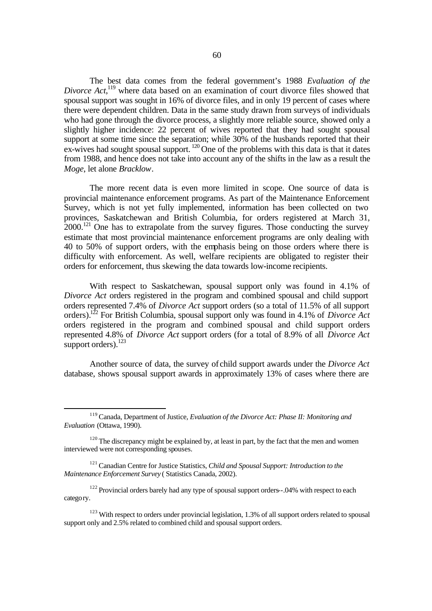The best data comes from the federal government's 1988 *Evaluation of the* Divorce Act,<sup>119</sup> where data based on an examination of court divorce files showed that spousal support was sought in 16% of divorce files, and in only 19 percent of cases where there were dependent children. Data in the same study drawn from surveys of individuals who had gone through the divorce process, a slightly more reliable source, showed only a slightly higher incidence: 22 percent of wives reported that they had sought spousal support at some time since the separation; while 30% of the husbands reported that their ex-wives had sought spousal support.  $120$  One of the problems with this data is that it dates from 1988, and hence does not take into account any of the shifts in the law as a result the *Moge*, let alone *Bracklow*.

The more recent data is even more limited in scope. One source of data is provincial maintenance enforcement programs. As part of the Maintenance Enforcement Survey, which is not yet fully implemented, information has been collected on two provinces, Saskatchewan and British Columbia, for orders registered at March 31, 2000.<sup>121</sup> One has to extrapolate from the survey figures. Those conducting the survey estimate that most provincial maintenance enforcement programs are only dealing with 40 to 50% of support orders, with the emphasis being on those orders where there is difficulty with enforcement. As well, welfare recipients are obligated to register their orders for enforcement, thus skewing the data towards low-income recipients.

With respect to Saskatchewan, spousal support only was found in 4.1% of *Divorce Act* orders registered in the program and combined spousal and child support orders represented 7.4% of *Divorce Act* support orders (so a total of 11.5% of all support orders).<sup>122</sup> For British Columbia, spousal support only was found in 4.1% of *Divorce Act* orders registered in the program and combined spousal and child support orders represented 4.8% of *Divorce Act* support orders (for a total of 8.9% of all *Divorce Act*  support orders). $^{123}$ 

Another source of data, the survey of child support awards under the *Divorce Act* database, shows spousal support awards in approximately 13% of cases where there are

1

<sup>121</sup> Canadian Centre for Justice Statistics, *Child and Spousal Support: Introduction to the Maintenance Enforcement Survey* ( Statistics Canada, 2002).

<sup>122</sup> Provincial orders barely had any type of spousal support orders--.04% with respect to each category.

<sup>123</sup> With respect to orders under provincial legislation, 1.3% of all support orders related to spousal support only and 2.5% related to combined child and spousal support orders.

<sup>119</sup> Canada, Department of Justice, *Evaluation of the Divorce Act: Phase II: Monitoring and Evaluation* (Ottawa, 1990).

<sup>&</sup>lt;sup>120</sup> The discrepancy might be explained by, at least in part, by the fact that the men and women interviewed were not corresponding spouses.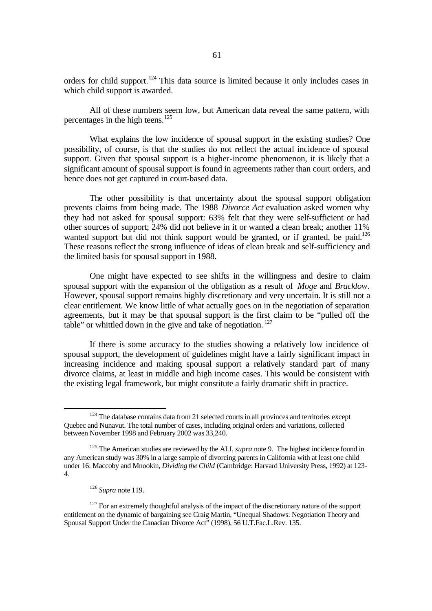orders for child support.<sup>124</sup> This data source is limited because it only includes cases in which child support is awarded.

All of these numbers seem low, but American data reveal the same pattern, with percentages in the high teens.<sup>125</sup>

What explains the low incidence of spousal support in the existing studies? One possibility, of course, is that the studies do not reflect the actual incidence of spousal support. Given that spousal support is a higher-income phenomenon, it is likely that a significant amount of spousal support is found in agreements rather than court orders, and hence does not get captured in court-based data.

The other possibility is that uncertainty about the spousal support obligation prevents claims from being made. The 1988 *Divorce Act* evaluation asked women why they had not asked for spousal support: 63% felt that they were self-sufficient or had other sources of support; 24% did not believe in it or wanted a clean break; another 11% wanted support but did not think support would be granted, or if granted, be paid.<sup>126</sup> These reasons reflect the strong influence of ideas of clean break and self-sufficiency and the limited basis for spousal support in 1988.

One might have expected to see shifts in the willingness and desire to claim spousal support with the expansion of the obligation as a result of *Moge* and *Bracklow*. However, spousal support remains highly discretionary and very uncertain. It is still not a clear entitlement. We know little of what actually goes on in the negotiation of separation agreements, but it may be that spousal support is the first claim to be "pulled off the table" or whittled down in the give and take of negotiation. <sup>127</sup>

If there is some accuracy to the studies showing a relatively low incidence of spousal support, the development of guidelines might have a fairly significant impact in increasing incidence and making spousal support a relatively standard part of many divorce claims, at least in middle and high income cases. This would be consistent with the existing legal framework, but might constitute a fairly dramatic shift in practice.

1

<sup>&</sup>lt;sup>124</sup> The database contains data from 21 selected courts in all provinces and territories except Quebec and Nunavut. The total number of cases, including original orders and variations, collected between November 1998 and February 2002 was 33,240.

<sup>&</sup>lt;sup>125</sup> The American studies are reviewed by the ALI, *supra* note 9. The highest incidence found in any American study was 30% in a large sample of divorcing parents in California with at least one child under 16: Maccoby and Mnookin, *Dividing the Child* (Cambridge: Harvard University Press, 1992) at 123- 4.

<sup>126</sup> *Supra* note 119.

 $127$  For an extremely thoughtful analysis of the impact of the discretionary nature of the support entitlement on the dynamic of bargaining see Craig Martin, "Unequal Shadows: Negotiation Theory and Spousal Support Under the Canadian Divorce Act<sup>"</sup> (1998), 56 U.T.Fac.L.Rev. 135.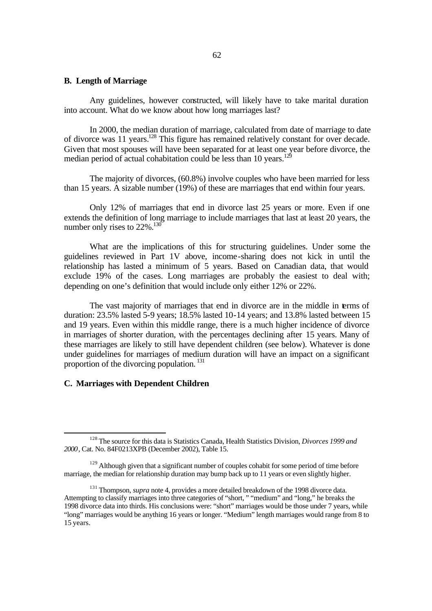#### **B. Length of Marriage**

Any guidelines, however constructed, will likely have to take marital duration into account. What do we know about how long marriages last?

In 2000, the median duration of marriage, calculated from date of marriage to date of divorce was 11 years.<sup>128</sup> This figure has remained relatively constant for over decade. Given that most spouses will have been separated for at least one year before divorce, the median period of actual cohabitation could be less than 10 years.<sup>125</sup>

The majority of divorces, (60.8%) involve couples who have been married for less than 15 years. A sizable number (19%) of these are marriages that end within four years.

Only 12% of marriages that end in divorce last 25 years or more. Even if one extends the definition of long marriage to include marriages that last at least 20 years, the number only rises to  $22\%$ .<sup>130</sup>

What are the implications of this for structuring guidelines. Under some the guidelines reviewed in Part 1V above, income-sharing does not kick in until the relationship has lasted a minimum of 5 years. Based on Canadian data, that would exclude 19% of the cases. Long marriages are probably the easiest to deal with; depending on one's definition that would include only either 12% or 22%.

The vast majority of marriages that end in divorce are in the middle in terms of duration: 23.5% lasted 5-9 years; 18.5% lasted 10-14 years; and 13.8% lasted between 15 and 19 years. Even within this middle range, there is a much higher incidence of divorce in marriages of shorter duration, with the percentages declining after 15 years. Many of these marriages are likely to still have dependent children (see below). Whatever is done under guidelines for marriages of medium duration will have an impact on a significant proportion of the divorcing population. <sup>131</sup>

# **C. Marriages with Dependent Children**

 $\overline{a}$ 

<sup>128</sup> The source for this data is Statistics Canada, Health Statistics Division, *Divorces 1999 and 2000*, Cat. No. 84F0213XPB (December 2002), Table 15.

<sup>&</sup>lt;sup>129</sup> Although given that a significant number of couples cohabit for some period of time before marriage, the median for relationship duration may bump back up to 11 years or even slightly higher.

<sup>131</sup> Thompson, *supra* note 4, provides a more detailed breakdown of the 1998 divorce data. Attempting to classify marriages into three categories of "short, " "medium" and "long," he breaks the 1998 divorce data into thirds. His conclusions were: "short" marriages would be those under 7 years, while "long" marriages would be anything 16 years or longer. "Medium" length marriages would range from 8 to 15 years.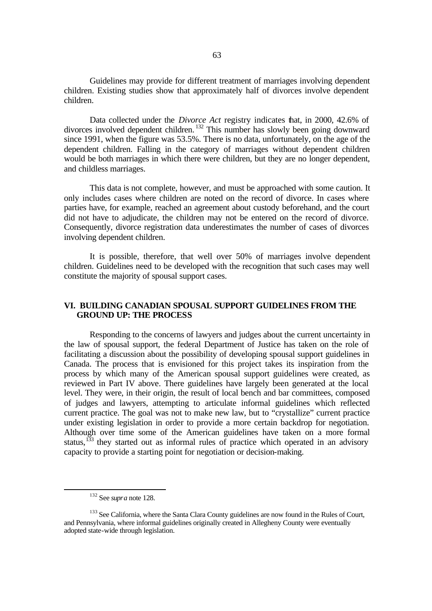Guidelines may provide for different treatment of marriages involving dependent children. Existing studies show that approximately half of divorces involve dependent children.

Data collected under the *Divorce Act* registry indicates that, in 2000, 42.6% of divorces involved dependent children.<sup>132</sup> This number has slowly been going downward since 1991, when the figure was 53.5%. There is no data, unfortunately, on the age of the dependent children. Falling in the category of marriages without dependent children would be both marriages in which there were children, but they are no longer dependent, and childless marriages.

This data is not complete, however, and must be approached with some caution. It only includes cases where children are noted on the record of divorce. In cases where parties have, for example, reached an agreement about custody beforehand, and the court did not have to adjudicate, the children may not be entered on the record of divorce. Consequently, divorce registration data underestimates the number of cases of divorces involving dependent children.

It is possible, therefore, that well over 50% of marriages involve dependent children. Guidelines need to be developed with the recognition that such cases may well constitute the majority of spousal support cases.

# **VI. BUILDING CANADIAN SPOUSAL SUPPORT GUIDELINES FROM THE GROUND UP: THE PROCESS**

Responding to the concerns of lawyers and judges about the current uncertainty in the law of spousal support, the federal Department of Justice has taken on the role of facilitating a discussion about the possibility of developing spousal support guidelines in Canada. The process that is envisioned for this project takes its inspiration from the process by which many of the American spousal support guidelines were created, as reviewed in Part IV above. There guidelines have largely been generated at the local level. They were, in their origin, the result of local bench and bar committees, composed of judges and lawyers, attempting to articulate informal guidelines which reflected current practice. The goal was not to make new law, but to "crystallize" current practice under existing legislation in order to provide a more certain backdrop for negotiation. Although over time some of the American guidelines have taken on a more formal status, $133$  they started out as informal rules of practice which operated in an advisory capacity to provide a starting point for negotiation or decision-making.

1

<sup>132</sup> See *supra* note 128.

<sup>&</sup>lt;sup>133</sup> See California, where the Santa Clara County guidelines are now found in the Rules of Court, and Pennsylvania, where informal guidelines originally created in Allegheny County were eventually adopted state-wide through legislation.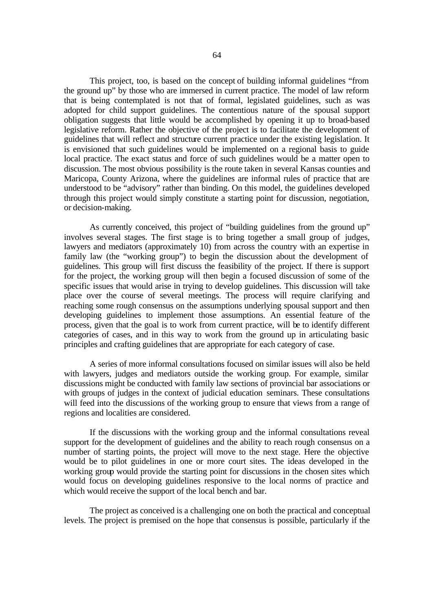This project, too, is based on the concept of building informal guidelines "from the ground up" by those who are immersed in current practice. The model of law reform that is being contemplated is not that of formal, legislated guidelines, such as was adopted for child support guidelines. The contentious nature of the spousal support obligation suggests that little would be accomplished by opening it up to broad-based legislative reform. Rather the objective of the project is to facilitate the development of guidelines that will reflect and structure current practice under the existing legislation. It is envisioned that such guidelines would be implemented on a regional basis to guide local practice. The exact status and force of such guidelines would be a matter open to discussion. The most obvious possibility is the route taken in several Kansas counties and Maricopa, County Arizona, where the guidelines are informal rules of practice that are understood to be "advisory" rather than binding. On this model, the guidelines developed through this project would simply constitute a starting point for discussion, negotiation, or decision-making.

As currently conceived, this project of "building guidelines from the ground up" involves several stages. The first stage is to bring together a small group of judges, lawyers and mediators (approximately 10) from across the country with an expertise in family law (the "working group") to begin the discussion about the development of guidelines. This group will first discuss the feasibility of the project. If there is support for the project, the working group will then begin a focused discussion of some of the specific issues that would arise in trying to develop guidelines. This discussion will take place over the course of several meetings. The process will require clarifying and reaching some rough consensus on the assumptions underlying spousal support and then developing guidelines to implement those assumptions. An essential feature of the process, given that the goal is to work from current practice, will be to identify different categories of cases, and in this way to work from the ground up in articulating basic principles and crafting guidelines that are appropriate for each category of case.

A series of more informal consultations focused on similar issues will also be held with lawyers, judges and mediators outside the working group. For example, similar discussions might be conducted with family law sections of provincial bar associations or with groups of judges in the context of judicial education seminars. These consultations will feed into the discussions of the working group to ensure that views from a range of regions and localities are considered.

If the discussions with the working group and the informal consultations reveal support for the development of guidelines and the ability to reach rough consensus on a number of starting points, the project will move to the next stage. Here the objective would be to pilot guidelines in one or more court sites. The ideas developed in the working group would provide the starting point for discussions in the chosen sites which would focus on developing guidelines responsive to the local norms of practice and which would receive the support of the local bench and bar.

The project as conceived is a challenging one on both the practical and conceptual levels. The project is premised on the hope that consensus is possible, particularly if the